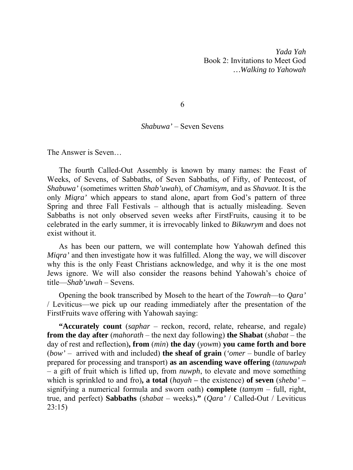*Yada Yah*  Book 2: Invitations to Meet God *…Walking to Yahowah* 

6

## *Shabuwa'* – Seven Sevens

The Answer is Seven…

The fourth Called-Out Assembly is known by many names: the Feast of Weeks, of Sevens, of Sabbaths, of Seven Sabbaths, of Fifty, of Pentecost, of *Shabuwa'* (sometimes written *Shab'uwah*), of *Chamisym,* and as *Shavuot*. It is the only *Miqra'* which appears to stand alone, apart from God's pattern of three Spring and three Fall Festivals – although that is actually misleading. Seven Sabbaths is not only observed seven weeks after FirstFruits, causing it to be celebrated in the early summer, it is irrevocably linked to *Bikuwrym* and does not exist without it.

As has been our pattern, we will contemplate how Yahowah defined this *Miqra'* and then investigate how it was fulfilled. Along the way, we will discover why this is the only Feast Christians acknowledge, and why it is the one most Jews ignore. We will also consider the reasons behind Yahowah's choice of title—*Shab'uwah* – Sevens.

Opening the book transcribed by Moseh to the heart of the *Towrah*—to *Qara'* / Leviticus—we pick up our reading immediately after the presentation of the FirstFruits wave offering with Yahowah saying:

**"Accurately count** (*saphar* – reckon, record, relate, rehearse, and regale) **from the day after** (*mahorath* – the next day following) **the Shabat** (*shabat* – the day of rest and reflection)**, from** (*min*) **the day** (*yowm*) **you came forth and bore**  (*bow'* – arrived with and included) **the sheaf of grain** (*'omer* – bundle of barley prepared for processing and transport) **as an ascending wave offering** (*tanuwpah*  – a gift of fruit which is lifted up, from *nuwph*, to elevate and move something which is sprinkled to and fro)**, a total** (*hayah –* the existence) **of seven** (*sheba' –*  signifying a numerical formula and sworn oath) **complete** (*tamym* – full, right, true, and perfect) **Sabbaths** (*shabat* – weeks)**."** (*Qara'* / Called-Out / Leviticus 23:15)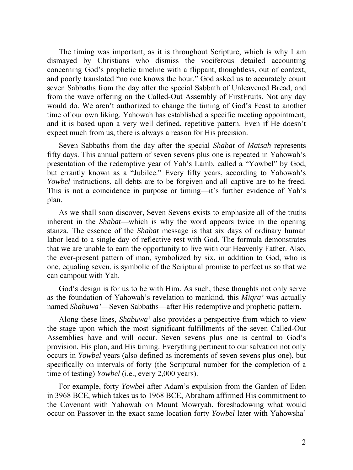The timing was important, as it is throughout Scripture, which is why I am dismayed by Christians who dismiss the vociferous detailed accounting concerning God's prophetic timeline with a flippant, thoughtless, out of context, and poorly translated "no one knows the hour." God asked us to accurately count seven Sabbaths from the day after the special Sabbath of Unleavened Bread, and from the wave offering on the Called-Out Assembly of FirstFruits. Not any day would do. We aren't authorized to change the timing of God's Feast to another time of our own liking. Yahowah has established a specific meeting appointment, and it is based upon a very well defined, repetitive pattern. Even if He doesn't expect much from us, there is always a reason for His precision.

Seven Sabbaths from the day after the special *Shabat* of *Matsah* represents fifty days. This annual pattern of seven sevens plus one is repeated in Yahowah's presentation of the redemptive year of Yah's Lamb, called a "Yowbel" by God, but errantly known as a "Jubilee." Every fifty years, according to Yahowah's *Yowbel* instructions, all debts are to be forgiven and all captive are to be freed. This is not a coincidence in purpose or timing—it's further evidence of Yah's plan.

As we shall soon discover, Seven Sevens exists to emphasize all of the truths inherent in the *Shabat*—which is why the word appears twice in the opening stanza. The essence of the *Shabat* message is that six days of ordinary human labor lead to a single day of reflective rest with God. The formula demonstrates that we are unable to earn the opportunity to live with our Heavenly Father. Also, the ever-present pattern of man, symbolized by six, in addition to God, who is one, equaling seven, is symbolic of the Scriptural promise to perfect us so that we can campout with Yah.

God's design is for us to be with Him. As such, these thoughts not only serve as the foundation of Yahowah's revelation to mankind, this *Miqra'* was actually named *Shabuwa'*—Seven Sabbaths—after His redemptive and prophetic pattern.

Along these lines, *Shabuwa'* also provides a perspective from which to view the stage upon which the most significant fulfillments of the seven Called-Out Assemblies have and will occur. Seven sevens plus one is central to God's provision, His plan, and His timing. Everything pertinent to our salvation not only occurs in *Yowbel* years (also defined as increments of seven sevens plus one), but specifically on intervals of forty (the Scriptural number for the completion of a time of testing) *Yowbel* (i.e., every 2,000 years).

For example, forty *Yowbel* after Adam's expulsion from the Garden of Eden in 3968 BCE, which takes us to 1968 BCE, Abraham affirmed His commitment to the Covenant with Yahowah on Mount Mowryah, foreshadowing what would occur on Passover in the exact same location forty *Yowbel* later with Yahowsha'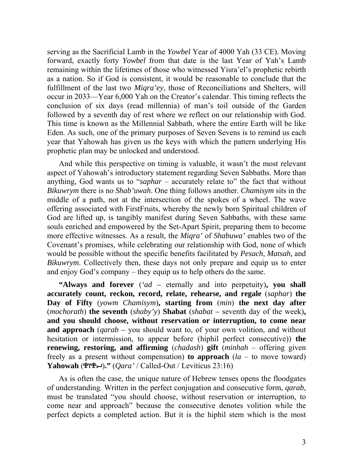serving as the Sacrificial Lamb in the *Yowbel* Year of 4000 Yah (33 CE). Moving forward, exactly forty *Yowbel* from that date is the last Year of Yah's Lamb remaining within the lifetimes of those who witnessed Yisra'el's prophetic rebirth as a nation. So if God is consistent, it would be reasonable to conclude that the fulfillment of the last two *Miqra'ey*, those of Reconciliations and Shelters, will occur in 2033—Year 6,000 Yah on the Creator's calendar. This timing reflects the conclusion of six days (read millennia) of man's toil outside of the Garden followed by a seventh day of rest where we reflect on our relationship with God. This time is known as the Millennial Sabbath, where the entire Earth will be like Eden. As such, one of the primary purposes of Seven Sevens is to remind us each year that Yahowah has given us the keys with which the pattern underlying His prophetic plan may be unlocked and understood.

And while this perspective on timing is valuable, it wasn't the most relevant aspect of Yahowah's introductory statement regarding Seven Sabbaths. More than anything, God wants us to "*saphar* – accurately relate to" the fact that without *Bikuwrym* there is no *Shab'uwah*. One thing follows another. *Chamisym* sits in the middle of a path, not at the intersection of the spokes of a wheel. The wave offering associated with FirstFruits, whereby the newly born Spiritual children of God are lifted up, is tangibly manifest during Seven Sabbaths, with these same souls enriched and empowered by the Set-Apart Spirit, preparing them to become more effective witnesses. As a result, the *Miqra'* of *Shabuwa'* enables two of the Covenant's promises, while celebrating our relationship with God, none of which would be possible without the specific benefits facilitated by *Pesach*, *Matsah*, and *Bikuwrym*. Collectively then, these days not only prepare and equip us to enter and enjoy God's company – they equip us to help others do the same.

**"Always and forever** (*'ad –* eternally and into perpetuity)**, you shall accurately count, reckon, record, relate, rehearse, and regale** (*saphar*) **the Day of Fifty** (*yowm Chamisym*)**, starting from** (*min*) **the next day after**  (*mochorath*) **the seventh** (*shaby'y*) **Shabat** (*shabat –* seventh day of the week)**, and you should choose, without reservation or interruption, to come near and approach** (*qarab –* you should want to, of your own volition, and without hesitation or intermission, to appear before (hiphil perfect consecutive)) **the renewing, restoring, and affirming** (*chadash*) **gift** (*minhah* – offering given freely as a present without compensation) **to approach** (*la* – to move toward) **Yahowah**  $(\mathcal{L})^{\mathsf{u}}(\mathcal{L})$ **."**  $(Oara'/\text{Called}-\text{Out}/\text{Leviticus } 23:16)$ 

As is often the case, the unique nature of Hebrew tenses opens the floodgates of understanding. Written in the perfect conjugation and consecutive form, *qarab*, must be translated "you should choose, without reservation or interruption, to come near and approach" because the consecutive denotes volition while the perfect depicts a completed action. But it is the hiphil stem which is the most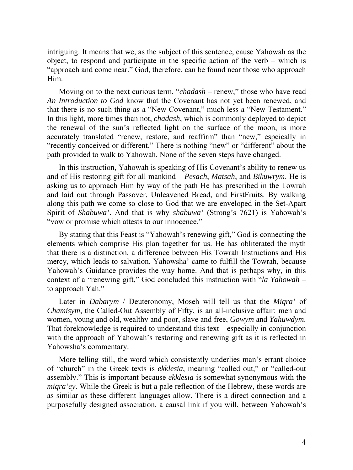intriguing. It means that we, as the subject of this sentence, cause Yahowah as the object, to respond and participate in the specific action of the verb – which is "approach and come near." God, therefore, can be found near those who approach Him.

Moving on to the next curious term, "*chadash* – renew," those who have read *An Introduction to God* know that the Covenant has not yet been renewed, and that there is no such thing as a "New Covenant," much less a "New Testament." In this light, more times than not, *chadash*, which is commonly deployed to depict the renewal of the sun's reflected light on the surface of the moon, is more accurately translated "renew, restore, and reaffirm" than "new," espeically in "recently conceived or different." There is nothing "new" or "different" about the path provided to walk to Yahowah. None of the seven steps have changed.

In this instruction, Yahowah is speaking of His Covenant's ability to renew us and of His restoring gift for all mankind – *Pesach*, *Matsah*, and *Bikuwrym*. He is asking us to approach Him by way of the path He has prescribed in the Towrah and laid out through Passover, Unleavened Bread, and FirstFruits. By walking along this path we come so close to God that we are enveloped in the Set-Apart Spirit of *Shabuwa'*. And that is why *shabuwa'* (Strong's 7621) is Yahowah's "vow or promise which attests to our innocence."

By stating that this Feast is "Yahowah's renewing gift," God is connecting the elements which comprise His plan together for us. He has obliterated the myth that there is a distinction, a difference between His Towrah Instructions and His mercy, which leads to salvation. Yahowsha' came to fulfill the Towrah, because Yahowah's Guidance provides the way home. And that is perhaps why, in this context of a "renewing gift," God concluded this instruction with "*la Yahowah* – to approach Yah."

Later in *Dabarym* / Deuteronomy, Moseh will tell us that the *Miqra'* of *Chamisym*, the Called-Out Assembly of Fifty, is an all-inclusive affair: men and women, young and old, wealthy and poor, slave and free, *Gowym* and *Yahuwdym*. That foreknowledge is required to understand this text—especially in conjunction with the approach of Yahowah's restoring and renewing gift as it is reflected in Yahowsha's commentary.

More telling still, the word which consistently underlies man's errant choice of "church" in the Greek texts is *ekklesia*, meaning "called out," or "called-out assembly." This is important because *ekklesia* is somewhat synonymous with the *miqra'ey*. While the Greek is but a pale reflection of the Hebrew, these words are as similar as these different languages allow. There is a direct connection and a purposefully designed association, a causal link if you will, between Yahowah's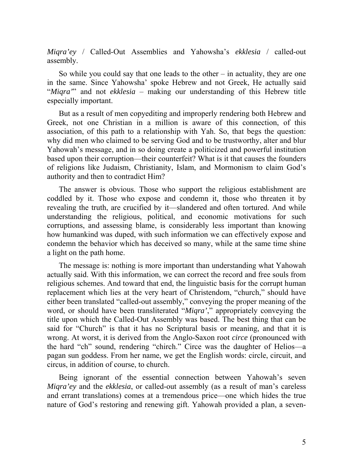*Miqra'ey* / Called-Out Assemblies and Yahowsha's *ekklesia* / called-out assembly.

So while you could say that one leads to the other – in actuality, they are one in the same. Since Yahowsha' spoke Hebrew and not Greek, He actually said "*Miqra'*" and not *ekklesia* – making our understanding of this Hebrew title especially important.

But as a result of men copyediting and improperly rendering both Hebrew and Greek, not one Christian in a million is aware of this connection, of this association, of this path to a relationship with Yah. So, that begs the question: why did men who claimed to be serving God and to be trustworthy, alter and blur Yahowah's message, and in so doing create a politicized and powerful institution based upon their corruption—their counterfeit? What is it that causes the founders of religions like Judaism, Christianity, Islam, and Mormonism to claim God's authority and then to contradict Him?

The answer is obvious. Those who support the religious establishment are coddled by it. Those who expose and condemn it, those who threaten it by revealing the truth, are crucified by it—slandered and often tortured. And while understanding the religious, political, and economic motivations for such corruptions, and assessing blame, is considerably less important than knowing how humankind was duped, with such information we can effectively expose and condemn the behavior which has deceived so many, while at the same time shine a light on the path home.

The message is: nothing is more important than understanding what Yahowah actually said. With this information, we can correct the record and free souls from religious schemes. And toward that end, the linguistic basis for the corrupt human replacement which lies at the very heart of Christendom, "church," should have either been translated "called-out assembly," conveying the proper meaning of the word, or should have been transliterated "*Miqra'*," appropriately conveying the title upon which the Called-Out Assembly was based. The best thing that can be said for "Church" is that it has no Scriptural basis or meaning, and that it is wrong. At worst, it is derived from the Anglo-Saxon root *circe* (pronounced with the hard "ch" sound, rendering "chirch." Circe was the daughter of Helios—a pagan sun goddess. From her name, we get the English words: circle, circuit, and circus, in addition of course, to church.

Being ignorant of the essential connection between Yahowah's seven *Miqra'ey* and the *ekklesia*, or called-out assembly (as a result of man's careless and errant translations) comes at a tremendous price—one which hides the true nature of God's restoring and renewing gift. Yahowah provided a plan, a seven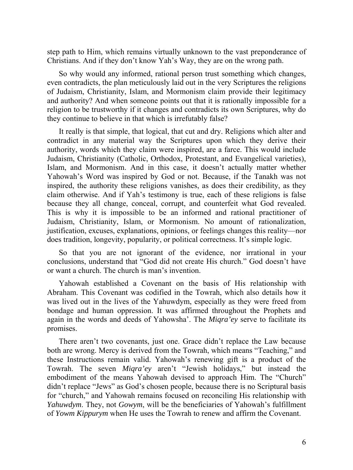step path to Him, which remains virtually unknown to the vast preponderance of Christians. And if they don't know Yah's Way, they are on the wrong path.

So why would any informed, rational person trust something which changes, even contradicts, the plan meticulously laid out in the very Scriptures the religions of Judaism, Christianity, Islam, and Mormonism claim provide their legitimacy and authority? And when someone points out that it is rationally impossible for a religion to be trustworthy if it changes and contradicts its own Scriptures, why do they continue to believe in that which is irrefutably false?

It really is that simple, that logical, that cut and dry. Religions which alter and contradict in any material way the Scriptures upon which they derive their authority, words which they claim were inspired, are a farce. This would include Judaism, Christianity (Catholic, Orthodox, Protestant, and Evangelical varieties), Islam, and Mormonism. And in this case, it doesn't actually matter whether Yahowah's Word was inspired by God or not. Because, if the Tanakh was not inspired, the authority these religions vanishes, as does their credibility, as they claim otherwise. And if Yah's testimony is true, each of these religions is false because they all change, conceal, corrupt, and counterfeit what God revealed. This is why it is impossible to be an informed and rational practitioner of Judaism, Christianity, Islam, or Mormonism. No amount of rationalization, justification, excuses, explanations, opinions, or feelings changes this reality—nor does tradition, longevity, popularity, or political correctness. It's simple logic.

So that you are not ignorant of the evidence, nor irrational in your conclusions, understand that "God did not create His church." God doesn't have or want a church. The church is man's invention.

Yahowah established a Covenant on the basis of His relationship with Abraham. This Covenant was codified in the Towrah, which also details how it was lived out in the lives of the Yahuwdym, especially as they were freed from bondage and human oppression. It was affirmed throughout the Prophets and again in the words and deeds of Yahowsha'. The *Miqra'ey* serve to facilitate its promises.

There aren't two covenants, just one. Grace didn't replace the Law because both are wrong. Mercy is derived from the Towrah, which means "Teaching," and these Instructions remain valid. Yahowah's renewing gift is a product of the Towrah. The seven *Miqra'ey* aren't "Jewish holidays," but instead the embodiment of the means Yahowah devised to approach Him. The "Church" didn't replace "Jews" as God's chosen people, because there is no Scriptural basis for "church," and Yahowah remains focused on reconciling His relationship with *Yahuwdym*. They, not *Gowym*, will be the beneficiaries of Yahowah's fulfillment of *Yowm Kippurym* when He uses the Towrah to renew and affirm the Covenant.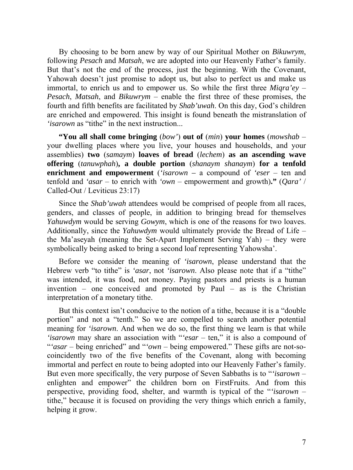By choosing to be born anew by way of our Spiritual Mother on *Bikuwrym*, following *Pesach* and *Matsah*, we are adopted into our Heavenly Father's family. But that's not the end of the process, just the beginning. With the Covenant, Yahowah doesn't just promise to adopt us, but also to perfect us and make us immortal, to enrich us and to empower us. So while the first three *Miqra'ey* – *Pesach*, *Matsah*, and *Bikuwrym* – enable the first three of these promises, the fourth and fifth benefits are facilitated by *Shab'uwah*. On this day, God's children are enriched and empowered. This insight is found beneath the mistranslation of *'isarown* as "tithe" in the next instruction.

**"You all shall come bringing** (*bow'*) **out of** (*min*) **your homes** (*mowshab* – your dwelling places where you live, your houses and households, and your assemblies) **two** (*samaym*) **loaves of bread** (*lechem*) **as an ascending wave offering** (*tanuwphah*)**, a double portion** (*shanaym shanaym*) **for a tenfold enrichment and empowerment** (*'isarown –* a compound of *'eser* – ten and tenfold and *'asar* – to enrich with *'own* – empowerment and growth)**."** (*Qara'* / Called-Out / Leviticus 23:17)

Since the *Shab'uwah* attendees would be comprised of people from all races, genders, and classes of people, in addition to bringing bread for themselves *Yahuwdym* would be serving *Gowym*, which is one of the reasons for two loaves. Additionally, since the *Yahuwdym* would ultimately provide the Bread of Life – the Ma'aseyah (meaning the Set-Apart Implement Serving Yah) – they were symbolically being asked to bring a second loaf representing Yahowsha'.

Before we consider the meaning of *'isarown*, please understand that the Hebrew verb "to tithe" is *'asar*, not *'isarown*. Also please note that if a "tithe" was intended, it was food, not money. Paying pastors and priests is a human invention – one conceived and promoted by Paul – as is the Christian interpretation of a monetary tithe.

But this context isn't conducive to the notion of a tithe, because it is a "double portion" and not a "tenth." So we are compelled to search another potential meaning for *'isarown*. And when we do so, the first thing we learn is that while *'isarown* may share an association with "*'esar* – ten," it is also a compound of "*'asar* – being enriched" and "*'own* – being empowered." These gifts are not-socoincidently two of the five benefits of the Covenant, along with becoming immortal and perfect en route to being adopted into our Heavenly Father's family. But even more specifically, the very purpose of Seven Sabbaths is to "*'isarown* – enlighten and empower" the children born on FirstFruits. And from this perspective, providing food, shelter, and warmth is typical of the "*'isarown* – tithe," because it is focused on providing the very things which enrich a family, helping it grow.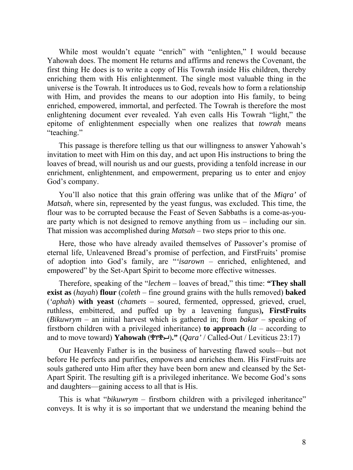While most wouldn't equate "enrich" with "enlighten," I would because Yahowah does. The moment He returns and affirms and renews the Covenant, the first thing He does is to write a copy of His Towrah inside His children, thereby enriching them with His enlightenment. The single most valuable thing in the universe is the Towrah. It introduces us to God, reveals how to form a relationship with Him, and provides the means to our adoption into His family, to being enriched, empowered, immortal, and perfected. The Towrah is therefore the most enlightening document ever revealed. Yah even calls His Towrah "light," the epitome of enlightenment especially when one realizes that *towrah* means "teaching."

This passage is therefore telling us that our willingness to answer Yahowah's invitation to meet with Him on this day, and act upon His instructions to bring the loaves of bread, will nourish us and our guests, providing a tenfold increase in our enrichment, enlightenment, and empowerment, preparing us to enter and enjoy God's company.

You'll also notice that this grain offering was unlike that of the *Miqra'* of *Matsah*, where sin, represented by the yeast fungus, was excluded. This time, the flour was to be corrupted because the Feast of Seven Sabbaths is a come-as-youare party which is not designed to remove anything from us – including our sin. That mission was accomplished during *Matsah* – two steps prior to this one.

Here, those who have already availed themselves of Passover's promise of eternal life, Unleavened Bread's promise of perfection, and FirstFruits' promise of adoption into God's family, are "*'isarown* – enriched, enlightened, and empowered" by the Set-Apart Spirit to become more effective witnesses.

Therefore, speaking of the "*lechem* – loaves of bread," this time: **"They shall exist as** (*hayah*) **flour** (*coleth* – fine ground grains with the hulls removed) **baked**  (*'aphah*) **with yeast** (*chamets* – soured, fermented, oppressed, grieved, cruel, ruthless, embittered, and puffed up by a leavening fungus)**, FirstFruits**  (*Bikuwrym* – an initial harvest which is gathered in; from *bakar* – speaking of firstborn children with a privileged inheritance) **to approach** (*la* – according to and to move toward) **Yahowah** ()**."** (*Qara'* / Called-Out / Leviticus 23:17)

Our Heavenly Father is in the business of harvesting flawed souls—but not before He perfects and purifies, empowers and enriches them. His FirstFruits are souls gathered unto Him after they have been born anew and cleansed by the Set-Apart Spirit. The resulting gift is a privileged inheritance. We become God's sons and daughters—gaining access to all that is His.

This is what "*bikuwrym* – firstborn children with a privileged inheritance" conveys. It is why it is so important that we understand the meaning behind the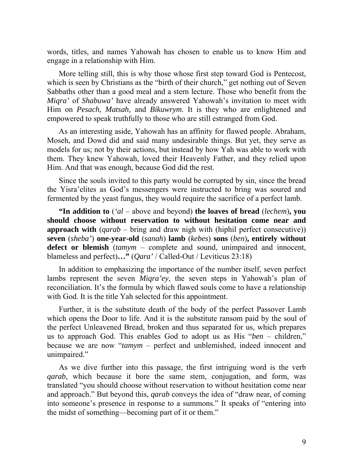words, titles, and names Yahowah has chosen to enable us to know Him and engage in a relationship with Him.

More telling still, this is why those whose first step toward God is Pentecost, which is seen by Christians as the "birth of their church," get nothing out of Seven Sabbaths other than a good meal and a stern lecture. Those who benefit from the *Miqra'* of *Shabuwa'* have already answered Yahowah's invitation to meet with Him on *Pesach*, *Matsah*, and *Bikuwrym*. It is they who are enlightened and empowered to speak truthfully to those who are still estranged from God.

As an interesting aside, Yahowah has an affinity for flawed people. Abraham, Moseh, and Dowd did and said many undesirable things. But yet, they serve as models for us; not by their actions, but instead by how Yah was able to work with them. They knew Yahowah, loved their Heavenly Father, and they relied upon Him. And that was enough, because God did the rest.

Since the souls invited to this party would be corrupted by sin, since the bread the Yisra'elites as God's messengers were instructed to bring was soured and fermented by the yeast fungus, they would require the sacrifice of a perfect lamb.

**"In addition to** (*'al* – above and beyond) **the loaves of bread** (*lechem*)**, you should choose without reservation to without hesitation come near and approach with** (*qarab* – bring and draw nigh with (hiphil perfect consecutive)) **seven** (*sheba'*) **one-year-old** (*sanah*) **lamb** (*kebes*) **sons** (*ben*)**, entirely without defect or blemish** (*tamym* – complete and sound, unimpaired and innocent, blameless and perfect)**…"** (*Qara'* / Called-Out / Leviticus 23:18)

In addition to emphasizing the importance of the number itself, seven perfect lambs represent the seven *Miqra'ey*, the seven steps in Yahowah's plan of reconciliation. It's the formula by which flawed souls come to have a relationship with God. It is the title Yah selected for this appointment.

Further, it is the substitute death of the body of the perfect Passover Lamb which opens the Door to life. And it is the substitute ransom paid by the soul of the perfect Unleavened Bread, broken and thus separated for us, which prepares us to approach God. This enables God to adopt us as His "*ben* – children," because we are now "*tamym* – perfect and unblemished, indeed innocent and unimpaired."

As we dive further into this passage, the first intriguing word is the verb *qarab*, which because it bore the same stem, conjugation, and form, was translated "you should choose without reservation to without hesitation come near and approach." But beyond this, *qarab* conveys the idea of "draw near, of coming into someone's presence in response to a summons." It speaks of "entering into the midst of something—becoming part of it or them."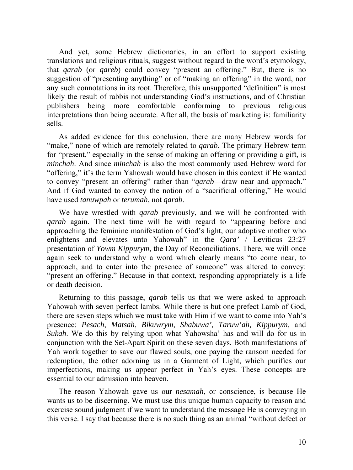And yet, some Hebrew dictionaries, in an effort to support existing translations and religious rituals, suggest without regard to the word's etymology, that *qarab* (or *qareb*) could convey "present an offering." But, there is no suggestion of "presenting anything" or of "making an offering" in the word, nor any such connotations in its root. Therefore, this unsupported "definition" is most likely the result of rabbis not understanding God's instructions, and of Christian publishers being more comfortable conforming to previous religious interpretations than being accurate. After all, the basis of marketing is: familiarity sells.

As added evidence for this conclusion, there are many Hebrew words for "make," none of which are remotely related to *qarab*. The primary Hebrew term for "present," especially in the sense of making an offering or providing a gift, is *minchah*. And since *minchah* is also the most commonly used Hebrew word for "offering," it's the term Yahowah would have chosen in this context if He wanted to convey "present an offering" rather than "*qarab*—draw near and approach." And if God wanted to convey the notion of a "sacrificial offering," He would have used *tanuwpah* or *terumah*, not *qarab*.

We have wrestled with *qarab* previously, and we will be confronted with *qarab* again. The next time will be with regard to "appearing before and approaching the feminine manifestation of God's light, our adoptive mother who enlightens and elevates unto Yahowah" in the *Qara'* / Leviticus 23:27 presentation of *Yowm Kippurym*, the Day of Reconciliations. There, we will once again seek to understand why a word which clearly means "to come near, to approach, and to enter into the presence of someone" was altered to convey: "present an offering." Because in that context, responding appropriately is a life or death decision.

Returning to this passage, *qarab* tells us that we were asked to approach Yahowah with seven perfect lambs. While there is but one prefect Lamb of God, there are seven steps which we must take with Him if we want to come into Yah's presence: *Pesach*, *Matsah*, *Bikuwrym, Shabuwa', Taruw'ah, Kippurym,* and *Sukah*. We do this by relying upon what Yahowsha' has and will do for us in conjunction with the Set-Apart Spirit on these seven days. Both manifestations of Yah work together to save our flawed souls, one paying the ransom needed for redemption, the other adorning us in a Garment of Light, which purifies our imperfections, making us appear perfect in Yah's eyes. These concepts are essential to our admission into heaven.

The reason Yahowah gave us our *nesamah*, or conscience, is because He wants us to be discerning. We must use this unique human capacity to reason and exercise sound judgment if we want to understand the message He is conveying in this verse. I say that because there is no such thing as an animal "without defect or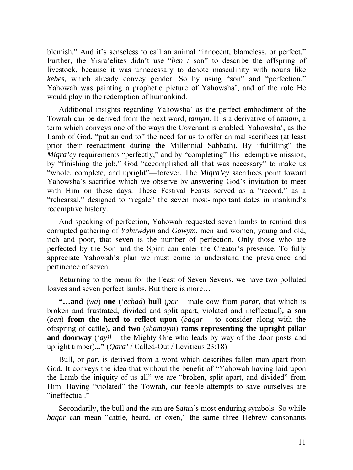blemish." And it's senseless to call an animal "innocent, blameless, or perfect." Further, the Yisra'elites didn't use "*ben* / son" to describe the offspring of livestock, because it was unnecessary to denote masculinity with nouns like *kebes,* which already convey gender. So by using "son" and "perfection," Yahowah was painting a prophetic picture of Yahowsha', and of the role He would play in the redemption of humankind.

Additional insights regarding Yahowsha' as the perfect embodiment of the Towrah can be derived from the next word, *tamym.* It is a derivative of *tamam*, a term which conveys one of the ways the Covenant is enabled. Yahowsha', as the Lamb of God, "put an end to" the need for us to offer animal sacrifices (at least prior their reenactment during the Millennial Sabbath). By "fulfilling" the *Miqra'ey* requirements "perfectly," and by "completing" His redemptive mission, by "finishing the job," God "accomplished all that was necessary" to make us "whole, complete, and upright"—forever. The *Miqra'ey* sacrifices point toward Yahowsha's sacrifice which we observe by answering God's invitation to meet with Him on these days. These Festival Feasts served as a "record," as a "rehearsal," designed to "regale" the seven most-important dates in mankind's redemptive history.

And speaking of perfection, Yahowah requested seven lambs to remind this corrupted gathering of *Yahuwdym* and *Gowym*, men and women, young and old, rich and poor, that seven is the number of perfection. Only those who are perfected by the Son and the Spirit can enter the Creator's presence. To fully appreciate Yahowah's plan we must come to understand the prevalence and pertinence of seven.

Returning to the menu for the Feast of Seven Sevens, we have two polluted loaves and seven perfect lambs. But there is more…

**"…and** (*wa*) **one** (*'echad*) **bull** (*par* – male cow from *parar*, that which is broken and frustrated, divided and split apart, violated and ineffectual)**, a son**  (*ben*) **from the herd to reflect upon** (*baqar* – to consider along with the offspring of cattle)**, and two** (*shamaym*) **rams representing the upright pillar and doorway** (*'ayil* – the Mighty One who leads by way of the door posts and upright timber)**..."** (*Qara'* / Called-Out / Leviticus 23:18)

Bull, or *par*, is derived from a word which describes fallen man apart from God. It conveys the idea that without the benefit of "Yahowah having laid upon the Lamb the iniquity of us all" we are "broken, split apart, and divided" from Him. Having "violated" the Towrah, our feeble attempts to save ourselves are "ineffectual."

Secondarily, the bull and the sun are Satan's most enduring symbols. So while *baqar* can mean "cattle, heard, or oxen," the same three Hebrew consonants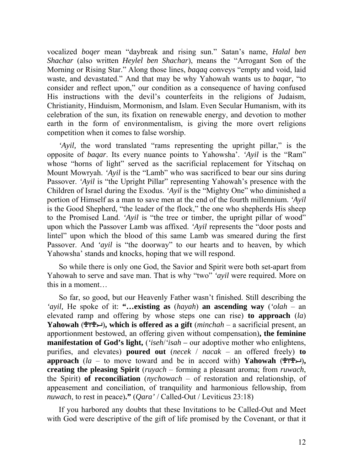vocalized *boqer* mean "daybreak and rising sun." Satan's name, *Halal ben Shachar* (also written *Heylel ben Shachar*), means the "Arrogant Son of the Morning or Rising Star." Along those lines, *baqaq* conveys "empty and void, laid waste, and devastated." And that may be why Yahowah wants us to *baqar,* "to consider and reflect upon," our condition as a consequence of having confused His instructions with the devil's counterfeits in the religions of Judaism, Christianity, Hinduism, Mormonism, and Islam. Even Secular Humanism, with its celebration of the sun, its fixation on renewable energy, and devotion to mother earth in the form of environmentalism, is giving the more overt religions competition when it comes to false worship.

*'Ayil,* the word translated "rams representing the upright pillar," is the opposite of *baqar*. Its every nuance points to Yahowsha'. *'Ayil* is the "Ram" whose "horns of light" served as the sacrificial replacement for Yitschaq on Mount Mowryah. *'Ayil* is the "Lamb" who was sacrificed to bear our sins during Passover. *'Ayil* is "the Upright Pillar" representing Yahowah's presence with the Children of Israel during the Exodus. *'Ayil* is the "Mighty One" who diminished a portion of Himself as a man to save men at the end of the fourth millennium. *'Ayil*  is the Good Shepherd, "the leader of the flock," the one who shepherds His sheep to the Promised Land. *'Ayil* is "the tree or timber, the upright pillar of wood" upon which the Passover Lamb was affixed. *'Ayil* represents the "door posts and lintel" upon which the blood of this same Lamb was smeared during the first Passover. And '*ayil* is "the doorway" to our hearts and to heaven, by which Yahowsha' stands and knocks, hoping that we will respond.

So while there is only one God, the Savior and Spirit were both set-apart from Yahowah to serve and save man. That is why "two" '*ayil* were required. More on this in a moment…

So far, so good, but our Heavenly Father wasn't finished. Still describing the *'ayil,* He spoke of it: **"…existing as** (*hayah*) **an ascending way** (*'olah* – an elevated ramp and offering by whose steps one can rise) **to approach** (*la*) **Yahowah** ()**, which is offered as a gift** (*minchah* – a sacrificial present, an apportionment bestowed, an offering given without compensation)**, the feminine manifestation of God's light,** (*'iseh*/*'isah –* our adoptive mother who enlightens, purifies, and elevates) **poured out** (*necek* / *nacak* – an offered freely) **to** approach ( $la - to$  move toward and be in accord with) **Yahowah** ( $\mathcal{P}(\mathcal{P}, \mathcal{L})$ , **creating the pleasing Spirit** (*ruyach* – forming a pleasant aroma; from *ruwach*, the Spirit) **of reconciliation** (*nychowach* – of restoration and relationship, of appeasement and conciliation, of tranquility and harmonious fellowship, from *nuwach*, to rest in peace)**."** (*Qara'* / Called-Out / Leviticus 23:18)

If you harbored any doubts that these Invitations to be Called-Out and Meet with God were descriptive of the gift of life promised by the Covenant, or that it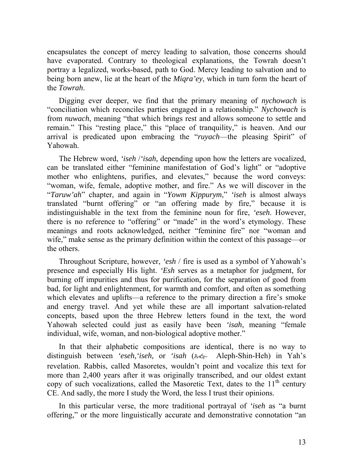encapsulates the concept of mercy leading to salvation, those concerns should have evaporated. Contrary to theological explanations, the Towrah doesn't portray a legalized, works-based, path to God. Mercy leading to salvation and to being born anew, lie at the heart of the *Miqra'ey*, which in turn form the heart of the *Towrah*.

Digging ever deeper, we find that the primary meaning of *nychowach* is "conciliation which reconciles parties engaged in a relationship." *Nychowach* is from *nuwach*, meaning "that which brings rest and allows someone to settle and remain." This "resting place," this "place of tranquility," is heaven. And our arrival is predicated upon embracing the "*ruyach*—the pleasing Spirit" of Yahowah.

The Hebrew word, *'iseh* /*'isah,* depending upon how the letters are vocalized, can be translated either "feminine manifestation of God's light" or "adoptive mother who enlightens, purifies, and elevates," because the word conveys: "woman, wife, female, adoptive mother, and fire." As we will discover in the "*Taruw'ah*" chapter, and again in "*Yowm Kippurym*," *'iseh* is almost always translated "burnt offering" or "an offering made by fire," because it is indistinguishable in the text from the feminine noun for fire, *'eseh*. However, there is no reference to "offering" or "made" in the word's etymology. These meanings and roots acknowledged, neither "feminine fire" nor "woman and wife," make sense as the primary definition within the context of this passage—or the others.

Throughout Scripture, however, *'esh* / fire is used as a symbol of Yahowah's presence and especially His light. *'Esh* serves as a metaphor for judgment, for burning off impurities and thus for purification, for the separation of good from bad, for light and enlightenment, for warmth and comfort, and often as something which elevates and uplifts—a reference to the primary direction a fire's smoke and energy travel. And yet while these are all important salvation-related concepts, based upon the three Hebrew letters found in the text, the word Yahowah selected could just as easily have been *'isah*, meaning "female individual, wife, woman, and non-biological adoptive mother."

In that their alphabetic compositions are identical, there is no way to distinguish between *'eseh, 'iseh, or 'isah* ( $A\ll_{\mathcal{F}}$  Aleph-Shin-Heh) in Yah's revelation. Rabbis, called Masoretes, wouldn't point and vocalize this text for more than 2,400 years after it was originally transcribed, and our oldest extant copy of such vocalizations, called the Masoretic Text, dates to the  $11<sup>th</sup>$  century CE. And sadly, the more I study the Word, the less I trust their opinions.

In this particular verse, the more traditional portrayal of *'iseh* as "a burnt offering," or the more linguistically accurate and demonstrative connotation "an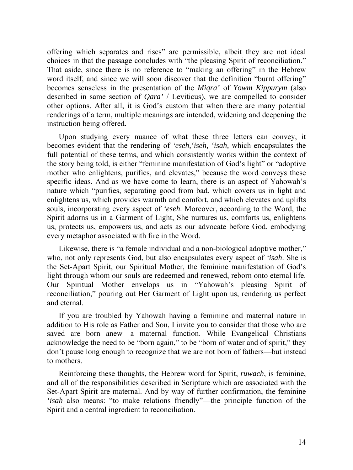offering which separates and rises" are permissible, albeit they are not ideal choices in that the passage concludes with "the pleasing Spirit of reconciliation." That aside, since there is no reference to "making an offering" in the Hebrew word itself, and since we will soon discover that the definition "burnt offering" becomes senseless in the presentation of the *Miqra'* of *Yowm Kippurym* (also described in same section of *Qara'* / Leviticus), we are compelled to consider other options. After all, it is God's custom that when there are many potential renderings of a term, multiple meanings are intended, widening and deepening the instruction being offered.

Upon studying every nuance of what these three letters can convey, it becomes evident that the rendering of *'eseh,'iseh, 'isah,* which encapsulates the full potential of these terms, and which consistently works within the context of the story being told, is either "feminine manifestation of God's light" or "adoptive mother who enlightens, purifies, and elevates," because the word conveys these specific ideas. And as we have come to learn, there is an aspect of Yahowah's nature which "purifies, separating good from bad, which covers us in light and enlightens us, which provides warmth and comfort, and which elevates and uplifts souls, incorporating every aspect of *'eseh*. Moreover, according to the Word, the Spirit adorns us in a Garment of Light, She nurtures us, comforts us, enlightens us, protects us, empowers us, and acts as our advocate before God, embodying every metaphor associated with fire in the Word.

Likewise, there is "a female individual and a non-biological adoptive mother," who, not only represents God, but also encapsulates every aspect of *'isah*. She is the Set-Apart Spirit, our Spiritual Mother, the feminine manifestation of God's light through whom our souls are redeemed and renewed, reborn onto eternal life. Our Spiritual Mother envelops us in "Yahowah's pleasing Spirit of reconciliation," pouring out Her Garment of Light upon us, rendering us perfect and eternal.

If you are troubled by Yahowah having a feminine and maternal nature in addition to His role as Father and Son, I invite you to consider that those who are saved are born anew—a maternal function. While Evangelical Christians acknowledge the need to be "born again," to be "born of water and of spirit," they don't pause long enough to recognize that we are not born of fathers—but instead to mothers.

Reinforcing these thoughts, the Hebrew word for Spirit, *ruwach*, is feminine, and all of the responsibilities described in Scripture which are associated with the Set-Apart Spirit are maternal. And by way of further confirmation, the feminine *'isah* also means: "to make relations friendly"—the principle function of the Spirit and a central ingredient to reconciliation.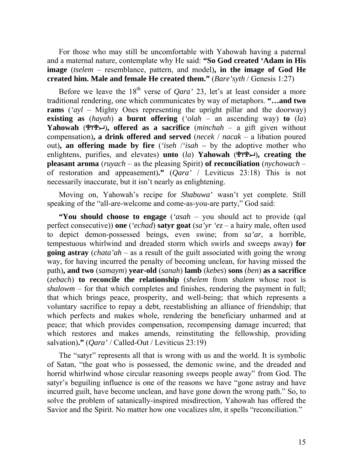For those who may still be uncomfortable with Yahowah having a paternal and a maternal nature, contemplate why He said: **"So God created 'Adam in His image** (*tselem* – resemblance, pattern, and model)**, in the image of God He created him. Male and female He created them."** (*Bare'syth* / Genesis 1:27)

Before we leave the  $18<sup>th</sup>$  verse of *Oara'* 23, let's at least consider a more traditional rendering, one which communicates by way of metaphors. **"…and two rams** (*'ayl* – Mighty Ones representing the upright pillar and the doorway) **existing as**  $(hayah)$  **a burnt offering**  $('olah - an ascending way)$  **to**  $(la)$ **Yahowah** ( $\mathbb{P}(\mathbb{P}(\mathbb{P})\to\mathbb{P})$ , offered as a sacrifice (*minchah* – a gift given without compensation)**, a drink offered and served** (*necek* / *nacak* – a libation poured out)**, an offering made by fire** (*'iseh* /*'isah –* by the adoptive mother who enlightens, purifies, and elevates) **unto** (*la*) **Yahowah** ( $\mathcal{P}(\mathcal{P}\mathcal{P})$ , creating the **pleasant aroma** (*ruyach* – as the pleasing Spirit) **of reconciliation** (*nychowach* – of restoration and appeasement)**."** (*Qara'* / Leviticus 23:18) This is not necessarily inaccurate, but it isn't nearly as enlightening.

Moving on, Yahowah's recipe for *Shabuwa'* wasn't yet complete. Still speaking of the "all-are-welcome and come-as-you-are party," God said:

**"You should choose to engage** (*'asah* – you should act to provide (qal perfect consecutive)) **one** (*'echad*) **satyr goat** (*sa'yr 'ez* – a hairy male, often used to depict demon-possessed beings, even swine; from *sa'ar*, a horrible, tempestuous whirlwind and dreaded storm which swirls and sweeps away) **for going astray** (*chata'ah* – as a result of the guilt associated with going the wrong way, for having incurred the penalty of becoming unclean, for having missed the path)**, and two** (*samaym*) **year-old** (*sanah*) **lamb** (*kebes*) **sons** (*ben*) **as a sacrifice**  (*zebach*) **to reconcile the relationship** (*shelem* from *shalem* whose root is  $shallowm -$  for that which completes and finishes, rendering the payment in full; that which brings peace, prosperity, and well-being; that which represents a voluntary sacrifice to repay a debt, reestablishing an alliance of friendship; that which perfects and makes whole, rendering the beneficiary unharmed and at peace; that which provides compensation, recompensing damage incurred; that which restores and makes amends, reinstituting the fellowship, providing salvation)**."** (*Qara'* / Called-Out / Leviticus 23:19)

The "satyr" represents all that is wrong with us and the world. It is symbolic of Satan, "the goat who is possessed, the demonic swine, and the dreaded and horrid whirlwind whose circular reasoning sweeps people away" from God. The satyr's beguiling influence is one of the reasons we have "gone astray and have incurred guilt, have become unclean, and have gone down the wrong path." So, to solve the problem of satanically-inspired misdirection, Yahowah has offered the Savior and the Spirit. No matter how one vocalizes *slm*, it spells "reconciliation."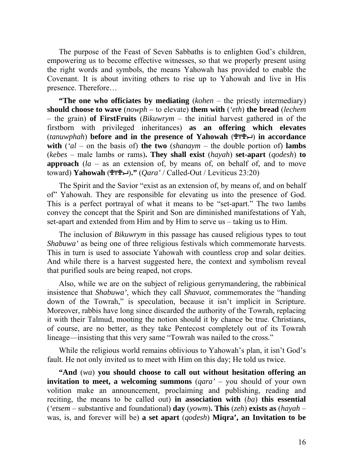The purpose of the Feast of Seven Sabbaths is to enlighten God's children, empowering us to become effective witnesses, so that we properly present using the right words and symbols, the means Yahowah has provided to enable the Covenant. It is about inviting others to rise up to Yahowah and live in His presence. Therefore…

**"The one who officiates by mediating** (*kohen* – the priestly intermediary) **should choose to wave** (*nowph –* to elevate) **them with** (*'eth*) **the bread** (*lechem* – the grain) **of FirstFruits** (*Bikuwrym* – the initial harvest gathered in of the firstborn with privileged inheritances) **as an offering which elevates**  (*tanuwphah*) **before and in the presence of Yahowah** () **in accordance with**  $(\alpha d - \text{on the basis of})$  the two  $(\alpha d - \text{on the basis of})$  lambs (*kebes* – male lambs or rams)**. They shall exist** (*hayah*) **set-apart** (*qodesh*) **to approach** (*la* – as an extension of, by means of, on behalf of, and to move toward) **Yahowah** ()**."** (*Qara'* / Called-Out / Leviticus 23:20)

The Spirit and the Savior "exist as an extension of, by means of, and on behalf of" Yahowah. They are responsible for elevating us into the presence of God. This is a perfect portrayal of what it means to be "set-apart." The two lambs convey the concept that the Spirit and Son are diminished manifestations of Yah, set-apart and extended from Him and by Him to serve us – taking us to Him.

The inclusion of *Bikuwrym* in this passage has caused religious types to tout *Shabuwa'* as being one of three religious festivals which commemorate harvests. This in turn is used to associate Yahowah with countless crop and solar deities. And while there is a harvest suggested here, the context and symbolism reveal that purified souls are being reaped, not crops.

Also, while we are on the subject of religious gerrymandering, the rabbinical insistence that *Shabuwa'*, which they call *Shavuot*, commemorates the "handing down of the Towrah," is speculation, because it isn't implicit in Scripture. Moreover, rabbis have long since discarded the authority of the Towrah, replacing it with their Talmud, mooting the notion should it by chance be true. Christians, of course, are no better, as they take Pentecost completely out of its Towrah lineage—insisting that this very same "Towrah was nailed to the cross."

While the religious world remains oblivious to Yahowah's plan, it isn't God's fault. He not only invited us to meet with Him on this day; He told us twice.

**"And** (*wa*) **you should choose to call out without hesitation offering an invitation to meet, a welcoming summons** (*qara'* – you should of your own volition make an announcement, proclaiming and publishing, reading and reciting, the means to be called out) **in association with** (*ba*) **this essential**  (*'etsem* – substantive and foundational) **day** (*yowm*)**. This** (*zeh*) **exists as** (*hayah* – was, is, and forever will be) **a set apart** (*qodesh*) **Miqra', an Invitation to be**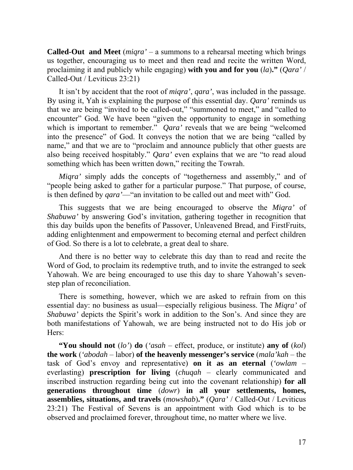**Called-Out and Meet** (*miqra'* – a summons to a rehearsal meeting which brings us together, encouraging us to meet and then read and recite the written Word, proclaiming it and publicly while engaging) **with you and for you** (*la*)**."** (*Qara'* / Called-Out / Leviticus 23:21)

It isn't by accident that the root of *miqra'*, *qara'*, was included in the passage. By using it, Yah is explaining the purpose of this essential day. *Qara'* reminds us that we are being "invited to be called-out," "summoned to meet," and "called to encounter" God. We have been "given the opportunity to engage in something which is important to remember." *Qara'* reveals that we are being "welcomed into the presence" of God. It conveys the notion that we are being "called by name," and that we are to "proclaim and announce publicly that other guests are also being received hospitably." *Qara'* even explains that we are "to read aloud something which has been written down," reciting the Towrah.

*Miqra'* simply adds the concepts of "togetherness and assembly," and of "people being asked to gather for a particular purpose." That purpose, of course, is then defined by *qara'*—"an invitation to be called out and meet with" God.

This suggests that we are being encouraged to observe the *Miqra'* of *Shabuwa'* by answering God's invitation, gathering together in recognition that this day builds upon the benefits of Passover, Unleavened Bread, and FirstFruits, adding enlightenment and empowerment to becoming eternal and perfect children of God. So there is a lot to celebrate, a great deal to share.

And there is no better way to celebrate this day than to read and recite the Word of God, to proclaim its redemptive truth, and to invite the estranged to seek Yahowah. We are being encouraged to use this day to share Yahowah's sevenstep plan of reconciliation.

There is something, however, which we are asked to refrain from on this essential day: no business as usual—especially religious business. The *Miqra'* of *Shabuwa'* depicts the Spirit's work in addition to the Son's. And since they are both manifestations of Yahowah, we are being instructed not to do His job or Hers:

**"You should not** (*lo'*) **do** (*'asah* – effect, produce, or institute) **any of** (*kol*) **the work** (*'abodah* – labor) **of the heavenly messenger's service** (*mala'kah* – the task of God's envoy and representative) **on it as an eternal** (*'owlam* – everlasting) **prescription for living** (*chuqah* – clearly communicated and inscribed instruction regarding being cut into the covenant relationship) **for all generations throughout time** (*dowr*) **in all your settlements, homes, assemblies, situations, and travels** (*mowshab*)**."** (*Qara'* / Called-Out / Leviticus 23:21) The Festival of Sevens is an appointment with God which is to be observed and proclaimed forever, throughout time, no matter where we live.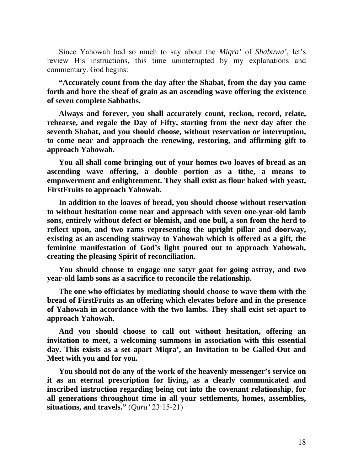Since Yahowah had so much to say about the *Miqra'* of *Shabuwa'*, let's review His instructions, this time uninterrupted by my explanations and commentary. God begins:

**"Accurately count from the day after the Shabat, from the day you came forth and bore the sheaf of grain as an ascending wave offering the existence of seven complete Sabbaths.**

**Always and forever, you shall accurately count, reckon, record, relate, rehearse, and regale the Day of Fifty, starting from the next day after the seventh Shabat, and you should choose, without reservation or interruption, to come near and approach the renewing, restoring, and affirming gift to approach Yahowah.**

**You all shall come bringing out of your homes two loaves of bread as an ascending wave offering, a double portion as a tithe, a means to empowerment and enlightenment. They shall exist as flour baked with yeast, FirstFruits to approach Yahowah.**

**In addition to the loaves of bread, you should choose without reservation to without hesitation come near and approach with seven one-year-old lamb sons, entirely without defect or blemish, and one bull, a son from the herd to reflect upon, and two rams representing the upright pillar and doorway, existing as an ascending stairway to Yahowah which is offered as a gift, the feminine manifestation of God's light poured out to approach Yahowah, creating the pleasing Spirit of reconciliation.**

**You should choose to engage one satyr goat for going astray, and two year-old lamb sons as a sacrifice to reconcile the relationship.**

**The one who officiates by mediating should choose to wave them with the bread of FirstFruits as an offering which elevates before and in the presence of Yahowah in accordance with the two lambs. They shall exist set-apart to approach Yahowah.**

**And you should choose to call out without hesitation, offering an invitation to meet, a welcoming summons in association with this essential day. This exists as a set apart Miqra', an Invitation to be Called-Out and Meet with you and for you.** 

**You should not do any of the work of the heavenly messenger's service on it as an eternal prescription for living, as a clearly communicated and inscribed instruction regarding being cut into the covenant relationship**, **for all generations throughout time in all your settlements, homes, assemblies, situations, and travels."** (*Qara'* 23:15-21)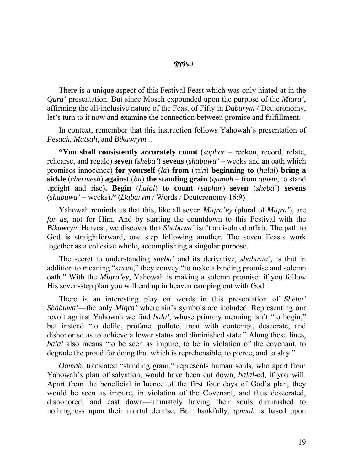## <u>ሞሃሞግ</u>

There is a unique aspect of this Festival Feast which was only hinted at in the *Qara'* presentation. But since Moseh expounded upon the purpose of the *Miqra'*, affirming the all-inclusive nature of the Feast of Fifty in *Dabarym* / Deuteronomy, let's turn to it now and examine the connection between promise and fulfillment.

In context, remember that this instruction follows Yahowah's presentation of *Pesach*, *Matsah*, and *Bikuwrym*...

**"You shall consistently accurately count** (s*aphar* – reckon, record, relate, rehearse, and regale) **seven** (*sheba'*) **sevens** (*shabuwa' –* weeks and an oath which promises innocence) **for yourself** (*la*) **from** (*min*) **beginning to** (*halal*) **bring a sickle** (*chermesh*) **against** (*ba*) **the standing grain** (*qamah* – from *quwm*, to stand upright and rise)**. Begin** (*halal*) **to count** (*saphar*) **seven** (*sheba'*) **sevens** (*shabuwa' –* weeks)**."** (*Dabarym* / Words / Deuteronomy 16:9)

Yahowah reminds us that this, like all seven *Miqra'ey* (plural of *Miqra'*), are *for us*, not for Him. And by starting the countdown to this Festival with the *Bikuwrym* Harvest, we discover that *Shabuwa'* isn't an isolated affair. The path to God is straightforward, one step following another. The seven Feasts work together as a cohesive whole, accomplishing a singular purpose.

The secret to understanding *sheba'* and its derivative, *shabuwa',* is that in addition to meaning "seven," they convey "to make a binding promise and solemn oath." With the *Miqra'ey*, Yahowah is making a solemn promise: if you follow His seven-step plan you will end up in heaven camping out with God.

There is an interesting play on words in this presentation of *Sheba' Shabuwa'*—the only *Miqra'* where sin's symbols are included. Representing our revolt against Yahowah we find *halal*, whose primary meaning isn't "to begin," but instead "to defile, profane, pollute, treat with contempt, desecrate, and dishonor so as to achieve a lower status and diminished state." Along these lines, *halal* also means "to be seen as impure, to be in violation of the covenant, to degrade the proud for doing that which is reprehensible, to pierce, and to slay."

*Qamah*, translated "standing grain," represents human souls, who apart from Yahowah's plan of salvation, would have been cut down, *halal*-ed, if you will. Apart from the beneficial influence of the first four days of God's plan, they would be seen as impure, in violation of the Covenant, and thus desecrated, dishonored, and cast down—ultimately having their souls diminished to nothingness upon their mortal demise. But thankfully, *qamah* is based upon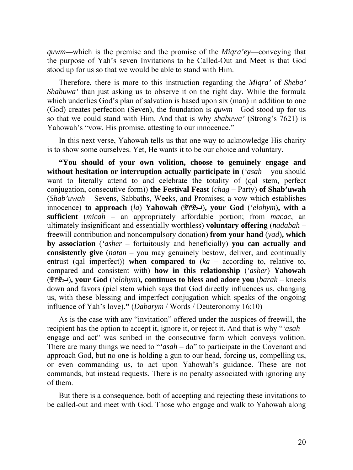*quwm—*which is the premise and the promise of the *Miqra'ey*—conveying that the purpose of Yah's seven Invitations to be Called-Out and Meet is that God stood up for us so that we would be able to stand with Him.

Therefore, there is more to this instruction regarding the *Miqra'* of *Sheba' Shabuwa'* than just asking us to observe it on the right day. While the formula which underlies God's plan of salvation is based upon six (man) in addition to one (God) creates perfection (Seven), the foundation is *quwm*—God stood up for us so that we could stand with Him. And that is why *shabuwa'* (Strong's 7621) is Yahowah's "vow, His promise, attesting to our innocence."

In this next verse, Yahowah tells us that one way to acknowledge His charity is to show some ourselves. Yet, He wants it to be our choice and voluntary.

**"You should of your own volition, choose to genuinely engage and without hesitation or interruption actually participate in**  $({'asah - you should}$ want to literally attend to and celebrate the totality of (qal stem, perfect conjugation, consecutive form)) **the Festival Feast** (*chag –* Party) **of Shab'uwah**  (*Shab'uwah* – Sevens, Sabbaths, Weeks, and Promises; a vow which establishes innocence) **to approach** (*la*) **Yahowah** ()**, your God** (*'elohym*)**, with a sufficient** (*micah* – an appropriately affordable portion; from *macac*, an ultimately insignificant and essentially worthless) **voluntary offering** (*nadabah* – freewill contribution and noncompulsory donation) **from your hand** (*yad*)**, which by association** (*'asher –* fortuitously and beneficially) **you can actually and consistently give** (*natan* – you may genuinely bestow, deliver, and continually entrust (qal imperfect)) **when compared to** (*ka* – according to, relative to, compared and consistent with) **how in this relationship** (*'asher*) **Yahowah**  ()**, your God** (*'elohym*)**, continues to bless and adore you** (*barak* – kneels down and favors (piel stem which says that God directly influences us, changing us, with these blessing and imperfect conjugation which speaks of the ongoing influence of Yah's love)**."** (*Dabarym* / Words / Deuteronomy 16:10)

As is the case with any "invitation" offered under the auspices of freewill, the recipient has the option to accept it, ignore it, or reject it. And that is why "*'asah* – engage and act" was scribed in the consecutive form which conveys volition. There are many things we need to "*'asah* – do" to participate in the Covenant and approach God, but no one is holding a gun to our head, forcing us, compelling us, or even commanding us, to act upon Yahowah's guidance. These are not commands, but instead requests. There is no penalty associated with ignoring any of them.

But there is a consequence, both of accepting and rejecting these invitations to be called-out and meet with God. Those who engage and walk to Yahowah along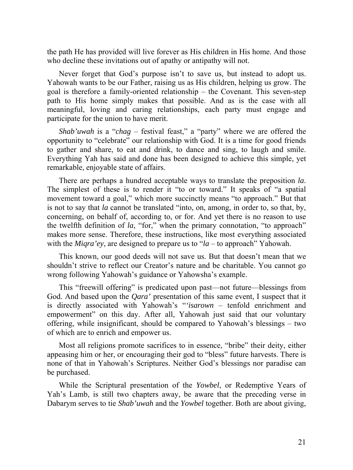the path He has provided will live forever as His children in His home. And those who decline these invitations out of apathy or antipathy will not.

Never forget that God's purpose isn't to save us, but instead to adopt us. Yahowah wants to be our Father, raising us as His children, helping us grow. The goal is therefore a family-oriented relationship – the Covenant. This seven-step path to His home simply makes that possible. And as is the case with all meaningful, loving and caring relationships, each party must engage and participate for the union to have merit.

*Shab'uwah* is a "*chag* – festival feast," a "party" where we are offered the opportunity to "celebrate" our relationship with God. It is a time for good friends to gather and share, to eat and drink, to dance and sing, to laugh and smile. Everything Yah has said and done has been designed to achieve this simple, yet remarkable, enjoyable state of affairs.

There are perhaps a hundred acceptable ways to translate the preposition *la*. The simplest of these is to render it "to or toward." It speaks of "a spatial movement toward a goal," which more succinctly means "to approach." But that is not to say that *la* cannot be translated "into, on, among, in order to, so that, by, concerning, on behalf of, according to, or for. And yet there is no reason to use the twelfth definition of *la*, "for," when the primary connotation, "to approach" makes more sense. Therefore, these instructions, like most everything associated with the *Miqra'ey*, are designed to prepare us to "*la* – to approach" Yahowah.

This known, our good deeds will not save us. But that doesn't mean that we shouldn't strive to reflect our Creator's nature and be charitable. You cannot go wrong following Yahowah's guidance or Yahowsha's example.

This "freewill offering" is predicated upon past—not future—blessings from God. And based upon the *Qara'* presentation of this same event, I suspect that it is directly associated with Yahowah's "*'isarown* – tenfold enrichment and empowerment" on this day. After all, Yahowah just said that our voluntary offering, while insignificant, should be compared to Yahowah's blessings – two of which are to enrich and empower us.

Most all religions promote sacrifices to in essence, "bribe" their deity, either appeasing him or her, or encouraging their god to "bless" future harvests. There is none of that in Yahowah's Scriptures. Neither God's blessings nor paradise can be purchased.

While the Scriptural presentation of the *Yowbel*, or Redemptive Years of Yah's Lamb, is still two chapters away, be aware that the preceding verse in Dabarym serves to tie *Shab'uwah* and the *Yowbel* together. Both are about giving,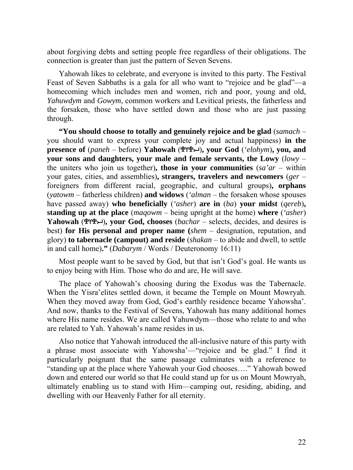about forgiving debts and setting people free regardless of their obligations. The connection is greater than just the pattern of Seven Sevens.

Yahowah likes to celebrate, and everyone is invited to this party. The Festival Feast of Seven Sabbaths is a gala for all who want to "rejoice and be glad"—a homecoming which includes men and women, rich and poor, young and old, *Yahuwdym* and *Gowym*, common workers and Levitical priests, the fatherless and the forsaken, those who have settled down and those who are just passing through.

**"You should choose to totally and genuinely rejoice and be glad** (*samach* – you should want to express your complete joy and actual happiness) **in the presence of** (*paneh* – before) **Yahowah** ()**, your God** (*'elohym*)**, you, and your sons and daughters, your male and female servants, the Lowy** (*lowy* – the uniters who join us together)**, those in your communities** (*sa'ar* – within your gates, cities, and assemblies)**, strangers, travelers and newcomers** (*ger* – foreigners from different racial, geographic, and cultural groups)**, orphans**  (*yatowm* – fatherless children) **and widows** (*'alman* – the forsaken whose spouses have passed away) **who beneficially** (*'asher*) **are in** (*ba*) **your midst** (*qereb*)**, standing up at the place** (*maqowm* – being upright at the home) **where** (*'asher*) **Yahowah (£YE**), your God, chooses (*bachar* – selects, decides, and desires is best) **for His personal and proper name (***shem* – designation, reputation, and glory) **to tabernacle (campout) and reside** (*shakan* – to abide and dwell, to settle in and call home)**."** (*Dabarym* / Words / Deuteronomy 16:11)

Most people want to be saved by God, but that isn't God's goal. He wants us to enjoy being with Him. Those who do and are, He will save.

The place of Yahowah's choosing during the Exodus was the Tabernacle. When the Yisra'elites settled down, it became the Temple on Mount Mowryah. When they moved away from God, God's earthly residence became Yahowsha'. And now, thanks to the Festival of Sevens, Yahowah has many additional homes where His name resides. We are called Yahuwdym—those who relate to and who are related to Yah. Yahowah's name resides in us.

Also notice that Yahowah introduced the all-inclusive nature of this party with a phrase most associate with Yahowsha'—"rejoice and be glad." I find it particularly poignant that the same passage culminates with a reference to "standing up at the place where Yahowah your God chooses…." Yahowah bowed down and entered our world so that He could stand up for us on Mount Mowryah, ultimately enabling us to stand with Him—camping out, residing, abiding, and dwelling with our Heavenly Father for all eternity.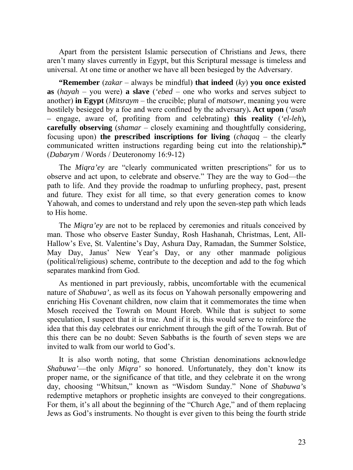Apart from the persistent Islamic persecution of Christians and Jews, there aren't many slaves currently in Egypt, but this Scriptural message is timeless and universal. At one time or another we have all been besieged by the Adversary.

**"Remember** (*zakar* – always be mindful) **that indeed**  $(ky)$  **you once existed as** (*hayah* – you were) **a slave** (*'ebed* – one who works and serves subject to another) **in Egypt** (*Mitsraym* – the crucible; plural of *matsowr*, meaning you were hostilely besieged by a foe and were confined by the adversary)**. Act upon** (*'asah –* engage, aware of, profiting from and celebrating) **this reality** (*'el-leh*)**, carefully observing** (*shamar* – closely examining and thoughtfully considering, focusing upon) **the prescribed inscriptions for living** (*chaqaq* – the clearly communicated written instructions regarding being cut into the relationship)**."** (*Dabarym* / Words / Deuteronomy 16:9-12)

The *Miqra'ey* are "clearly communicated written prescriptions" for us to observe and act upon, to celebrate and observe." They are the way to God—the path to life. And they provide the roadmap to unfurling prophecy, past, present and future. They exist for all time, so that every generation comes to know Yahowah, and comes to understand and rely upon the seven-step path which leads to His home.

The *Miqra'ey* are not to be replaced by ceremonies and rituals conceived by man. Those who observe Easter Sunday, Rosh Hashanah, Christmas, Lent, All-Hallow's Eve, St. Valentine's Day, Ashura Day, Ramadan, the Summer Solstice, May Day, Janus' New Year's Day, or any other manmade poligious (political/religious) scheme, contribute to the deception and add to the fog which separates mankind from God.

As mentioned in part previously, rabbis, uncomfortable with the ecumenical nature of *Shabuwa'*, as well as its focus on Yahowah personally empowering and enriching His Covenant children, now claim that it commemorates the time when Moseh received the Towrah on Mount Horeb. While that is subject to some speculation, I suspect that it is true. And if it is, this would serve to reinforce the idea that this day celebrates our enrichment through the gift of the Towrah. But of this there can be no doubt: Seven Sabbaths is the fourth of seven steps we are invited to walk from our world to God's.

It is also worth noting, that some Christian denominations acknowledge *Shabuwa'*—the only *Miqra'* so honored. Unfortunately, they don't know its proper name, or the significance of that title, and they celebrate it on the wrong day, choosing "Whitsun," known as "Wisdom Sunday." None of *Shabuwa'*s redemptive metaphors or prophetic insights are conveyed to their congregations. For them, it's all about the beginning of the "Church Age," and of them replacing Jews as God's instruments. No thought is ever given to this being the fourth stride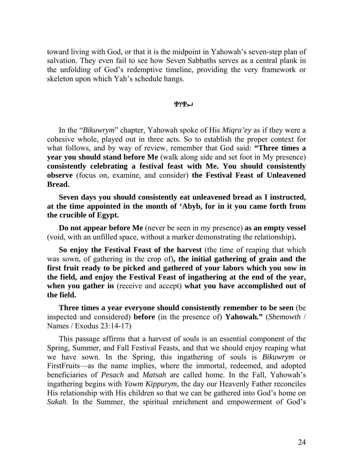toward living with God, or that it is the midpoint in Yahowah's seven-step plan of salvation. They even fail to see how Seven Sabbaths serves as a central plank in the unfolding of God's redemptive timeline, providing the very framework or skeleton upon which Yah's schedule hangs.

## ቝለሔገ

In the "*Bikuwrym*" chapter, Yahowah spoke of His *Miqra'ey* as if they were a cohesive whole, played out in three acts. So to establish the proper context for what follows, and by way of review, remember that God said: **"Three times a year you should stand before Me** (walk along side and set foot in My presence) **consistently celebrating a festival feast with Me. You should consistently observe** (focus on, examine, and consider) **the Festival Feast of Unleavened Bread.** 

**Seven days you should consistently eat unleavened bread as I instructed, at the time appointed in the month of 'Abyb, for in it you came forth from the crucible of Egypt.** 

**Do not appear before Me** (never be seen in my presence) **as an empty vessel**  (void, with an unfilled space, without a marker demonstrating the relationship)**.** 

**So enjoy the Festival Feast of the harvest** (the time of reaping that which was sown, of gathering in the crop of)**, the initial gathering of grain and the first fruit ready to be picked and gathered of your labors which you sow in the field, and enjoy the Festival Feast of ingathering at the end of the year, when you gather in** (receive and accept) **what you have accomplished out of the field.** 

**Three times a year everyone should consistently remember to be seen** (be inspected and considered) **before** (in the presence of) **Yahowah."** (*Shemowth* / Names / Exodus 23:14-17)

This passage affirms that a harvest of souls is an essential component of the Spring, Summer, and Fall Festival Feasts, and that we should enjoy reaping what we have sown. In the Spring, this ingathering of souls is *Bikuwrym* or FirstFruits—as the name implies, where the immortal, redeemed, and adopted beneficiaries of *Pesach* and *Matsah* are called home. In the Fall, Yahowah's ingathering begins with *Yowm Kippurym*, the day our Heavenly Father reconciles His relationship with His children so that we can be gathered into God's home on *Sukah*. In the Summer, the spiritual enrichment and empowerment of God's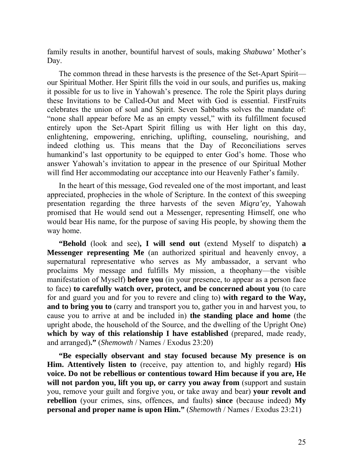family results in another, bountiful harvest of souls, making *Shabuwa'* Mother's Day.

The common thread in these harvests is the presence of the Set-Apart Spirit our Spiritual Mother. Her Spirit fills the void in our souls, and purifies us, making it possible for us to live in Yahowah's presence. The role the Spirit plays during these Invitations to be Called-Out and Meet with God is essential. FirstFruits celebrates the union of soul and Spirit. Seven Sabbaths solves the mandate of: "none shall appear before Me as an empty vessel," with its fulfillment focused entirely upon the Set-Apart Spirit filling us with Her light on this day, enlightening, empowering, enriching, uplifting, counseling, nourishing, and indeed clothing us. This means that the Day of Reconciliations serves humankind's last opportunity to be equipped to enter God's home. Those who answer Yahowah's invitation to appear in the presence of our Spiritual Mother will find Her accommodating our acceptance into our Heavenly Father's family.

In the heart of this message, God revealed one of the most important, and least appreciated, prophecies in the whole of Scripture. In the context of this sweeping presentation regarding the three harvests of the seven *Miqra'ey*, Yahowah promised that He would send out a Messenger, representing Himself, one who would bear His name, for the purpose of saving His people, by showing them the way home.

**"Behold** (look and see)**, I will send out** (extend Myself to dispatch) **a Messenger representing Me** (an authorized spiritual and heavenly envoy, a supernatural representative who serves as My ambassador, a servant who proclaims My message and fulfills My mission, a theophany—the visible manifestation of Myself) **before you** (in your presence, to appear as a person face to face) **to carefully watch over, protect, and be concerned about you** (to care for and guard you and for you to revere and cling to) **with regard to the Way, and to bring you to** (carry and transport you to, gather you in and harvest you, to cause you to arrive at and be included in) **the standing place and home** (the upright abode, the household of the Source, and the dwelling of the Upright One) **which by way of this relationship I have established** (prepared, made ready, and arranged)**."** (*Shemowth* / Names / Exodus 23:20)

**"Be especially observant and stay focused because My presence is on Him. Attentively listen to** (receive, pay attention to, and highly regard) **His voice. Do not be rebellious or contentious toward Him because if you are, He will not pardon you, lift you up, or carry you away from** (support and sustain you, remove your guilt and forgive you, or take away and bear) **your revolt and rebellion** (your crimes, sins, offences, and faults) **since** (because indeed) **My personal and proper name is upon Him."** (*Shemowth* / Names / Exodus 23:21)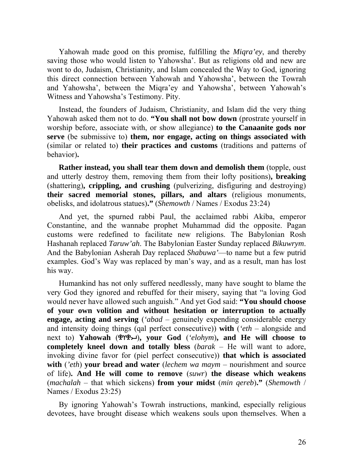Yahowah made good on this promise, fulfilling the *Miqra'ey*, and thereby saving those who would listen to Yahowsha'. But as religions old and new are wont to do, Judaism, Christianity, and Islam concealed the Way to God, ignoring this direct connection between Yahowah and Yahowsha', between the Towrah and Yahowsha', between the Miqra'ey and Yahowsha', between Yahowah's Witness and Yahowsha's Testimony. Pity.

Instead, the founders of Judaism, Christianity, and Islam did the very thing Yahowah asked them not to do. **"You shall not bow down** (prostrate yourself in worship before, associate with, or show allegiance) **to the Canaanite gods nor serve** (be submissive to) **them, nor engage, acting on things associated with**  (similar or related to) **their practices and customs** (traditions and patterns of behavior)**.** 

**Rather instead, you shall tear them down and demolish them** (topple, oust and utterly destroy them, removing them from their lofty positions)**, breaking** (shattering)**, crippling, and crushing** (pulverizing, disfiguring and destroying) **their sacred memorial stones, pillars, and altars** (religious monuments, obelisks, and idolatrous statues)**."** (*Shemowth* / Names / Exodus 23:24)

And yet, the spurned rabbi Paul, the acclaimed rabbi Akiba, emperor Constantine, and the wannabe prophet Muhammad did the opposite. Pagan customs were redefined to facilitate new religions. The Babylonian Rosh Hashanah replaced *Taruw'ah*. The Babylonian Easter Sunday replaced *Bikuwrym*. And the Babylonian Asherah Day replaced *Shabuwa'*—to name but a few putrid examples. God's Way was replaced by man's way, and as a result, man has lost his way.

Humankind has not only suffered needlessly, many have sought to blame the very God they ignored and rebuffed for their misery, saying that "a loving God would never have allowed such anguish." And yet God said: **"You should choose of your own volition and without hesitation or interruption to actually engage, acting and serving** (*'abad* – genuinely expending considerable energy and intensity doing things (qal perfect consecutive)) **with** (*'eth* – alongside and next to) **Yahowah** ()**, your God** (*'elohym*)**, and He will choose to completely kneel down and totally bless** (*barak* – He will want to adore, invoking divine favor for (piel perfect consecutive)) **that which is associated with** (*'eth*) **your bread and water** (*lechem wa maym* – nourishment and source of life)**. And He will come to remove** (*suwr*) **the disease which weakens**  (*machalah* – that which sickens) **from your midst** (*min qereb*)**."** (*Shemowth* / Names / Exodus 23:25)

By ignoring Yahowah's Towrah instructions, mankind, especially religious devotees, have brought disease which weakens souls upon themselves. When a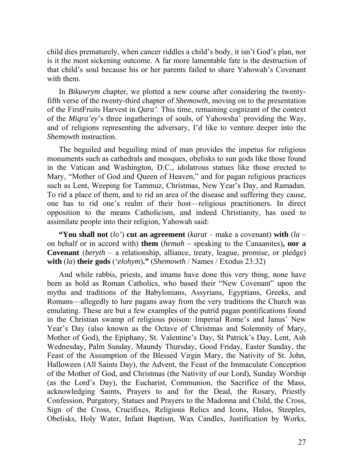child dies prematurely, when cancer riddles a child's body, it isn't God's plan, nor is it the most sickening outcome. A far more lamentable fate is the destruction of that child's soul because his or her parents failed to share Yahowah's Covenant with them.

In *Bikuwrym* chapter, we plotted a new course after considering the twentyfifth verse of the twenty-third chapter of *Shemowth*, moving on to the presentation of the FirstFruits Harvest in *Qara'*. This time, remaining cognizant of the context of the *Miqra'ey*'s three ingatherings of souls, of Yahowsha' providing the Way, and of religions representing the adversary, I'd like to venture deeper into the *Shemowth* instruction.

The beguiled and beguiling mind of man provides the impetus for religious monuments such as cathedrals and mosques, obelisks to sun gods like those found in the Vatican and Washington, D.C., idolatrous statues like those erected to Mary, "Mother of God and Queen of Heaven," and for pagan religious practices such as Lent, Weeping for Tammuz, Christmas, New Year's Day, and Ramadan. To rid a place of them, and to rid an area of the disease and suffering they cause, one has to rid one's realm of their host—religious practitioners. In direct opposition to the means Catholicism, and indeed Christianity, has used to assimilate people into their religion, Yahowah said:

**"You shall not** (*lo'*) **cut an agreement** (*karat* – make a covenant) **with** (*la* – on behalf or in accord with) **them** (*hemah –* speaking to the Canaanites)**, nor a Covenant** (*beryth* – a relationship, alliance, treaty, league, promise, or pledge) **with** (*la*) **their gods** (*'elohym*)**."** (*Shemowth* / Names / Exodus 23:32)

And while rabbis, priests, and imams have done this very thing, none have been as bold as Roman Catholics, who based their "New Covenant" upon the myths and traditions of the Babylonians, Assyrians, Egyptians, Greeks, and Romans—allegedly to lure pagans away from the very traditions the Church was emulating. These are but a few examples of the putrid pagan pontifications found in the Christian swamp of religious poison: Imperial Rome's and Janus' New Year's Day (also known as the Octave of Christmas and Solemnity of Mary, Mother of God), the Epiphany, St. Valentine's Day, St Patrick's Day, Lent, Ash Wednesday, Palm Sunday, Maundy Thursday, Good Friday, Easter Sunday, the Feast of the Assumption of the Blessed Virgin Mary, the Nativity of St. John, Halloween (All Saints Day), the Advent, the Feast of the Immaculate Conception of the Mother of God, and Christmas (the Nativity of our Lord), Sunday Worship (as the Lord's Day), the Eucharist, Communion, the Sacrifice of the Mass, acknowledging Saints, Prayers to and for the Dead, the Rosary, Priestly Confession, Purgatory, Statues and Prayers to the Madonna and Child, the Cross, Sign of the Cross, Crucifixes, Religious Relics and Icons, Halos, Steeples, Obelisks, Holy Water, Infant Baptism, Wax Candles, Justification by Works,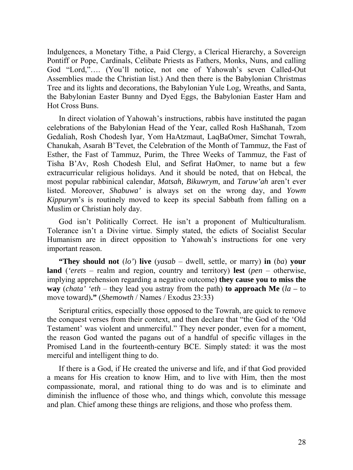Indulgences, a Monetary Tithe, a Paid Clergy, a Clerical Hierarchy, a Sovereign Pontiff or Pope, Cardinals, Celibate Priests as Fathers, Monks, Nuns, and calling God "Lord,"…. (You'll notice, not one of Yahowah's seven Called-Out Assemblies made the Christian list.) And then there is the Babylonian Christmas Tree and its lights and decorations, the Babylonian Yule Log, Wreaths, and Santa, the Babylonian Easter Bunny and Dyed Eggs, the Babylonian Easter Ham and Hot Cross Buns.

In direct violation of Yahowah's instructions, rabbis have instituted the pagan celebrations of the Babylonian Head of the Year, called Rosh HaShanah, Tzom Gedaliah, Rosh Chodesh Iyar, Yom HaAtzmaut, LaqBaOmer, Simchat Towrah, Chanukah, Asarah B'Tevet, the Celebration of the Month of Tammuz, the Fast of Esther, the Fast of Tammuz, Purim, the Three Weeks of Tammuz, the Fast of Tisha B'Av, Rosh Chodesh Elul, and Sefirat HaOmer, to name but a few extracurricular religious holidays. And it should be noted, that on Hebcal, the most popular rabbinical calendar, *Matsah, Bikuwrym*, and *Taruw'ah* aren't ever listed. Moreover, *Shabuwa'* is always set on the wrong day, and *Yowm Kippurym*'s is routinely moved to keep its special Sabbath from falling on a Muslim or Christian holy day.

God isn't Politically Correct. He isn't a proponent of Multiculturalism. Tolerance isn't a Divine virtue. Simply stated, the edicts of Socialist Secular Humanism are in direct opposition to Yahowah's instructions for one very important reason.

**"They should not** (*lo'*) **live** (*yasab* – dwell, settle, or marry) **in** (*ba*) **your land** (*'erets* – realm and region, country and territory) **lest** (*pen* – otherwise, implying apprehension regarding a negative outcome) **they cause you to miss the way** (*chata' 'eth* – they lead you astray from the path) **to approach Me** (*la –* to move toward)**."** (*Shemowth* / Names / Exodus 23:33)

Scriptural critics, especially those opposed to the Towrah, are quick to remove the conquest verses from their context, and then declare that "the God of the 'Old Testament' was violent and unmerciful." They never ponder, even for a moment, the reason God wanted the pagans out of a handful of specific villages in the Promised Land in the fourteenth-century BCE. Simply stated: it was the most merciful and intelligent thing to do.

If there is a God, if He created the universe and life, and if that God provided a means for His creation to know Him, and to live with Him, then the most compassionate, moral, and rational thing to do was and is to eliminate and diminish the influence of those who, and things which, convolute this message and plan. Chief among these things are religions, and those who profess them.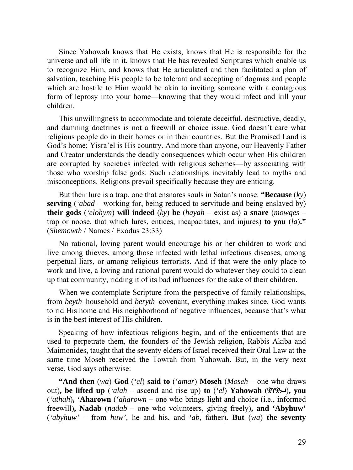Since Yahowah knows that He exists, knows that He is responsible for the universe and all life in it, knows that He has revealed Scriptures which enable us to recognize Him, and knows that He articulated and then facilitated a plan of salvation, teaching His people to be tolerant and accepting of dogmas and people which are hostile to Him would be akin to inviting someone with a contagious form of leprosy into your home—knowing that they would infect and kill your children.

This unwillingness to accommodate and tolerate deceitful, destructive, deadly, and damning doctrines is not a freewill or choice issue. God doesn't care what religious people do in their homes or in their countries. But the Promised Land is God's home; Yisra'el is His country. And more than anyone, our Heavenly Father and Creator understands the deadly consequences which occur when His children are corrupted by societies infected with religious schemes—by associating with those who worship false gods. Such relationships inevitably lead to myths and misconceptions. Religions prevail specifically because they are enticing.

But their lure is a trap, one that ensnares souls in Satan's noose. **"Because** (*ky*) **serving** (*'abad* – working for, being reduced to servitude and being enslaved by) **their gods** (*'elohym*) **will indeed** (*ky*) **be** (*hayah* – exist as) **a snare** (*mowqes* – trap or noose, that which lures, entices, incapacitates, and injures) **to you** (*la*)**."** (*Shemowth* / Names / Exodus 23:33)

No rational, loving parent would encourage his or her children to work and live among thieves, among those infected with lethal infectious diseases, among perpetual liars, or among religious terrorists. And if that were the only place to work and live, a loving and rational parent would do whatever they could to clean up that community, ridding it of its bad influences for the sake of their children.

When we contemplate Scripture from the perspective of family relationships, from *beyth*–household and *beryth*–covenant, everything makes since. God wants to rid His home and His neighborhood of negative influences, because that's what is in the best interest of His children.

Speaking of how infectious religions begin, and of the enticements that are used to perpetrate them, the founders of the Jewish religion, Rabbis Akiba and Maimonides, taught that the seventy elders of Israel received their Oral Law at the same time Moseh received the Towrah from Yahowah. But, in the very next verse, God says otherwise:

**"And then** (*wa*) **God** (*'el*) **said to** (*'amar*) **Moseh** (*Moseh* – one who draws out), be lifted up (*'alah* – ascend and rise up) to (*'el*) Yahowah ( $\mathcal{L}(\mathcal{X}, \mathcal{Y})$ , you (*'athah*)**, 'Aharown** (*'aharown* – one who brings light and choice (i.e., informed freewill)**, Nadab** (*nadab* – one who volunteers, giving freely)**, and 'Abyhuw'** (*'abyhuw'* – from *huw',* he and his, and *'ab*, father)**. But** (*wa*) **the seventy**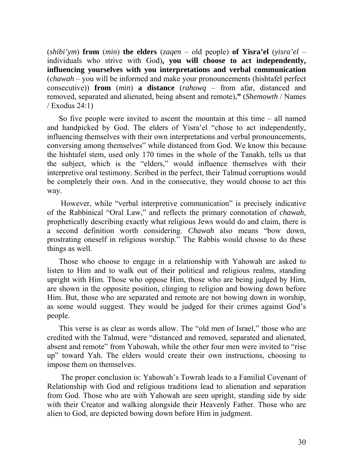(*shibi'ym*) **from** (*min*) **the elders** (*zaqen* – old people) **of Yisra'el** (*yisra'el* – individuals who strive with God)**, you will choose to act independently, influencing yourselves with you interpretations and verbal communication** (*chawah* – you will be informed and make your pronouncements (hishtafel perfect consecutive)) **from** (*min*) **a distance** (*rahowq* – from afar, distanced and removed, separated and alienated, being absent and remote)**."** (*Shemowth* / Names / Exodus 24:1)

So five people were invited to ascent the mountain at this time – all named and handpicked by God. The elders of Yisra'el "chose to act independently, influencing themselves with their own interpretations and verbal pronouncements, conversing among themselves" while distanced from God. We know this because the hishtafel stem, used only 170 times in the whole of the Tanakh, tells us that the subject, which is the "elders," would influence themselves with their interpretive oral testimony. Scribed in the perfect, their Talmud corruptions would be completely their own. And in the consecutive, they would choose to act this way.

 However, while "verbal interpretive communication" is precisely indicative of the Rabbinical "Oral Law," and reflects the primary connotation of *chawah*, prophetically describing exactly what religious Jews would do and claim, there is a second definition worth considering. *Chawah* also means "bow down, prostrating oneself in religious worship." The Rabbis would choose to do these things as well.

Those who choose to engage in a relationship with Yahowah are asked to listen to Him and to walk out of their political and religious realms, standing upright with Him. Those who oppose Him, those who are being judged by Him, are shown in the opposite position, clinging to religion and bowing down before Him. But, those who are separated and remote are not bowing down in worship, as some would suggest. They would be judged for their crimes against God's people.

This verse is as clear as words allow. The "old men of Israel," those who are credited with the Talmud, were "distanced and removed, separated and alienated, absent and remote" from Yahowah, while the other four men were invited to "rise up" toward Yah. The elders would create their own instructions, choosing to impose them on themselves.

 The proper conclusion is: Yahowah's Towrah leads to a Familial Covenant of Relationship with God and religious traditions lead to alienation and separation from God. Those who are with Yahowah are seen upright, standing side by side with their Creator and walking alongside their Heavenly Father. Those who are alien to God, are depicted bowing down before Him in judgment.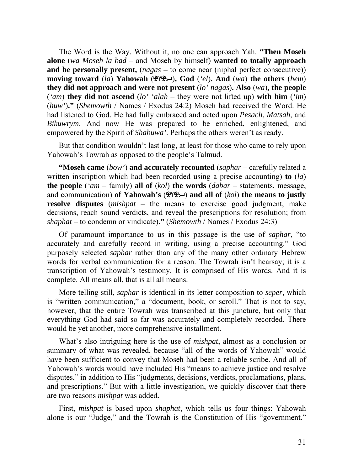The Word is the Way. Without it, no one can approach Yah. **"Then Moseh alone** (*wa Moseh la bad* – and Moseh by himself) **wanted to totally approach and be personally present,** (*nagas –* to come near (niphal perfect consecutive)) **moving toward** (*la*) **Yahowah** ()**, God** (*'el*)**. And** (*wa*) **the others** (*hem*) **they did not approach and were not present** (*lo' nagas*)**. Also** (*wa*)**, the people** (*'am*) **they did not ascend** (*lo' 'alah* – they were not lifted up) **with him** (*'im*) (*huw'*)**."** (*Shemowth* / Names / Exodus 24:2) Moseh had received the Word. He had listened to God. He had fully embraced and acted upon *Pesach*, *Matsah*, and *Bikuwrym*. And now He was prepared to be enriched, enlightened, and empowered by the Spirit of *Shabuwa'*. Perhaps the others weren't as ready.

But that condition wouldn't last long, at least for those who came to rely upon Yahowah's Towrah as opposed to the people's Talmud.

**"Moseh came** (*bow'*) **and accurately recounted** (*saphar* – carefully related a written inscription which had been recorded using a precise accounting) **to** (*la*) **the people** (*'am* – family) **all of** (*kol*) **the words** (*dabar* – statements, message, and communication) **of Yahowah's** () **and all of** (*kol*) **the means to justly resolve disputes** (*mishpat* – the means to exercise good judgment, make decisions, reach sound verdicts, and reveal the prescriptions for resolution; from *shaphat* – to condemn or vindicate)**."** (*Shemowth* / Names / Exodus 24:3)

Of paramount importance to us in this passage is the use of *saphar*, "to accurately and carefully record in writing, using a precise accounting." God purposely selected *saphar* rather than any of the many other ordinary Hebrew words for verbal communication for a reason. The Towrah isn't hearsay; it is a transcription of Yahowah's testimony. It is comprised of His words. And it is complete. All means all, that is all all means.

More telling still, *saphar* is identical in its letter composition to *seper*, which is "written communication," a "document, book, or scroll." That is not to say, however, that the entire Towrah was transcribed at this juncture, but only that everything God had said so far was accurately and completely recorded. There would be yet another, more comprehensive installment.

What's also intriguing here is the use of *mishpat*, almost as a conclusion or summary of what was revealed, because "all of the words of Yahowah" would have been sufficient to convey that Moseh had been a reliable scribe. And all of Yahowah's words would have included His "means to achieve justice and resolve disputes," in addition to His "judgments, decisions, verdicts, proclamations, plans, and prescriptions." But with a little investigation, we quickly discover that there are two reasons *mishpat* was added.

First, *mishpat* is based upon *shaphat*, which tells us four things: Yahowah alone is our "Judge," and the Towrah is the Constitution of His "government."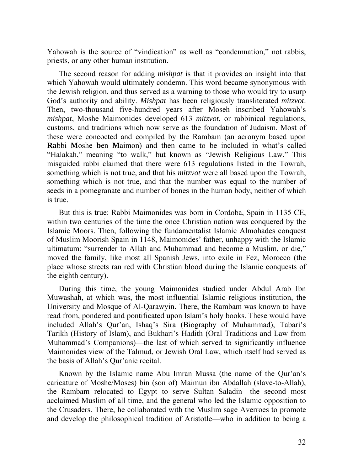Yahowah is the source of "vindication" as well as "condemnation," not rabbis, priests, or any other human institution.

The second reason for adding *mishpat* is that it provides an insight into that which Yahowah would ultimately condemn. This word became synonymous with the Jewish religion, and thus served as a warning to those who would try to usurp God's authority and ability. *Mishpat* has been religiously transliterated *mitzvot*. Then, two-thousand five-hundred years after Moseh inscribed Yahowah's *mishpat*, Moshe Maimonides developed 613 *mitzvot*, or rabbinical regulations, customs, and traditions which now serve as the foundation of Judaism. Most of these were concocted and compiled by the Rambam (an acronym based upon **Ra**bbi **M**oshe **b**en **M**aimon) and then came to be included in what's called "Halakah," meaning "to walk," but known as "Jewish Religious Law." This misguided rabbi claimed that there were 613 regulations listed in the Towrah, something which is not true, and that his *mitzvot* were all based upon the Towrah, something which is not true, and that the number was equal to the number of seeds in a pomegranate and number of bones in the human body, neither of which is true.

But this is true: Rabbi Maimonides was born in Cordoba, Spain in 1135 CE, within two centuries of the time the once Christian nation was conquered by the Islamic Moors. Then, following the fundamentalist Islamic Almohades conquest of Muslim Moorish Spain in 1148, Maimonides' father, unhappy with the Islamic ultimatum: "surrender to Allah and Muhammad and become a Muslim, or die," moved the family, like most all Spanish Jews, into exile in Fez, Morocco (the place whose streets ran red with Christian blood during the Islamic conquests of the eighth century).

During this time, the young Maimonides studied under Abdul Arab Ibn Muwashah, at which was, the most influential Islamic religious institution, the University and Mosque of Al-Qarawyin. There, the Rambam was known to have read from, pondered and pontificated upon Islam's holy books. These would have included Allah's Qur'an, Ishaq's Sira (Biography of Muhammad), Tabari's Tarikh (History of Islam), and Bukhari's Hadith (Oral Traditions and Law from Muhammad's Companions)—the last of which served to significantly influence Maimonides view of the Talmud, or Jewish Oral Law, which itself had served as the basis of Allah's Qur'anic recital.

Known by the Islamic name Abu Imran Mussa (the name of the Qur'an's caricature of Moshe/Moses) bin (son of) Maimun ibn Abdallah (slave-to-Allah), the Rambam relocated to Egypt to serve Sultan Saladin—the second most acclaimed Muslim of all time, and the general who led the Islamic opposition to the Crusaders. There, he collaborated with the Muslim sage Averroes to promote and develop the philosophical tradition of Aristotle—who in addition to being a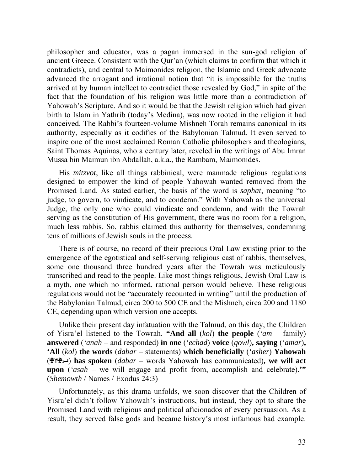philosopher and educator, was a pagan immersed in the sun-god religion of ancient Greece. Consistent with the Qur'an (which claims to confirm that which it contradicts), and central to Maimonides religion, the Islamic and Greek advocate advanced the arrogant and irrational notion that "it is impossible for the truths arrived at by human intellect to contradict those revealed by God," in spite of the fact that the foundation of his religion was little more than a contradiction of Yahowah's Scripture. And so it would be that the Jewish religion which had given birth to Islam in Yathrib (today's Medina), was now rooted in the religion it had conceived. The Rabbi's fourteen-volume Mishneh Torah remains canonical in its authority, especially as it codifies of the Babylonian Talmud. It even served to inspire one of the most acclaimed Roman Catholic philosophers and theologians, Saint Thomas Aquinas, who a century later, reveled in the writings of Abu Imran Mussa bin Maimun ibn Abdallah, a.k.a., the Rambam, Maimonides.

His *mitzvot*, like all things rabbinical, were manmade religious regulations designed to empower the kind of people Yahowah wanted removed from the Promised Land. As stated earlier, the basis of the word is *saphat*, meaning "to judge, to govern, to vindicate, and to condemn." With Yahowah as the universal Judge, the only one who could vindicate and condemn, and with the Towrah serving as the constitution of His government, there was no room for a religion, much less rabbis. So, rabbis claimed this authority for themselves, condemning tens of millions of Jewish souls in the process.

There is of course, no record of their precious Oral Law existing prior to the emergence of the egotistical and self-serving religious cast of rabbis, themselves, some one thousand three hundred years after the Towrah was meticulously transcribed and read to the people. Like most things religious, Jewish Oral Law is a myth, one which no informed, rational person would believe. These religious regulations would not be "accurately recounted in writing" until the production of the Babylonian Talmud, circa 200 to 500 CE and the Mishneh, circa 200 and 1180 CE, depending upon which version one accepts.

Unlike their present day infatuation with the Talmud, on this day, the Children of Yisra'el listened to the Towrah. **"And all** (*kol*) **the people** (*'am* – family) **answered** (*'anah* – and responded) **in one** (*'echad*) **voice** (*qowl*)**, saying** (*'amar*)**, 'All** (*kol*) **the words** (*dabar* – statements) **which beneficially** (*'asher*) **Yahowah** () **has spoken** (*dabar* – words Yahowah has communicated)**, we will act upon** (*'asah* – we will engage and profit from, accomplish and celebrate)**.'"** (*Shemowth* / Names / Exodus 24:3)

Unfortunately, as this drama unfolds, we soon discover that the Children of Yisra'el didn't follow Yahowah's instructions, but instead, they opt to share the Promised Land with religious and political aficionados of every persuasion. As a result, they served false gods and became history's most infamous bad example.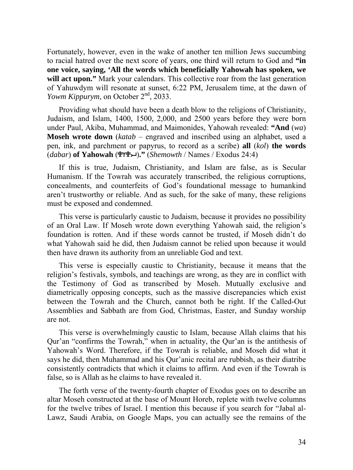Fortunately, however, even in the wake of another ten million Jews succumbing to racial hatred over the next score of years, one third will return to God and **"in one voice, saying, 'All the words which beneficially Yahowah has spoken, we**  will act upon." Mark your calendars. This collective roar from the last generation of Yahuwdym will resonate at sunset, 6:22 PM, Jerusalem time, at the dawn of *Yowm Kippurym*, on October 2<sup>nd</sup>, 2033.

Providing what should have been a death blow to the religions of Christianity, Judaism, and Islam, 1400, 1500, 2,000, and 2500 years before they were born under Paul, Akiba, Muhammad, and Maimonides, Yahowah revealed: **"And** (*wa*) **Moseh wrote down** (*katab* – engraved and inscribed using an alphabet, used a pen, ink, and parchment or papyrus, to record as a scribe) **all** (*kol*) **the words** (*dabar*) **of Yahowah** ()**."** (*Shemowth* / Names / Exodus 24:4)

If this is true, Judaism, Christianity, and Islam are false, as is Secular Humanism. If the Towrah was accurately transcribed, the religious corruptions, concealments, and counterfeits of God's foundational message to humankind aren't trustworthy or reliable. And as such, for the sake of many, these religions must be exposed and condemned.

This verse is particularly caustic to Judaism, because it provides no possibility of an Oral Law. If Moseh wrote down everything Yahowah said, the religion's foundation is rotten. And if these words cannot be trusted, if Moseh didn't do what Yahowah said he did, then Judaism cannot be relied upon because it would then have drawn its authority from an unreliable God and text.

This verse is especially caustic to Christianity, because it means that the religion's festivals, symbols, and teachings are wrong, as they are in conflict with the Testimony of God as transcribed by Moseh. Mutually exclusive and diametrically opposing concepts, such as the massive discrepancies which exist between the Towrah and the Church, cannot both be right. If the Called-Out Assemblies and Sabbath are from God, Christmas, Easter, and Sunday worship are not.

This verse is overwhelmingly caustic to Islam, because Allah claims that his Qur'an "confirms the Towrah," when in actuality, the Qur'an is the antithesis of Yahowah's Word. Therefore, if the Towrah is reliable, and Moseh did what it says he did, then Muhammad and his Qur'anic recital are rubbish, as their diatribe consistently contradicts that which it claims to affirm. And even if the Towrah is false, so is Allah as he claims to have revealed it.

The forth verse of the twenty-fourth chapter of Exodus goes on to describe an altar Moseh constructed at the base of Mount Horeb, replete with twelve columns for the twelve tribes of Israel. I mention this because if you search for "Jabal al-Lawz, Saudi Arabia, on Google Maps, you can actually see the remains of the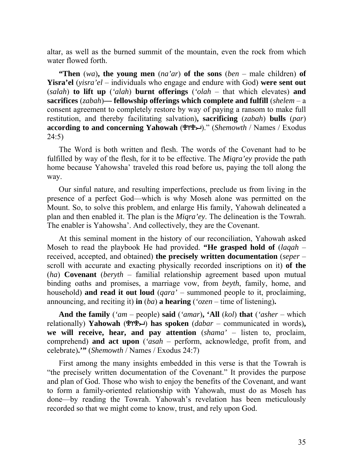altar, as well as the burned summit of the mountain, even the rock from which water flowed forth.

**"Then** (*wa*)**, the young men** (*na'ar*) **of the sons** (*ben* – male children) **of Yisra'el** (*yisra'el* – individuals who engage and endure with God) **were sent out** (*salah*) **to lift up** (*'alah*) **burnt offerings** (*'olah* – that which elevates) **and sacrifices** (*zabah*)**— fellowship offerings which complete and fulfill** (*shelem* – a consent agreement to completely restore by way of paying a ransom to make full restitution, and thereby facilitating salvation)**, sacrificing** (*zabah*) **bulls** (*par*) **according to and concerning Yahowah** ()." (*Shemowth* / Names / Exodus 24:5)

The Word is both written and flesh. The words of the Covenant had to be fulfilled by way of the flesh, for it to be effective. The *Miqra'ey* provide the path home because Yahowsha' traveled this road before us, paying the toll along the way.

Our sinful nature, and resulting imperfections, preclude us from living in the presence of a perfect God—which is why Moseh alone was permitted on the Mount. So, to solve this problem, and enlarge His family, Yahowah delineated a plan and then enabled it. The plan is the *Miqra'ey*. The delineation is the Towrah. The enabler is Yahowsha'. And collectively, they are the Covenant.

At this seminal moment in the history of our reconciliation, Yahowah asked Moseh to read the playbook He had provided. **"He grasped hold of** (*laqah* – received, accepted, and obtained) **the precisely written documentation** (*seper* – scroll with accurate and exacting physically recorded inscriptions on it) **of the** (*ha*) **Covenant** (*beryth* – familial relationship agreement based upon mutual binding oaths and promises, a marriage vow, from *beyth*, family, home, and household) **and read it out loud** (*qara'* – summoned people to it, proclaiming, announcing, and reciting it) **in** (*ba*) **a hearing** (*'ozen* – time of listening)**.** 

**And the family** (*'am* – people) **said** (*'amar*)**, 'All** (*kol*) **that** (*'asher* – which relationally) **Yahowah** ( $\mathcal{P}(Y^2)$ **has spoken** (*dabar* – communicated in words), **we will receive, hear, and pay attention** (*shama'* – listen to, proclaim, comprehend) **and act upon** (*'asah* – perform, acknowledge, profit from, and celebrate)**.'"** (*Shemowth* / Names / Exodus 24:7)

First among the many insights embedded in this verse is that the Towrah is "the precisely written documentation of the Covenant." It provides the purpose and plan of God. Those who wish to enjoy the benefits of the Covenant, and want to form a family-oriented relationship with Yahowah, must do as Moseh has done—by reading the Towrah. Yahowah's revelation has been meticulously recorded so that we might come to know, trust, and rely upon God.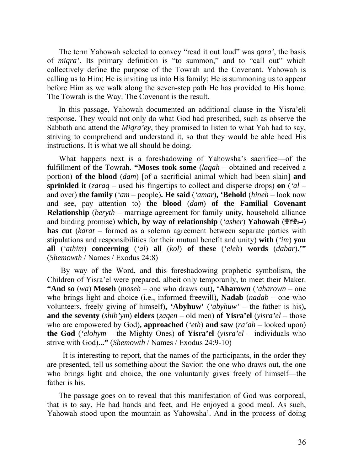The term Yahowah selected to convey "read it out loud" was *qara'*, the basis of *miqra'*. Its primary definition is "to summon," and to "call out" which collectively define the purpose of the Towrah and the Covenant. Yahowah is calling us to Him; He is inviting us into His family; He is summoning us to appear before Him as we walk along the seven-step path He has provided to His home. The Towrah is the Way. The Covenant is the result.

In this passage, Yahowah documented an additional clause in the Yisra'eli response. They would not only do what God had prescribed, such as observe the Sabbath and attend the *Miqra'ey*, they promised to listen to what Yah had to say, striving to comprehend and understand it, so that they would be able heed His instructions. It is what we all should be doing.

What happens next is a foreshadowing of Yahowsha's sacrifice—of the fulfillment of the Towrah. **"Moses took some** (*laqah* – obtained and received a portion) **of the blood** (*dam*) [of a sacrificial animal which had been slain] **and sprinkled it** (*zaraq* – used his fingertips to collect and disperse drops) **on** (*'al* – and over) **the family** (*'am* – people)**. He said** (*'amar*)**, 'Behold** (*hineh* – look now and see, pay attention to) **the blood** (*dam*) **of the Familial Covenant Relationship** (*beryth* – marriage agreement for family unity, household alliance and binding promise) which, by way of relationship (*'asher*) Yahowah (<del>ደ</del>ΎΨ→) **has cut** (*karat* – formed as a solemn agreement between separate parties with stipulations and responsibilities for their mutual benefit and unity) **with** (*'im*) **you all** (*'athim*) **concerning** (*'al*) **all** (*kol*) **of these** (*'eleh*) **words** (*dabar*)**.'"** (*Shemowth* / Names / Exodus 24:8)

 By way of the Word, and this foreshadowing prophetic symbolism, the Children of Yisra'el were prepared, albeit only temporarily, to meet their Maker. **"And so** (*wa*) **Moseh** (*moseh* – one who draws out)**, 'Aharown** (*'aharown* – one who brings light and choice (i.e., informed freewill)**, Nadab** (*nadab* – one who volunteers, freely giving of himself)**, 'Abyhuw'** (*'abyhuw'* – the father is his)**, and the seventy** (*shib'ym*) **elders** (*zaqen* – old men) **of Yisra'el** (*yisra'el* – those who are empowered by God)**, approached** (*'eth*) **and saw** (*ra'ah* – looked upon) **the God** (*'elohym* – the Mighty Ones) **of Yisra'el** (*yisra'el* – individuals who strive with God)**..."** (*Shemowth* / Names / Exodus 24:9-10)

 It is interesting to report, that the names of the participants, in the order they are presented, tell us something about the Savior: the one who draws out, the one who brings light and choice, the one voluntarily gives freely of himself—the father is his.

The passage goes on to reveal that this manifestation of God was corporeal, that is to say, He had hands and feet, and He enjoyed a good meal. As such, Yahowah stood upon the mountain as Yahowsha'. And in the process of doing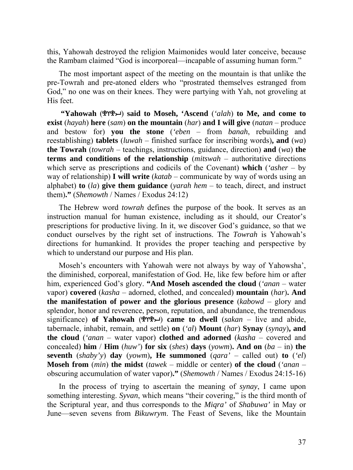this, Yahowah destroyed the religion Maimonides would later conceive, because the Rambam claimed "God is incorporeal—incapable of assuming human form."

The most important aspect of the meeting on the mountain is that unlike the pre-Towrah and pre-atoned elders who "prostrated themselves estranged from God," no one was on their knees. They were partying with Yah, not groveling at His feet.

 **"Yahowah** () **said to Moseh, 'Ascend** (*'alah*) **to Me, and come to exist** (*hayah*) **here** (*sam*) **on the mountain** (*har*) **and I will give** (*natan* – produce and bestow for) **you the stone** (*'eben* – from *banah*, rebuilding and reestablishing) **tablets** (*luwah* – finished surface for inscribing words)**, and** (*wa*) **the Towrah** (*towrah* – teachings, instructions, guidance, direction) **and** (*wa*) **the terms and conditions of the relationship** (*mitswah* – authoritative directions which serve as prescriptions and codicils of the Covenant) **which** (*'asher* – by way of relationship) **I will write** (*katab* – communicate by way of words using an alphabet) **to** (*la*) **give them guidance** (*yarah hem* – to teach, direct, and instruct them)**."** (*Shemowth* / Names / Exodus 24:12)

The Hebrew word *towrah* defines the purpose of the book. It serves as an instruction manual for human existence, including as it should, our Creator's prescriptions for productive living. In it, we discover God's guidance, so that we conduct ourselves by the right set of instructions. The *Towrah* is Yahowah's directions for humankind. It provides the proper teaching and perspective by which to understand our purpose and His plan.

Moseh's encounters with Yahowah were not always by way of Yahowsha', the diminished, corporeal, manifestation of God. He, like few before him or after him, experienced God's glory. **"And Moseh ascended the cloud** (*'anan* – water vapor) **covered** (*kasha* – adorned, clothed, and concealed) **mountain** (*har*)**. And the manifestation of power and the glorious presence** (*kabowd* – glory and splendor, honor and reverence, person, reputation, and abundance, the tremendous significance) of Yahowah ( $\mathcal{L}$ <sup>2</sup> $\rightarrow$ ) came to dwell (*sakan* – live and abide, tabernacle, inhabit, remain, and settle) **on** (*'al*) **Mount** (*har*) **Synay** (*synay*)**, and the cloud** (*'anan* – water vapor) **clothed and adorned** (*kasha* – covered and concealed) **him** / **Him** (*huw'*) **for six** (*shes*) **days** (*yowm*). And on (*ba* – in) **the seventh** (*shaby'y*) **day** (*yowm*)**, He summoned** (*qara'* – called out) **to** (*'el*) **Moseh from** (*min*) **the midst** (*tawek* – middle or center) **of the cloud** (*'anan* – obscuring accumulation of water vapor)**."** (*Shemowth* / Names / Exodus 24:15-16)

In the process of trying to ascertain the meaning of *synay*, I came upon something interesting. *Syvan*, which means "their covering," is the third month of the Scriptural year, and thus corresponds to the *Miqra'* of *Shabuwa'* in May or June—seven sevens from *Bikuwrym*. The Feast of Sevens, like the Mountain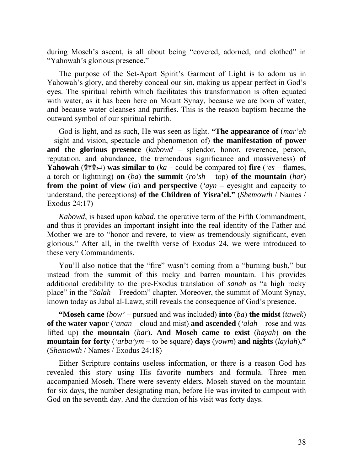during Moseh's ascent, is all about being "covered, adorned, and clothed" in "Yahowah's glorious presence."

The purpose of the Set-Apart Spirit's Garment of Light is to adorn us in Yahowah's glory, and thereby conceal our sin, making us appear perfect in God's eyes. The spiritual rebirth which facilitates this transformation is often equated with water, as it has been here on Mount Synay, because we are born of water, and because water cleanses and purifies. This is the reason baptism became the outward symbol of our spiritual rebirth.

God is light, and as such, He was seen as light. **"The appearance of** (*mar'eh* – sight and vision, spectacle and phenomenon of) **the manifestation of power and the glorious presence** (*kabowd* – splendor, honor, reverence, person, reputation, and abundance, the tremendous significance and massiveness) **of Yahowah** ( $\mathcal{L}(\mathbf{X})$  was similar to (*ka* – could be compared to) fire (*'es* – flames, a torch or lightning) **on** (*ba*) **the summit** (*ro'sh* – top) **of the mountain** (*har*) **from the point of view** (*la*) **and perspective** (*'ayn* – eyesight and capacity to understand, the perceptions) **of the Children of Yisra'el."** (*Shemowth* / Names / Exodus 24:17)

*Kabowd*, is based upon *kabad*, the operative term of the Fifth Commandment, and thus it provides an important insight into the real identity of the Father and Mother we are to "honor and revere, to view as tremendously significant, even glorious." After all, in the twelfth verse of Exodus 24, we were introduced to these very Commandments.

You'll also notice that the "fire" wasn't coming from a "burning bush," but instead from the summit of this rocky and barren mountain. This provides additional credibility to the pre-Exodus translation of *sanah* as "a high rocky place" in the "*Salah* – Freedom" chapter. Moreover, the summit of Mount Synay, known today as Jabal al-Lawz, still reveals the consequence of God's presence.

**"Moseh came** (*bow'* – pursued and was included) **into** (*ba*) **the midst** (*tawek*) **of the water vapor** (*'anan* – cloud and mist) **and ascended** (*'alah* – rose and was lifted up) **the mountain** (*har*)**. And Moseh came to exist** (*hayah*) **on the mountain for forty** (*'arba'ym* – to be square) **days** (*yowm*) **and nights** (*laylah*)**."** (*Shemowth* / Names / Exodus 24:18)

Either Scripture contains useless information, or there is a reason God has revealed this story using His favorite numbers and formula. Three men accompanied Moseh. There were seventy elders. Moseh stayed on the mountain for six days, the number designating man, before He was invited to campout with God on the seventh day. And the duration of his visit was forty days.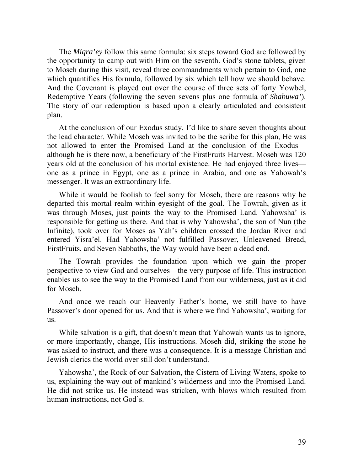The *Miqra'ey* follow this same formula: six steps toward God are followed by the opportunity to camp out with Him on the seventh. God's stone tablets, given to Moseh during this visit, reveal three commandments which pertain to God, one which quantifies His formula, followed by six which tell how we should behave. And the Covenant is played out over the course of three sets of forty Yowbel, Redemptive Years (following the seven sevens plus one formula of *Shabuwa'*). The story of our redemption is based upon a clearly articulated and consistent plan.

At the conclusion of our Exodus study, I'd like to share seven thoughts about the lead character. While Moseh was invited to be the scribe for this plan, He was not allowed to enter the Promised Land at the conclusion of the Exodus although he is there now, a beneficiary of the FirstFruits Harvest. Moseh was 120 years old at the conclusion of his mortal existence. He had enjoyed three lives one as a prince in Egypt, one as a prince in Arabia, and one as Yahowah's messenger. It was an extraordinary life.

While it would be foolish to feel sorry for Moseh, there are reasons why he departed this mortal realm within eyesight of the goal. The Towrah, given as it was through Moses, just points the way to the Promised Land. Yahowsha' is responsible for getting us there. And that is why Yahowsha', the son of Nun (the Infinite), took over for Moses as Yah's children crossed the Jordan River and entered Yisra'el. Had Yahowsha' not fulfilled Passover, Unleavened Bread, FirstFruits, and Seven Sabbaths, the Way would have been a dead end.

The Towrah provides the foundation upon which we gain the proper perspective to view God and ourselves—the very purpose of life. This instruction enables us to see the way to the Promised Land from our wilderness, just as it did for Moseh.

And once we reach our Heavenly Father's home, we still have to have Passover's door opened for us. And that is where we find Yahowsha', waiting for us.

While salvation is a gift, that doesn't mean that Yahowah wants us to ignore, or more importantly, change, His instructions. Moseh did, striking the stone he was asked to instruct, and there was a consequence. It is a message Christian and Jewish clerics the world over still don't understand.

Yahowsha', the Rock of our Salvation, the Cistern of Living Waters, spoke to us, explaining the way out of mankind's wilderness and into the Promised Land. He did not strike us. He instead was stricken, with blows which resulted from human instructions, not God's.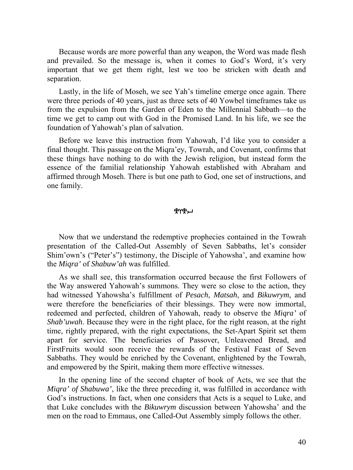Because words are more powerful than any weapon, the Word was made flesh and prevailed. So the message is, when it comes to God's Word, it's very important that we get them right, lest we too be stricken with death and separation.

Lastly, in the life of Moseh, we see Yah's timeline emerge once again. There were three periods of 40 years, just as three sets of 40 Yowbel timeframes take us from the expulsion from the Garden of Eden to the Millennial Sabbath—to the time we get to camp out with God in the Promised Land. In his life, we see the foundation of Yahowah's plan of salvation.

Before we leave this instruction from Yahowah, I'd like you to consider a final thought. This passage on the Miqra'ey, Towrah, and Covenant, confirms that these things have nothing to do with the Jewish religion, but instead form the essence of the familial relationship Yahowah established with Abraham and affirmed through Moseh. There is but one path to God, one set of instructions, and one family.

ቔ፞ለሕግ

Now that we understand the redemptive prophecies contained in the Towrah presentation of the Called-Out Assembly of Seven Sabbaths, let's consider Shim'own's ("Peter's") testimony, the Disciple of Yahowsha', and examine how the *Miqra'* of *Shabuw'ah* was fulfilled.

As we shall see, this transformation occurred because the first Followers of the Way answered Yahowah's summons. They were so close to the action, they had witnessed Yahowsha's fulfillment of *Pesach*, *Matsah*, and *Bikuwrym*, and were therefore the beneficiaries of their blessings. They were now immortal, redeemed and perfected, children of Yahowah, ready to observe the *Miqra'* of *Shab'uwah*. Because they were in the right place, for the right reason, at the right time, rightly prepared, with the right expectations, the Set-Apart Spirit set them apart for service. The beneficiaries of Passover, Unleavened Bread, and FirstFruits would soon receive the rewards of the Festival Feast of Seven Sabbaths. They would be enriched by the Covenant, enlightened by the Towrah, and empowered by the Spirit, making them more effective witnesses.

In the opening line of the second chapter of book of Acts, we see that the *Miqra' of Shabuwa'*, like the three preceding it, was fulfilled in accordance with God's instructions. In fact, when one considers that Acts is a sequel to Luke, and that Luke concludes with the *Bikuwrym* discussion between Yahowsha' and the men on the road to Emmaus, one Called-Out Assembly simply follows the other.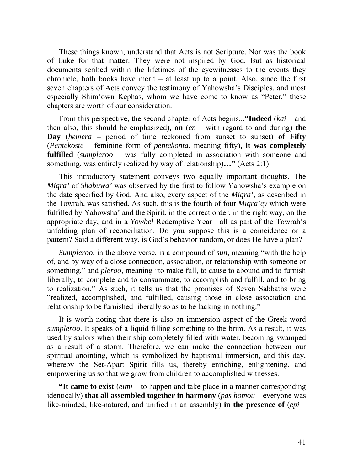These things known, understand that Acts is not Scripture. Nor was the book of Luke for that matter. They were not inspired by God. But as historical documents scribed within the lifetimes of the eyewitnesses to the events they chronicle, both books have merit  $-$  at least up to a point. Also, since the first seven chapters of Acts convey the testimony of Yahowsha's Disciples, and most especially Shim'own Kephas, whom we have come to know as "Peter," these chapters are worth of our consideration.

From this perspective, the second chapter of Acts begins...**"Indeed** (*kai* – and then also, this should be emphasized)**, on** (*en* – with regard to and during) **the Day** (*hemera* – period of time reckoned from sunset to sunset) **of Fifty** (*Pentekoste* – feminine form of *pentekonta*, meaning fifty)**, it was completely fulfilled** (*sumpleroo* – was fully completed in association with someone and something, was entirely realized by way of relationship)**…"** (Acts 2:1)

This introductory statement conveys two equally important thoughts. The *Miqra'* of *Shabuwa'* was observed by the first to follow Yahowsha's example on the date specified by God. And also, every aspect of the *Miqra'*, as described in the Towrah, was satisfied. As such, this is the fourth of four *Miqra'ey* which were fulfilled by Yahowsha' and the Spirit, in the correct order, in the right way, on the appropriate day, and in a *Yowbel* Redemptive Year—all as part of the Towrah's unfolding plan of reconciliation. Do you suppose this is a coincidence or a pattern? Said a different way, is God's behavior random, or does He have a plan?

*Sumpleroo,* in the above verse, is a compound of *sun*, meaning "with the help of, and by way of a close connection, association, or relationship with someone or something," and *pleroo*, meaning "to make full, to cause to abound and to furnish liberally, to complete and to consummate, to accomplish and fulfill, and to bring to realization." As such, it tells us that the promises of Seven Sabbaths were "realized, accomplished, and fulfilled, causing those in close association and relationship to be furnished liberally so as to be lacking in nothing."

It is worth noting that there is also an immersion aspect of the Greek word *sumpleroo*. It speaks of a liquid filling something to the brim. As a result, it was used by sailors when their ship completely filled with water, becoming swamped as a result of a storm. Therefore, we can make the connection between our spiritual anointing, which is symbolized by baptismal immersion, and this day, whereby the Set-Apart Spirit fills us, thereby enriching, enlightening, and empowering us so that we grow from children to accomplished witnesses.

**"It came to exist** (*eimi* – to happen and take place in a manner corresponding identically) **that all assembled together in harmony** (*pas homou* – everyone was like-minded, like-natured, and unified in an assembly) **in the presence of** (*epi* –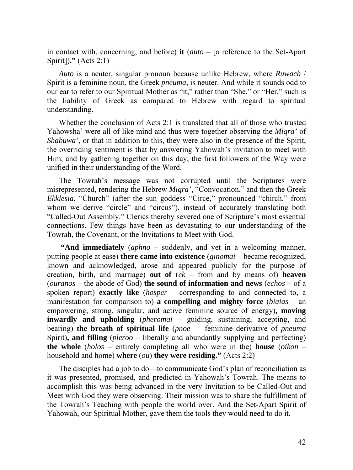in contact with, concerning, and before) **it** (*auto* – [a reference to the Set-Apart Spirit])**."** (Acts 2:1)

*Auto* is a neuter, singular pronoun because unlike Hebrew, where *Ruwach* / Spirit is a feminine noun, the Greek *pneuma*, is neuter. And while it sounds odd to our ear to refer to our Spiritual Mother as "it," rather than "She," or "Her," such is the liability of Greek as compared to Hebrew with regard to spiritual understanding.

Whether the conclusion of Acts 2:1 is translated that all of those who trusted Yahowsha' were all of like mind and thus were together observing the *Miqra'* of *Shabuwa'*, or that in addition to this, they were also in the presence of the Spirit, the overriding sentiment is that by answering Yahowah's invitation to meet with Him, and by gathering together on this day, the first followers of the Way were unified in their understanding of the Word.

The Towrah's message was not corrupted until the Scriptures were misrepresented, rendering the Hebrew *Miqra'*, "Convocation," and then the Greek *Ekklesia*, "Church" (after the sun goddess "Circe," pronounced "chirch," from whom we derive "circle" and "circus"), instead of accurately translating both "Called-Out Assembly." Clerics thereby severed one of Scripture's most essential connections. Few things have been as devastating to our understanding of the Towrah, the Covenant, or the Invitations to Meet with God.

 **"And immediately** (*aphno* – suddenly, and yet in a welcoming manner, putting people at ease) **there came into existence** (*ginomai* – became recognized, known and acknowledged, arose and appeared publicly for the purpose of creation, birth, and marriage) **out of** (*ek* – from and by means of) **heaven** (*ouranos* – the abode of God) **the sound of information and news** (*echos* – of a spoken report) **exactly like** (*hosper* – corresponding to and connected to, a manifestation for comparison to) **a compelling and mighty force** (*biaias* – an empowering, strong, singular, and active feminine source of energy)**, moving inwardly and upholding** (*pheromai* – guiding, sustaining, accepting, and bearing) **the breath of spiritual life** (*pnoe* – feminine derivative of *pneuma* Spirit)**, and filling** (*pleroo* – liberally and abundantly supplying and perfecting) **the whole** (*holos* – entirely completing all who were in the) **house** (*oikon* – household and home) **where** (*ou*) **they were residing."** (Acts 2:2)

The disciples had a job to do—to communicate God's plan of reconciliation as it was presented, promised, and predicted in Yahowah's Towrah. The means to accomplish this was being advanced in the very Invitation to be Called-Out and Meet with God they were observing. Their mission was to share the fulfillment of the Towrah's Teaching with people the world over. And the Set-Apart Spirit of Yahowah, our Spiritual Mother, gave them the tools they would need to do it.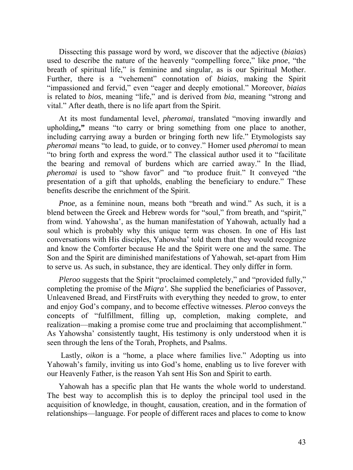Dissecting this passage word by word, we discover that the adjective (*biaias*) used to describe the nature of the heavenly "compelling force," like *pnoe*, "the breath of spiritual life," is feminine and singular, as is our Spiritual Mother. Further, there is a "vehement" connotation of *biaias*, making the Spirit "impassioned and fervid," even "eager and deeply emotional." Moreover, *biaias* is related to *bios*, meaning "life," and is derived from *bia*, meaning "strong and vital." After death, there is no life apart from the Spirit.

At its most fundamental level, *pheromai,* translated "moving inwardly and upholding**,"** means "to carry or bring something from one place to another, including carrying away a burden or bringing forth new life." Etymologists say *pheromai* means "to lead, to guide, or to convey." Homer used *pheromai* to mean "to bring forth and express the word." The classical author used it to "facilitate the bearing and removal of burdens which are carried away." In the Iliad, *pheromai* is used to "show favor" and "to produce fruit." It conveyed "the presentation of a gift that upholds, enabling the beneficiary to endure." These benefits describe the enrichment of the Spirit.

*Pnoe*, as a feminine noun, means both "breath and wind." As such, it is a blend between the Greek and Hebrew words for "soul," from breath, and "spirit," from wind. Yahowsha', as the human manifestation of Yahowah, actually had a soul which is probably why this unique term was chosen. In one of His last conversations with His disciples, Yahowsha' told them that they would recognize and know the Comforter because He and the Spirit were one and the same. The Son and the Spirit are diminished manifestations of Yahowah, set-apart from Him to serve us. As such, in substance, they are identical. They only differ in form.

*Pleroo* suggests that the Spirit "proclaimed completely," and "provided fully," completing the promise of the *Miqra'.* She supplied the beneficiaries of Passover, Unleavened Bread, and FirstFruits with everything they needed to grow, to enter and enjoy God's company, and to become effective witnesses. *Pleroo* conveys the concepts of "fulfillment, filling up, completion, making complete, and realization—making a promise come true and proclaiming that accomplishment." As Yahowsha' consistently taught, His testimony is only understood when it is seen through the lens of the Torah, Prophets, and Psalms.

 Lastly, *oikon* is a "home, a place where families live." Adopting us into Yahowah's family, inviting us into God's home, enabling us to live forever with our Heavenly Father, is the reason Yah sent His Son and Spirit to earth.

Yahowah has a specific plan that He wants the whole world to understand. The best way to accomplish this is to deploy the principal tool used in the acquisition of knowledge, in thought, causation, creation, and in the formation of relationships—language. For people of different races and places to come to know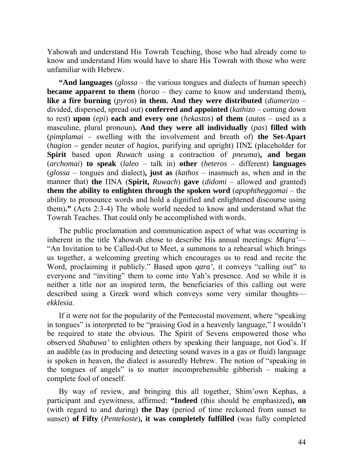Yahowah and understand His Towrah Teaching, those who had already come to know and understand Him would have to share His Towrah with those who were unfamiliar with Hebrew.

**"And languages** (*glossa* – the various tongues and dialects of human speech) **became apparent to them** (*horao* – they came to know and understand them)**, like a fire burning** (*pyros*) **in them. And they were distributed** (*diamerizo* – divided, dispersed, spread out) **conferred and appointed** (*kathizo* – coming down to rest) **upon** (*epi*) **each and every one** (*hekastos*) **of them** (*autos* – used as a masculine, plural pronoun)**. And they were all individually** (*pas*) **filled with** (*pimplamai* – swelling with the involvement and breath of) **the Set-Apart**  (*hagion –* gender neuter of *hagios*, purifying and upright) ΠΝΣ (placeholder for **Spirit** based upon *Ruwach* using a contraction of *pneuma*)**, and began** (*archomai*) **to speak** (*laleo* – talk in) **other** (*heteros* – different) **languages** (*glossa* – tongues and dialect)**, just as** (*kathos* – inasmuch as, when and in the manner that) **the** ΠΝΑ (**Spirit,** *Ruwach*) **gave** (*didomi* – allowed and granted) **them the ability to enlighten through the spoken word** (*apophtheggomai* – the ability to pronounce words and hold a dignified and enlightened discourse using them)**."** (Acts 2:3-4) The whole world needed to know and understand what the Towrah Teaches. That could only be accomplished with words.

The public proclamation and communication aspect of what was occurring is inherent in the title Yahowah chose to describe His annual meetings: *Miqra'*— "An Invitation to be Called-Out to Meet, a summons to a rehearsal which brings us together, a welcoming greeting which encourages us to read and recite the Word, proclaiming it publicly." Based upon *qara'*, it conveys "calling out" to everyone and "inviting" them to come into Yah's presence. And so while it is neither a title nor an inspired term, the beneficiaries of this calling out were described using a Greek word which conveys some very similar thoughts *ekklesia*.

If it were not for the popularity of the Pentecostal movement, where "speaking in tongues" is interpreted to be "praising God in a heavenly language," I wouldn't be required to state the obvious. The Spirit of Sevens empowered those who observed *Shabuwa'* to enlighten others by speaking their language, not God's. If an audible (as in producing and detecting sound waves in a gas or fluid) language is spoken in heaven, the dialect is assuredly Hebrew. The notion of "speaking in the tongues of angels" is to mutter incomprehensible gibberish – making a complete fool of oneself.

By way of review, and bringing this all together, Shim'own Kephas, a participant and eyewitness, affirmed: **"Indeed** (this should be emphasized)**, on**  (with regard to and during) **the Day** (period of time reckoned from sunset to sunset) **of Fifty** (*Pentekoste*)**, it was completely fulfilled** (was fully completed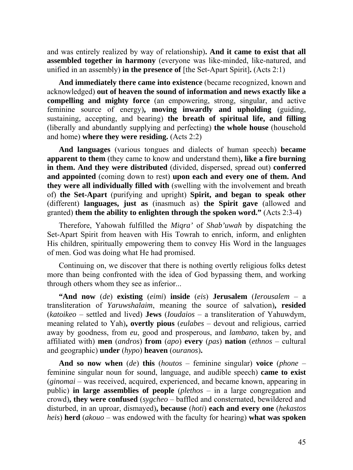and was entirely realized by way of relationship)**. And it came to exist that all assembled together in harmony** (everyone was like-minded, like-natured, and unified in an assembly) **in the presence of** [the Set-Apart Spirit]**.** (Acts 2:1)

**And immediately there came into existence** (became recognized, known and acknowledged) **out of heaven the sound of information and news exactly like a compelling and mighty force** (an empowering, strong, singular, and active feminine source of energy)**, moving inwardly and upholding** (guiding, sustaining, accepting, and bearing) **the breath of spiritual life, and filling**  (liberally and abundantly supplying and perfecting) **the whole house** (household and home) **where they were residing.** (Acts 2:2)

**And languages** (various tongues and dialects of human speech) **became apparent to them** (they came to know and understand them)**, like a fire burning in them. And they were distributed** (divided, dispersed, spread out) **conferred and appointed** (coming down to rest) **upon each and every one of them. And they were all individually filled with** (swelling with the involvement and breath of) **the Set-Apart** (purifying and upright) **Spirit, and began to speak other** (different) **languages, just as** (inasmuch as) **the Spirit gave** (allowed and granted) **them the ability to enlighten through the spoken word."** (Acts 2:3-4)

Therefore, Yahowah fulfilled the *Miqra'* of *Shab'uwah* by dispatching the Set-Apart Spirit from heaven with His Towrah to enrich, inform, and enlighten His children, spiritually empowering them to convey His Word in the languages of men. God was doing what He had promised.

Continuing on, we discover that there is nothing overtly religious folks detest more than being confronted with the idea of God bypassing them, and working through others whom they see as inferior...

**"And now** (*de*) **existing** (*eimi*) **inside** (*eis*) **Jerusalem** (*Ierousalem* – a transliteration of *Yaruwshalaim*, meaning the source of salvation)**, resided** (*katoikeo* – settled and lived) **Jews** (*Ioudaios* – a transliteration of Yahuwdym, meaning related to Yah)**, overtly pious** (*eulabes* – devout and religious, carried away by goodness, from *eu*, good and prosperous, and *lambano*, taken by, and affiliated with) **men** (*andros*) **from** (*apo*) **every** (*pas*) **nation** (*ethnos* – cultural and geographic) **under** (*hypo*) **heaven** (*ouranos*)**.** 

**And so now when** (*de*) **this** (*houtos* – feminine singular) **voice** (*phone* – feminine singular noun for sound, language, and audible speech) **came to exist** (*ginomai* – was received, acquired, experienced, and became known, appearing in public) **in large assemblies of people** (*plethos* – in a large congregation and crowd)**, they were confused** (*sygcheo* – baffled and consternated, bewildered and disturbed, in an uproar, dismayed)**, because** (*hoti*) **each and every one** (*hekastos heis*) **herd** (*akouo* – was endowed with the faculty for hearing) **what was spoken**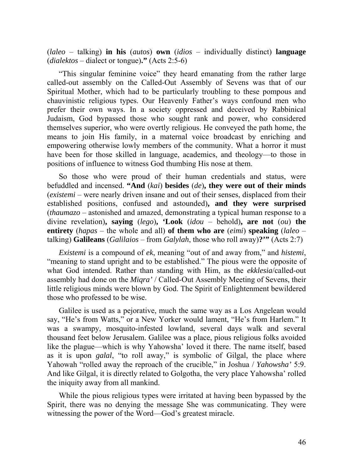(*laleo* – talking) **in his** (*autos*) **own** (*idios* – individually distinct) **language** (*dialektos* – dialect or tongue)**."** (Acts 2:5-6)

"This singular feminine voice" they heard emanating from the rather large called-out assembly on the Called-Out Assembly of Sevens was that of our Spiritual Mother, which had to be particularly troubling to these pompous and chauvinistic religious types. Our Heavenly Father's ways confound men who prefer their own ways. In a society oppressed and deceived by Rabbinical Judaism, God bypassed those who sought rank and power, who considered themselves superior, who were overtly religious. He conveyed the path home, the means to join His family, in a maternal voice broadcast by enriching and empowering otherwise lowly members of the community. What a horror it must have been for those skilled in language, academics, and theology—to those in positions of influence to witness God thumbing His nose at them.

So those who were proud of their human credentials and status, were befuddled and incensed. **"And** (*kai*) **besides** (*de*)**, they were out of their minds**  (*existemi* – were nearly driven insane and out of their senses, displaced from their established positions, confused and astounded)**, and they were surprised** (*thaumazo* – astonished and amazed, demonstrating a typical human response to a divine revelation)**, saying** (*lego*)**, 'Look** (*idou* – behold)**, are not** (*ou*) **the entirety** (*hapas* – the whole and all) **of them who are** (*eimi*) **speaking** (*laleo* – talking) **Galileans** (*Galilaios* – from *Galylah*, those who roll away)**?'"** (Acts 2:7)

*Existemi* is a compound of *ek*, meaning "out of and away from," and *histemi*, "meaning to stand upright and to be established." The pious were the opposite of what God intended. Rather than standing with Him, as the *ekklesia*/called-out assembly had done on the *Miqra'* / Called-Out Assembly Meeting of Sevens, their little religious minds were blown by God. The Spirit of Enlightenment bewildered those who professed to be wise.

Galilee is used as a pejorative, much the same way as a Los Angelean would say, "He's from Watts," or a New Yorker would lament, "He's from Harlem." It was a swampy, mosquito-infested lowland, several days walk and several thousand feet below Jerusalem. Galilee was a place, pious religious folks avoided like the plague—which is why Yahowsha' loved it there. The name itself, based as it is upon *galal*, "to roll away," is symbolic of Gilgal, the place where Yahowah "rolled away the reproach of the crucible," in Joshua / *Yahowsha'* 5:9. And like Gilgal, it is directly related to Golgotha, the very place Yahowsha' rolled the iniquity away from all mankind.

While the pious religious types were irritated at having been bypassed by the Spirit, there was no denying the message She was communicating. They were witnessing the power of the Word—God's greatest miracle.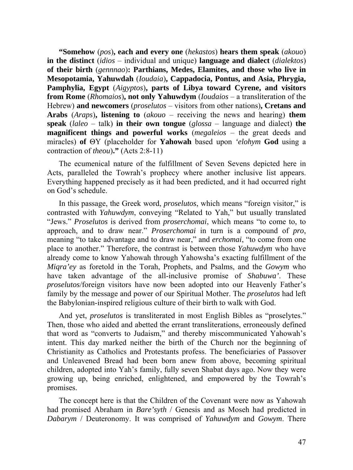**"Somehow** (*pos*)**, each and every one** (*hekastos*) **hears them speak** (*akouo*) **in the distinct** (*idios* – individual and unique) **language and dialect** (*dialektos*) **of their birth** (*gennnao*)**: Parthians, Medes, Elamites, and those who live in Mesopotamia, Yahuwdah** (*Ioudaia*)**, Cappadocia, Pontus, and Asia, Phrygia, Pamphylia, Egypt** (*Aigyptos*)**, parts of Libya toward Cyrene, and visitors from Rome** (*Rhomaios*)**, not only Yahuwdym** (*Ioudaios* – a transliteration of the Hebrew) **and newcomers** (*proselutos* – visitors from other nations)**, Cretans and Arabs** (*Araps*)**, listening to** (*akouo* – receiving the news and hearing) **them speak** (*laleo* – talk) **in their own tongue** (*glossa* – language and dialect) **the magnificent things and powerful works** (*megaleios* – the great deeds and miracles) **of** ΘΥ (placeholder for **Yahowah** based upon *'elohym* **God** using a contraction of *theou*)**."** (Acts 2:8-11)

The ecumenical nature of the fulfillment of Seven Sevens depicted here in Acts, paralleled the Towrah's prophecy where another inclusive list appears. Everything happened precisely as it had been predicted, and it had occurred right on God's schedule.

In this passage, the Greek word, *proselutos*, which means "foreign visitor," is contrasted with *Yahuwdym*, conveying "Related to Yah," but usually translated "Jews." *Proselutos* is derived from *proserchomai*, which means "to come to, to approach, and to draw near." *Proserchomai* in turn is a compound of *pro*, meaning "to take advantage and to draw near," and *erchomai*, "to come from one place to another." Therefore, the contrast is between those *Yahuwdym* who have already come to know Yahowah through Yahowsha's exacting fulfillment of the *Miqra'ey* as foretold in the Torah, Prophets, and Psalms, and the *Gowym* who have taken advantage of the all-inclusive promise of *Shabuwa'*. These *proselutos*/foreign visitors have now been adopted into our Heavenly Father's family by the message and power of our Spiritual Mother. The *proselutos* had left the Babylonian-inspired religious culture of their birth to walk with God.

And yet, *proselutos* is transliterated in most English Bibles as "proselytes." Then, those who aided and abetted the errant transliterations, erroneously defined that word as "converts to Judaism," and thereby miscommunicated Yahowah's intent. This day marked neither the birth of the Church nor the beginning of Christianity as Catholics and Protestants profess. The beneficiaries of Passover and Unleavened Bread had been born anew from above, becoming spiritual children, adopted into Yah's family, fully seven Shabat days ago. Now they were growing up, being enriched, enlightened, and empowered by the Towrah's promises.

The concept here is that the Children of the Covenant were now as Yahowah had promised Abraham in *Bare'syth* / Genesis and as Moseh had predicted in *Dabarym* / Deuteronomy. It was comprised of *Yahuwdym* and *Gowym*. There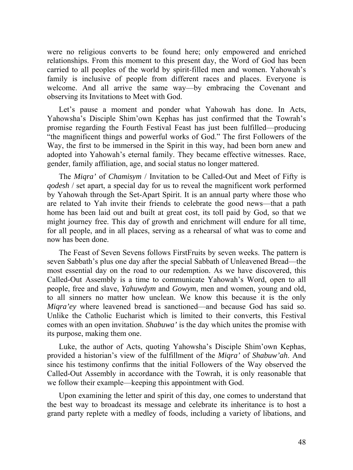were no religious converts to be found here; only empowered and enriched relationships. From this moment to this present day, the Word of God has been carried to all peoples of the world by spirit-filled men and women. Yahowah's family is inclusive of people from different races and places. Everyone is welcome. And all arrive the same way—by embracing the Covenant and observing its Invitations to Meet with God.

Let's pause a moment and ponder what Yahowah has done. In Acts, Yahowsha's Disciple Shim'own Kephas has just confirmed that the Towrah's promise regarding the Fourth Festival Feast has just been fulfilled—producing "the magnificent things and powerful works of God." The first Followers of the Way, the first to be immersed in the Spirit in this way, had been born anew and adopted into Yahowah's eternal family. They became effective witnesses. Race, gender, family affiliation, age, and social status no longer mattered.

The *Miqra'* of *Chamisym* / Invitation to be Called-Out and Meet of Fifty is *qodesh* / set apart, a special day for us to reveal the magnificent work performed by Yahowah through the Set-Apart Spirit. It is an annual party where those who are related to Yah invite their friends to celebrate the good news—that a path home has been laid out and built at great cost, its toll paid by God, so that we might journey free. This day of growth and enrichment will endure for all time, for all people, and in all places, serving as a rehearsal of what was to come and now has been done.

The Feast of Seven Sevens follows FirstFruits by seven weeks. The pattern is seven Sabbath's plus one day after the special Sabbath of Unleavened Bread—the most essential day on the road to our redemption. As we have discovered, this Called-Out Assembly is a time to communicate Yahowah's Word, open to all people, free and slave, *Yahuwdym* and *Gowym*, men and women, young and old, to all sinners no matter how unclean. We know this because it is the only *Miqra'ey* where leavened bread is sanctioned—and because God has said so. Unlike the Catholic Eucharist which is limited to their converts, this Festival comes with an open invitation. *Shabuwa'* is the day which unites the promise with its purpose, making them one.

Luke, the author of Acts, quoting Yahowsha's Disciple Shim'own Kephas, provided a historian's view of the fulfillment of the *Miqra'* of *Shabuw'ah*. And since his testimony confirms that the initial Followers of the Way observed the Called-Out Assembly in accordance with the Towrah, it is only reasonable that we follow their example—keeping this appointment with God.

Upon examining the letter and spirit of this day, one comes to understand that the best way to broadcast its message and celebrate its inheritance is to host a grand party replete with a medley of foods, including a variety of libations, and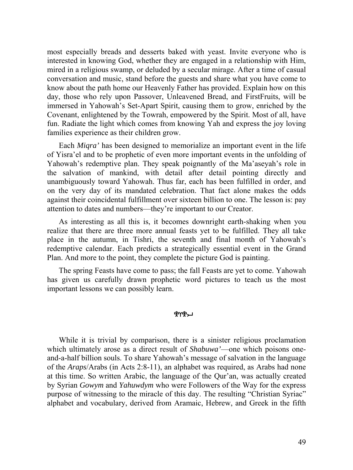most especially breads and desserts baked with yeast. Invite everyone who is interested in knowing God, whether they are engaged in a relationship with Him, mired in a religious swamp, or deluded by a secular mirage. After a time of casual conversation and music, stand before the guests and share what you have come to know about the path home our Heavenly Father has provided. Explain how on this day, those who rely upon Passover, Unleavened Bread, and FirstFruits, will be immersed in Yahowah's Set-Apart Spirit, causing them to grow, enriched by the Covenant, enlightened by the Towrah, empowered by the Spirit. Most of all, have fun. Radiate the light which comes from knowing Yah and express the joy loving families experience as their children grow.

Each *Miqra'* has been designed to memorialize an important event in the life of Yisra'el and to be prophetic of even more important events in the unfolding of Yahowah's redemptive plan. They speak poignantly of the Ma'aseyah's role in the salvation of mankind, with detail after detail pointing directly and unambiguously toward Yahowah. Thus far, each has been fulfilled in order, and on the very day of its mandated celebration. That fact alone makes the odds against their coincidental fulfillment over sixteen billion to one. The lesson is: pay attention to dates and numbers—they're important to our Creator.

As interesting as all this is, it becomes downright earth-shaking when you realize that there are three more annual feasts yet to be fulfilled. They all take place in the autumn, in Tishri, the seventh and final month of Yahowah's redemptive calendar. Each predicts a strategically essential event in the Grand Plan. And more to the point, they complete the picture God is painting.

The spring Feasts have come to pass; the fall Feasts are yet to come. Yahowah has given us carefully drawn prophetic word pictures to teach us the most important lessons we can possibly learn.

## ቔለሕግ

While it is trivial by comparison, there is a sinister religious proclamation which ultimately arose as a direct result of *Shabuwa'*—one which poisons oneand-a-half billion souls. To share Yahowah's message of salvation in the language of the *Araps*/Arabs (in Acts 2:8-11), an alphabet was required, as Arabs had none at this time. So written Arabic, the language of the Qur'an, was actually created by Syrian *Gowym* and *Yahuwdym* who were Followers of the Way for the express purpose of witnessing to the miracle of this day. The resulting "Christian Syriac" alphabet and vocabulary, derived from Aramaic, Hebrew, and Greek in the fifth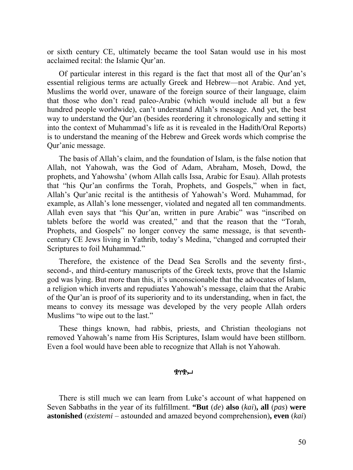or sixth century CE, ultimately became the tool Satan would use in his most acclaimed recital: the Islamic Qur'an.

Of particular interest in this regard is the fact that most all of the Qur'an's essential religious terms are actually Greek and Hebrew—not Arabic. And yet, Muslims the world over, unaware of the foreign source of their language, claim that those who don't read paleo-Arabic (which would include all but a few hundred people worldwide), can't understand Allah's message. And yet, the best way to understand the Qur'an (besides reordering it chronologically and setting it into the context of Muhammad's life as it is revealed in the Hadith/Oral Reports) is to understand the meaning of the Hebrew and Greek words which comprise the Qur'anic message.

The basis of Allah's claim, and the foundation of Islam, is the false notion that Allah, not Yahowah, was the God of Adam, Abraham, Moseh, Dowd, the prophets, and Yahowsha' (whom Allah calls Issa, Arabic for Esau). Allah protests that "his Qur'an confirms the Torah, Prophets, and Gospels," when in fact, Allah's Qur'anic recital is the antithesis of Yahowah's Word. Muhammad, for example, as Allah's lone messenger, violated and negated all ten commandments. Allah even says that "his Qur'an, written in pure Arabic" was "inscribed on tablets before the world was created," and that the reason that the "Torah, Prophets, and Gospels" no longer convey the same message, is that seventhcentury CE Jews living in Yathrib, today's Medina, "changed and corrupted their Scriptures to foil Muhammad."

Therefore, the existence of the Dead Sea Scrolls and the seventy first-, second-, and third-century manuscripts of the Greek texts, prove that the Islamic god was lying. But more than this, it's unconscionable that the advocates of Islam, a religion which inverts and repudiates Yahowah's message, claim that the Arabic of the Qur'an is proof of its superiority and to its understanding, when in fact, the means to convey its message was developed by the very people Allah orders Muslims "to wipe out to the last."

These things known, had rabbis, priests, and Christian theologians not removed Yahowah's name from His Scriptures, Islam would have been stillborn. Even a fool would have been able to recognize that Allah is not Yahowah.

## ቘለኤግ

There is still much we can learn from Luke's account of what happened on Seven Sabbaths in the year of its fulfillment. **"But** (*de*) **also** (*kai*)**, all** (*pas*) **were astonished** (*existemi* – astounded and amazed beyond comprehension)**, even** (*kai*)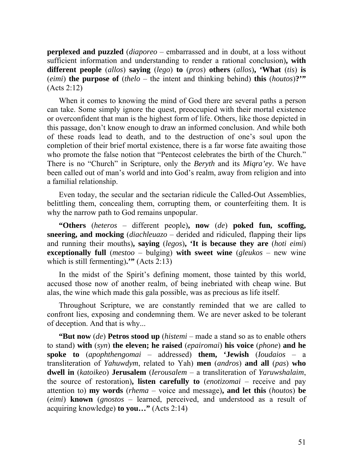**perplexed and puzzled** (*diaporeo* – embarrassed and in doubt, at a loss without sufficient information and understanding to render a rational conclusion)**, with different people** (*allos*) **saying** (*lego*) **to** (*pros*) **others** (*allos*)**, 'What** (*tis*) **is** (*eimi*) **the purpose of** (*thelo* – the intent and thinking behind) **this** (*houtos*)**?'"** (Acts 2:12)

When it comes to knowing the mind of God there are several paths a person can take. Some simply ignore the quest, preoccupied with their mortal existence or overconfident that man is the highest form of life. Others, like those depicted in this passage, don't know enough to draw an informed conclusion. And while both of these roads lead to death, and to the destruction of one's soul upon the completion of their brief mortal existence, there is a far worse fate awaiting those who promote the false notion that "Pentecost celebrates the birth of the Church." There is no "Church" in Scripture, only the *Beryth* and its *Miqra'ey*. We have been called out of man's world and into God's realm, away from religion and into a familial relationship.

Even today, the secular and the sectarian ridicule the Called-Out Assemblies, belittling them, concealing them, corrupting them, or counterfeiting them. It is why the narrow path to God remains unpopular.

**"Others** (*heteros* – different people)**, now** (*de*) **poked fun, scoffing, sneering, and mocking** (*diachleuazo* – derided and ridiculed, flapping their lips and running their mouths)**, saying** (*legos*)**, 'It is because they are** (*hoti eimi*) **exceptionally full** (*mestoo* – bulging) **with sweet wine** (*gleukos* – new wine which is still fermenting)**.'"** (Acts 2:13)

In the midst of the Spirit's defining moment, those tainted by this world, accused those now of another realm, of being inebriated with cheap wine. But alas, the wine which made this gala possible, was as precious as life itself.

Throughout Scripture, we are constantly reminded that we are called to confront lies, exposing and condemning them. We are never asked to be tolerant of deception. And that is why...

**"But now** (*de*) **Petros stood up** (*histemi* – made a stand so as to enable others to stand) **with** (*syn*) **the eleven; he raised** (*epairomai*) **his voice** (*phone*) **and he spoke to** (*apophthengomai* – addressed) **them, 'Jewish** (*Ioudaios* – a transliteration of *Yahuwdym*, related to Yah) **men** (*andros*) **and all** (*pas*) **who dwell in** (*katoikeo*) **Jerusalem** (*Ierousalem* – a transliteration of *Yaruwshalaim*, the source of restoration)**, listen carefully to** (*enotizomai* – receive and pay attention to) **my words** (*rhema* – voice and message)**, and let this** (*houtos*) **be** (*eimi*) **known** (*gnostos* – learned, perceived, and understood as a result of acquiring knowledge) **to you…"** (Acts 2:14)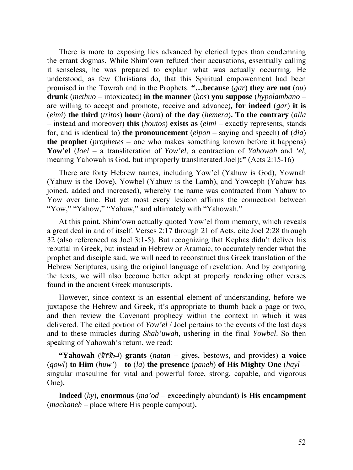There is more to exposing lies advanced by clerical types than condemning the errant dogmas. While Shim'own refuted their accusations, essentially calling it senseless, he was prepared to explain what was actually occurring. He understood, as few Christians do, that this Spiritual empowerment had been promised in the Towrah and in the Prophets. **"…because** (*gar*) **they are not** (*ou*) **drunk** (*methuo* – intoxicated) **in the manner** (*hos*) **you suppose** (*hypolambano* – are willing to accept and promote, receive and advance)**, for indeed** (*gar*) **it is** (*eimi*) **the third** (*tritos*) **hour** (*hora*) **of the day** (*hemera*)**. To the contrary** (*alla* – instead and moreover) **this** (*houtos*) **exists as** (*eimi* – exactly represents, stands for, and is identical to) **the pronouncement** (*eipon* – saying and speech) **of** (*dia*) **the prophet** (*prophetes* – one who makes something known before it happens) **Yow'el** (*Ioel* – a transliteration of *Yow'el*, a contraction of *Yahowah* and *'el*, meaning Yahowah is God, but improperly transliterated Joel)**:"** (Acts 2:15-16)

There are forty Hebrew names, including Yow'el (Yahuw is God), Yownah (Yahuw is the Dove), Yowbel (Yahuw is the Lamb), and Yowceph (Yahuw has joined, added and increased), whereby the name was contracted from Yahuw to Yow over time. But yet most every lexicon affirms the connection between "Yow," "Yahow," "Yahuw," and ultimately with "Yahowah."

At this point, Shim'own actually quoted Yow'el from memory, which reveals a great deal in and of itself. Verses 2:17 through 21 of Acts, cite Joel 2:28 through 32 (also referenced as Joel 3:1-5). But recognizing that Kephas didn't deliver his rebuttal in Greek, but instead in Hebrew or Aramaic, to accurately render what the prophet and disciple said, we will need to reconstruct this Greek translation of the Hebrew Scriptures, using the original language of revelation. And by comparing the texts, we will also become better adept at properly rendering other verses found in the ancient Greek manuscripts.

However, since context is an essential element of understanding, before we juxtapose the Hebrew and Greek, it's appropriate to thumb back a page or two, and then review the Covenant prophecy within the context in which it was delivered. The cited portion of *Yow'el* / Joel pertains to the events of the last days and to these miracles during *Shab'uwah*, ushering in the final *Yowbel*. So then speaking of Yahowah's return, we read:

**"Yahowah**  $(\mathbb{R}^n)$  **grants** (*natan* – gives, bestows, and provides) **a voice** (*qowl*) **to Him** (*huw'*)—**to** (*la*) **the presence** (*paneh*) **of His Mighty One** (*hayl* – singular masculine for vital and powerful force, strong, capable, and vigorous One)**.** 

**Indeed** (*ky*)**, enormous** (*ma'od* – exceedingly abundant) **is His encampment** (*machaneh* – place where His people campout)**.**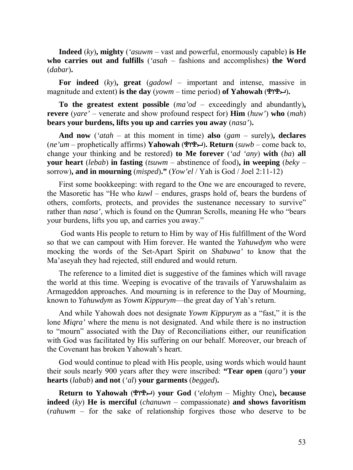**Indeed** (*ky*)**, mighty** (*'asuwm* – vast and powerful, enormously capable) **is He who carries out and fulfills** (*'asah* – fashions and accomplishes) **the Word** (*dabar*)**.** 

**For indeed** (*ky*)**, great** (*gadowl* – important and intense, massive in magnitude and extent) is the day ( $\gamma \sim m - 1$  time period) of Yahowah ( $\gamma \sim m$ ).

**To the greatest extent possible** (*ma'od* – exceedingly and abundantly)**, revere** (*yare'* – venerate and show profound respect for) **Him** (*huw'*) **who** (*mah*) **bears your burdens, lifts you up and carries you away** (*nasa'*)**.** 

**And now** (*'atah* – at this moment in time) **also** (*gam* – surely)**, declares** (*ne'um* – prophetically affirms) **Yahowah** ()**. Return** (*suwb* – come back to, change your thinking and be restored) **to Me forever** (*'ad 'any*) **with** (*ba*) **all your heart** (*lebab*) **in fasting** (*tsuwm* – abstinence of food)**, in weeping** (*beky* – sorrow)**, and in mourning** (*misped*)**."** (*Yow'el* / Yah is God / Joel 2:11-12)

First some bookkeeping: with regard to the One we are encouraged to revere, the Masoretic has "He who *kuwl* – endures, grasps hold of, bears the burdens of others, comforts, protects, and provides the sustenance necessary to survive" rather than *nasa'*, which is found on the Qumran Scrolls, meaning He who "bears your burdens, lifts you up, and carries you away."

 God wants His people to return to Him by way of His fulfillment of the Word so that we can campout with Him forever. He wanted the *Yahuwdym* who were mocking the words of the Set-Apart Spirit on *Shabuwa'* to know that the Ma'aseyah they had rejected, still endured and would return.

The reference to a limited diet is suggestive of the famines which will ravage the world at this time. Weeping is evocative of the travails of Yaruwshalaim as Armageddon approaches. And mourning is in reference to the Day of Mourning, known to *Yahuwdym* as *Yowm Kippurym*—the great day of Yah's return.

And while Yahowah does not designate *Yowm Kippurym* as a "fast," it is the lone *Miqra'* where the menu is not designated. And while there is no instruction to "mourn" associated with the Day of Reconciliations either, our reunification with God was facilitated by His suffering on our behalf. Moreover, our breach of the Covenant has broken Yahowah's heart.

God would continue to plead with His people, using words which would haunt their souls nearly 900 years after they were inscribed: **"Tear open** (*qara'*) **your hearts** (*labab*) **and not** (*'al*) **your garments** (*begged*)**.** 

**Return to Yahowah** () **your God** (*'elohym* – Mighty One)**, because indeed** (*ky*) **He is merciful** (*chanuwn* – compassionate) **and shows favoritism** (*rahuwm* – for the sake of relationship forgives those who deserve to be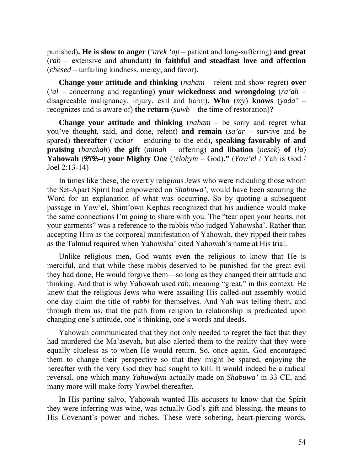punished)**. He is slow to anger** (*'arek 'ap* – patient and long-suffering) **and great** (*rab* – extensive and abundant) **in faithful and steadfast love and affection** (*chesed* – unfailing kindness, mercy, and favor)**.** 

**Change your attitude and thinking** (*naham* – relent and show regret) **over** (*'al* – concerning and regarding) **your wickedness and wrongdoing** (*ra'ah* – disagreeable malignancy, injury, evil and harm)**. Who** (*my*) **knows** (*yada'* – recognizes and is aware of) **the return** (*suwb* – the time of restoration)**?**

**Change your attitude and thinking** (*naham* – be sorry and regret what you've thought, said, and done, relent) **and remain** (*sa'ar* – survive and be spared) **thereafter** (*'achar* – enduring to the end)**, speaking favorably of and praising** (*barakah*) **the gift** (*minah* – offering) **and libation** (*nesek*) **of** (*la*) **Yahowah** () **your Mighty One** (*'elohym* – God)**."** (*Yow'el* / Yah is God / Joel 2:13-14)

In times like these, the overtly religious Jews who were ridiculing those whom the Set-Apart Spirit had empowered on *Shabuwa'*, would have been scouring the Word for an explanation of what was occurring. So by quoting a subsequent passage in Yow'el, Shim'own Kephas recognized that his audience would make the same connections I'm going to share with you. The "tear open your hearts, not your garments" was a reference to the rabbis who judged Yahowsha'. Rather than accepting Him as the corporeal manifestation of Yahowah, they ripped their robes as the Talmud required when Yahowsha' cited Yahowah's name at His trial.

Unlike religious men, God wants even the religious to know that He is merciful, and that while these rabbis deserved to be punished for the great evil they had done, He would forgive them—so long as they changed their attitude and thinking. And that is why Yahowah used *rab*, meaning "great," in this context. He knew that the religious Jews who were assailing His called-out assembly would one day claim the title of *rabbi* for themselves. And Yah was telling them, and through them us, that the path from religion to relationship is predicated upon changing one's attitude, one's thinking, one's words and deeds.

Yahowah communicated that they not only needed to regret the fact that they had murdered the Ma'aseyah, but also alerted them to the reality that they were equally clueless as to when He would return. So, once again, God encouraged them to change their perspective so that they might be spared, enjoying the hereafter with the very God they had sought to kill. It would indeed be a radical reversal, one which many *Yahuwdym* actually made on *Shabuwa'* in 33 CE, and many more will make forty Yowbel thereafter.

In His parting salvo, Yahowah wanted His accusers to know that the Spirit they were inferring was wine, was actually God's gift and blessing, the means to His Covenant's power and riches. These were sobering, heart-piercing words,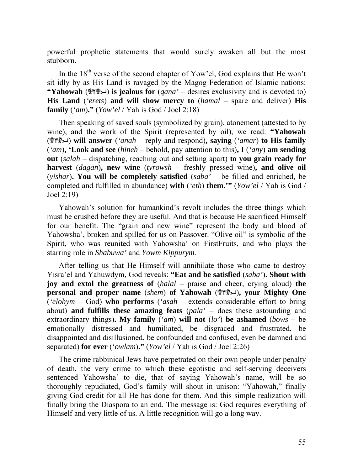powerful prophetic statements that would surely awaken all but the most stubborn.

In the  $18<sup>th</sup>$  verse of the second chapter of Yow'el, God explains that He won't sit idly by as His Land is ravaged by the Magog Federation of Islamic nations: **"Yahowah** ( $\mathcal{P}(\mathcal{P})$  is jealous for (*qana*' – desires exclusivity and is devoted to) **His Land** (*'erets*) **and will show mercy to** (*hamal* – spare and deliver) **His family** (*'am*)**."** (*Yow'el* / Yah is God / Joel 2:18)

Then speaking of saved souls (symbolized by grain), atonement (attested to by wine), and the work of the Spirit (represented by oil), we read: **"Yahowah** () **will answer** (*'anah* – reply and respond)**, saying** (*'amar*) **to His family** (*'am*)**, 'Look and see** (*hineh* – behold, pay attention to this)**, I** (*'any*) **am sending out** (*salah* – dispatching, reaching out and setting apart) **to you grain ready for harvest** (*dagan*)**, new wine** (*tyrowsh* – freshly pressed wine)**, and olive oil** (*yishar*)**. You will be completely satisfied** (*saba'* – be filled and enriched, be completed and fulfilled in abundance) **with** (*'eth*) **them.'"** (*Yow'el* / Yah is God / Joel 2:19)

Yahowah's solution for humankind's revolt includes the three things which must be crushed before they are useful. And that is because He sacrificed Himself for our benefit. The "grain and new wine" represent the body and blood of Yahowsha', broken and spilled for us on Passover. "Olive oil" is symbolic of the Spirit, who was reunited with Yahowsha' on FirstFruits, and who plays the starring role in *Shabuwa'* and *Yowm Kippurym*.

After telling us that He Himself will annihilate those who came to destroy Yisra'el and Yahuwdym, God reveals: **"Eat and be satisfied** (*saba'*)**. Shout with joy and extol the greatness of** (*halal* – praise and cheer, crying aloud) **the personal and proper name** (*shem*) **of Yahowah** ()**, your Mighty One** (*'elohym* – God) **who performs** (*'asah* – extends considerable effort to bring about) **and fulfills these amazing feats** (*pala'* – does these astounding and extraordinary things)**. My family** (*'am*) **will not** (*lo'*) **be ashamed** (*bows* – be emotionally distressed and humiliated, be disgraced and frustrated, be disappointed and disillusioned, be confounded and confused, even be damned and separated) **for ever** (*'owlam*)**."** (*Yow'el* / Yah is God / Joel 2:26)

The crime rabbinical Jews have perpetrated on their own people under penalty of death, the very crime to which these egotistic and self-serving deceivers sentenced Yahowsha' to die, that of saying Yahowah's name, will be so thoroughly repudiated, God's family will shout in unison: "Yahowah," finally giving God credit for all He has done for them. And this simple realization will finally bring the Diaspora to an end. The message is: God requires everything of Himself and very little of us. A little recognition will go a long way.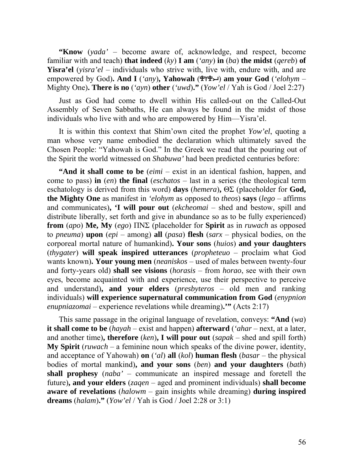**"Know** (*yada'* – become aware of, acknowledge, and respect, become familiar with and teach) **that indeed** (*ky*) **I am** (*'any*) **in** (*ba*) **the midst** (*qereb*) **of Yisra'el** (*yisra'el* – individuals who strive with, live with, endure with, and are empowered by God). And I ('any), Yahowah (הוא 492) am your God ('*elohym* – Mighty One)**. There is no** (*'ayn*) **other** (*'uwd*)**."** (*Yow'el* / Yah is God / Joel 2:27)

Just as God had come to dwell within His called-out on the Called-Out Assembly of Seven Sabbaths, He can always be found in the midst of those individuals who live with and who are empowered by Him—Yisra'el.

It is within this context that Shim'own cited the prophet *Yow'el*, quoting a man whose very name embodied the declaration which ultimately saved the Chosen People: "Yahowah is God." In the Greek we read that the pouring out of the Spirit the world witnessed on *Shabuwa'* had been predicted centuries before:

**"And it shall come to be** (*eimi* – exist in an identical fashion, happen, and come to pass) **in** (*en*) **the final** (*eschatos* – last in a series (the theological term eschatology is derived from this word) **days** (*hemera*)**,** ΘΣ (placeholder for **God, the Mighty One** as manifest in *'elohym* as opposed to *theos*) **says** (*lego* – affirms and communicates)**, 'I will pour out** (*ekcheomai* – shed and bestow, spill and distribute liberally, set forth and give in abundance so as to be fully experienced) **from** (*apo*) **Me, My** (*ego*) ΠΝΣ (placeholder for **Spirit** as in *ruwach* as opposed to *pneuma*) **upon** (*epi* – among) **all** (*pasa*) **flesh** (*sarx* – physical bodies, on the corporeal mortal nature of humankind)**. Your sons** (*huios*) **and your daughters** (*thygater*) **will speak inspired utterances** (*propheteuo* – proclaim what God wants known)**. Your young men** (*neaniskos* – used of males between twenty-four and forty-years old) **shall see visions** (*horasis* – from *horao*, see with their own eyes, become acquainted with and experience, use their perspective to perceive and understand)**, and your elders** (*presbyteros* – old men and ranking individuals) **will experience supernatural communication from God** (*enypnion enupniazomai* – experience revelations while dreaming)**.'"** (Acts 2:17)

This same passage in the original language of revelation, conveys: **"And** (*wa*) **it shall come to be** (*hayah* – exist and happen) **afterward** (*'ahar* – next, at a later, and another time)**, therefore** (*ken*)**, I will pour out** (*sapak* – shed and spill forth) **My Spirit** (*ruwach* – a feminine noun which speaks of the divine power, identity, and acceptance of Yahowah) **on** (*'al*) **all** (*kol*) **human flesh** (*basar* – the physical bodies of mortal mankind)**, and your sons** (*ben*) **and your daughters** (*bath*) **shall prophesy** (*naba'* – communicate an inspired message and foretell the future)**, and your elders** (*zaqen* – aged and prominent individuals) **shall become aware of revelations** (*halowm* – gain insights while dreaming) **during inspired dreams** (*halam*)**."** (*Yow'el* / Yah is God / Joel 2:28 or 3:1)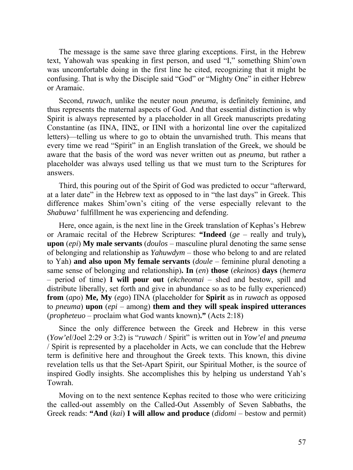The message is the same save three glaring exceptions. First, in the Hebrew text, Yahowah was speaking in first person, and used "I," something Shim'own was uncomfortable doing in the first line he cited, recognizing that it might be confusing. That is why the Disciple said "God" or "Mighty One" in either Hebrew or Aramaic.

Second, *ruwach*, unlike the neuter noun *pneuma*, is definitely feminine, and thus represents the maternal aspects of God. And that essential distinction is why Spirit is always represented by a placeholder in all Greek manuscripts predating Constantine (as ΠΝΑ, ΠΝΣ, or ΠΝΙ with a horizontal line over the capitalized letters)—telling us where to go to obtain the unvarnished truth. This means that every time we read "Spirit" in an English translation of the Greek, we should be aware that the basis of the word was never written out as *pneuma*, but rather a placeholder was always used telling us that we must turn to the Scriptures for answers.

Third, this pouring out of the Spirit of God was predicted to occur "afterward, at a later date" in the Hebrew text as opposed to in "the last days" in Greek. This difference makes Shim'own's citing of the verse especially relevant to the *Shabuwa'* fulfillment he was experiencing and defending.

Here, once again, is the next line in the Greek translation of Kephas's Hebrew or Aramaic recital of the Hebrew Scriptures: **"Indeed** (*ge* – really and truly)**, upon** (*epi*) **My male servants** (*doulos* – masculine plural denoting the same sense of belonging and relationship as *Yahuwdym* – those who belong to and are related to Yah) **and also upon My female servants** (*doule* – feminine plural denoting a same sense of belonging and relationship)**. In** (*en*) **those** (*ekeinos*) **days** (*hemera* – period of time) **I will pour out** (*ekcheomai* – shed and bestow, spill and distribute liberally, set forth and give in abundance so as to be fully experienced) **from** (*apo*) **Me, My** (*ego*) ΠΝΑ (placeholder for **Spirit** as in *ruwach* as opposed to *pneuma*) **upon** (*epi* – among) **them and they will speak inspired utterances** (*propheteuo* – proclaim what God wants known)**."** (Acts 2:18)

Since the only difference between the Greek and Hebrew in this verse (*Yow'el*/Joel 2:29 or 3:2) is "*ruwach* / Spirit" is written out in *Yow'el* and *pneuma*  / Spirit is represented by a placeholder in Acts, we can conclude that the Hebrew term is definitive here and throughout the Greek texts. This known, this divine revelation tells us that the Set-Apart Spirit, our Spiritual Mother, is the source of inspired Godly insights. She accomplishes this by helping us understand Yah's Towrah.

Moving on to the next sentence Kephas recited to those who were criticizing the called-out assembly on the Called-Out Assembly of Seven Sabbaths, the Greek reads: **"And** (*kai*) **I will allow and produce** (*didomi* – bestow and permit)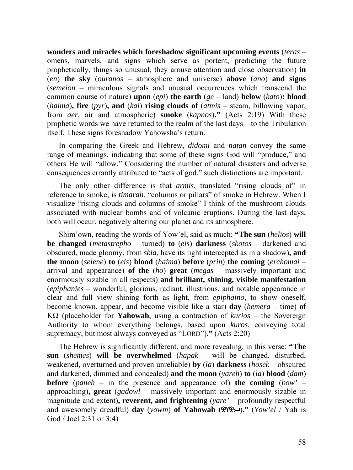**wonders and miracles which foreshadow significant upcoming events** (*teras* – omens, marvels, and signs which serve as portent, predicting the future prophetically, things so unusual, they arouse attention and close observation) **in** (*en*) **the sky** (*ouranos* – atmosphere and universe) **above** (*ano*) **and signs** (*semeion* – miraculous signals and unusual occurrences which transcend the common course of nature) **upon** (*epi*) **the earth** (*ge* – land) **below** (*kato*)**: blood** (*haima*)**, fire** (*pyr*)**, and** (*kai*) **rising clouds of** (*atmis* – steam, billowing vapor, from *aer*, air and atmospheric) **smoke** (*kapnos*)**."** (Acts 2:19) With these prophetic words we have returned to the realm of the last days—to the Tribulation itself. These signs foreshadow Yahowsha's return.

In comparing the Greek and Hebrew, *didomi* and *natan* convey the same range of meanings, indicating that some of these signs God will "produce," and others He will "allow." Considering the number of natural disasters and adverse consequences errantly attributed to "acts of god," such distinctions are important.

The only other difference is that *armis*, translated "rising clouds of" in reference to smoke, is *timarah*, "columns or pillars" of smoke in Hebrew. When I visualize "rising clouds and columns of smoke" I think of the mushroom clouds associated with nuclear bombs and of volcanic eruptions. During the last days, both will occur, negatively altering our planet and its atmosphere.

Shim'own, reading the words of Yow'el, said as much: **"The sun** (*helios*) **will be changed** (*metastrepho* – turned) **to** (*eis*) **darkness** (*skotos* – darkened and obscured, made gloomy, from *skia*, have its light intercepted as in a shadow)**, and the moon** (*selene*) **to** (*eis*) **blood** (*haima*) **before** (*prin*) **the coming** (*erchomai* – arrival and appearance) **of the** (*ho*) **great** (*megas* – massively important and enormously sizable in all respects) **and brilliant, shining, visible manifestation** (*epiphanies* – wonderful, glorious, radiant, illustrious, and notable appearance in clear and full view shining forth as light, from *epiphaino*, to show oneself, become known, appear, and become visible like a star) **day** (*hemera* – time) **of**  ΚΩ (placeholder for **Yahowah**, using a contraction of *kurios* – the Sovereign Authority to whom everything belongs, based upon *kuros*, conveying total supremacy, but most always conveyed as "LORD")**."** (Acts 2:20)

The Hebrew is significantly different, and more revealing, in this verse: **"The sun** (*shemes*) **will be overwhelmed** (*hapak* – will be changed, disturbed, weakened, overturned and proven unreliable) **by** (*la*) **darkness** (*hosek* – obscured and darkened, dimmed and concealed) **and the moon** (*yareh*) **to** (*la*) **blood** (*dam*) **before** (*paneh* – in the presence and appearance of) **the coming** (*bow'* – approaching)**, great** (*gadowl* – massively important and enormously sizable in magnitude and extent)**, reverent, and frightening** (*yare'* – profoundly respectful and awesomely dreadful) **day** (*yowm*) **of Yahowah** ()**."** (*Yow'el* / Yah is God / Joel 2:31 or 3:4)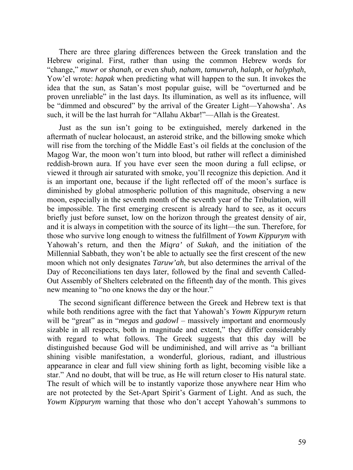There are three glaring differences between the Greek translation and the Hebrew original. First, rather than using the common Hebrew words for "change," *muwr* or *shanah*, or even *shub, naham, tamuwrah, halaph*, or *halyphah*, Yow'el wrote: *hapak* when predicting what will happen to the sun. It invokes the idea that the sun, as Satan's most popular guise, will be "overturned and be proven unreliable" in the last days. Its illumination, as well as its influence, will be "dimmed and obscured" by the arrival of the Greater Light—Yahowsha'. As such, it will be the last hurrah for "Allahu Akbar!"—Allah is the Greatest.

Just as the sun isn't going to be extinguished, merely darkened in the aftermath of nuclear holocaust, an asteroid strike, and the billowing smoke which will rise from the torching of the Middle East's oil fields at the conclusion of the Magog War, the moon won't turn into blood, but rather will reflect a diminished reddish-brown aura. If you have ever seen the moon during a full eclipse, or viewed it through air saturated with smoke, you'll recognize this depiction. And it is an important one, because if the light reflected off of the moon's surface is diminished by global atmospheric pollution of this magnitude, observing a new moon, especially in the seventh month of the seventh year of the Tribulation, will be impossible. The first emerging crescent is already hard to see, as it occurs briefly just before sunset, low on the horizon through the greatest density of air, and it is always in competition with the source of its light—the sun. Therefore, for those who survive long enough to witness the fulfillment of *Yowm Kippurym* with Yahowah's return, and then the *Miqra'* of *Sukah*, and the initiation of the Millennial Sabbath, they won't be able to actually see the first crescent of the new moon which not only designates *Taruw'ah*, but also determines the arrival of the Day of Reconciliations ten days later, followed by the final and seventh Called-Out Assembly of Shelters celebrated on the fifteenth day of the month. This gives new meaning to "no one knows the day or the hour."

The second significant difference between the Greek and Hebrew text is that while both renditions agree with the fact that Yahowah's *Yowm Kippurym* return will be "great" as in "*megas* and *gadowl* – massively important and enormously sizable in all respects, both in magnitude and extent," they differ considerably with regard to what follows. The Greek suggests that this day will be distinguished because God will be undiminished, and will arrive as "a brilliant shining visible manifestation, a wonderful, glorious, radiant, and illustrious appearance in clear and full view shining forth as light, becoming visible like a star." And no doubt, that will be true, as He will return closer to His natural state. The result of which will be to instantly vaporize those anywhere near Him who are not protected by the Set-Apart Spirit's Garment of Light. And as such, the *Yowm Kippurym* warning that those who don't accept Yahowah's summons to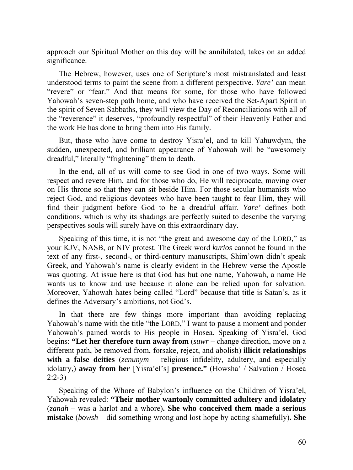approach our Spiritual Mother on this day will be annihilated, takes on an added significance.

The Hebrew, however, uses one of Scripture's most mistranslated and least understood terms to paint the scene from a different perspective. *Yare'* can mean "revere" or "fear." And that means for some, for those who have followed Yahowah's seven-step path home, and who have received the Set-Apart Spirit in the spirit of Seven Sabbaths, they will view the Day of Reconciliations with all of the "reverence" it deserves, "profoundly respectful" of their Heavenly Father and the work He has done to bring them into His family.

But, those who have come to destroy Yisra'el, and to kill Yahuwdym, the sudden, unexpected, and brilliant appearance of Yahowah will be "awesomely dreadful," literally "frightening" them to death.

In the end, all of us will come to see God in one of two ways. Some will respect and revere Him, and for those who do, He will reciprocate, moving over on His throne so that they can sit beside Him. For those secular humanists who reject God, and religious devotees who have been taught to fear Him, they will find their judgment before God to be a dreadful affair. *Yare'* defines both conditions, which is why its shadings are perfectly suited to describe the varying perspectives souls will surely have on this extraordinary day.

Speaking of this time, it is not "the great and awesome day of the LORD," as your KJV, NASB, or NIV protest. The Greek word *kurios* cannot be found in the text of any first-, second-, or third-century manuscripts, Shim'own didn't speak Greek, and Yahowah's name is clearly evident in the Hebrew verse the Apostle was quoting. At issue here is that God has but one name, Yahowah, a name He wants us to know and use because it alone can be relied upon for salvation. Moreover, Yahowah hates being called "Lord" because that title is Satan's, as it defines the Adversary's ambitions, not God's.

In that there are few things more important than avoiding replacing Yahowah's name with the title "the LORD," I want to pause a moment and ponder Yahowah's pained words to His people in Hosea. Speaking of Yisra'el, God begins: **"Let her therefore turn away from** (*suwr* – change direction, move on a different path, be removed from, forsake, reject, and abolish) **illicit relationships with a false deities** (*zenunym* – religious infidelity, adultery, and especially idolatry,) **away from her** [Yisra'el's] **presence."** (Howsha' / Salvation / Hosea 2:2-3)

Speaking of the Whore of Babylon's influence on the Children of Yisra'el, Yahowah revealed: **"Their mother wantonly committed adultery and idolatry** (*zanah* – was a harlot and a whore)**. She who conceived them made a serious mistake** (*bowsh* – did something wrong and lost hope by acting shamefully)**. She**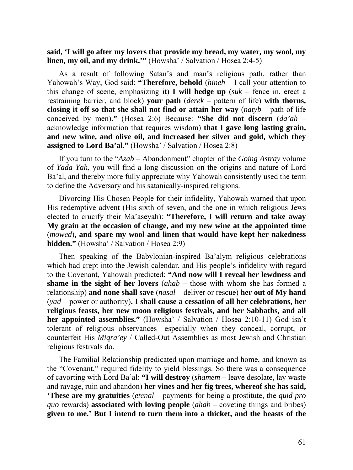**said, 'I will go after my lovers that provide my bread, my water, my wool, my linen, my oil, and my drink.'"** (Howsha' / Salvation / Hosea 2:4-5)

As a result of following Satan's and man's religious path, rather than Yahowah's Way, God said: **"Therefore, behold** (*hineh* – I call your attention to this change of scene, emphasizing it) **I will hedge up** (*suk* – fence in, erect a restraining barrier, and block) **your path** (*derek* – pattern of life) **with thorns, closing it off so that she shall not find or attain her way** (*natyb* – path of life conceived by men)**."** (Hosea 2:6) Because: **"She did not discern** (*da'ah* – acknowledge information that requires wisdom) **that I gave long lasting grain, and new wine, and olive oil, and increased her silver and gold, which they assigned to Lord Ba'al."** (Howsha' / Salvation / Hosea 2:8)

If you turn to the "*Azab* – Abandonment" chapter of the *Going Astray* volume of *Yada Yah*, you will find a long discussion on the origins and nature of Lord Ba'al, and thereby more fully appreciate why Yahowah consistently used the term to define the Adversary and his satanically-inspired religions.

Divorcing His Chosen People for their infidelity, Yahowah warned that upon His redemptive advent (His sixth of seven, and the one in which religious Jews elected to crucify their Ma'aseyah): **"Therefore, I will return and take away My grain at the occasion of change, and my new wine at the appointed time** (*mowed*)**, and spare my wool and linen that would have kept her nakedness hidden."** (Howsha' / Salvation / Hosea 2:9)

Then speaking of the Babylonian-inspired Ba'alym religious celebrations which had crept into the Jewish calendar, and His people's infidelity with regard to the Covenant, Yahowah predicted: **"And now will I reveal her lewdness and shame in the sight of her lovers** (*ahab* – those with whom she has formed a relationship) **and none shall save** (*nasal* – deliver or rescue) **her out of My hand** (*yad* – power or authority)**. I shall cause a cessation of all her celebrations, her religious feasts, her new moon religious festivals, and her Sabbaths, and all her appointed assemblies."** (Howsha' / Salvation / Hosea 2:10-11) God isn't tolerant of religious observances—especially when they conceal, corrupt, or counterfeit His *Miqra'ey* / Called-Out Assemblies as most Jewish and Christian religious festivals do.

The Familial Relationship predicated upon marriage and home, and known as the "Covenant," required fidelity to yield blessings. So there was a consequence of cavorting with Lord Ba'al: **"I will destroy** (*shamem* – leave desolate, lay waste and ravage, ruin and abandon) **her vines and her fig trees, whereof she has said, 'These are my gratuities** (*etenal* – payments for being a prostitute, the *quid pro quo* rewards) **associated with loving people** (*ahab* – coveting things and bribes) **given to me.' But I intend to turn them into a thicket, and the beasts of the**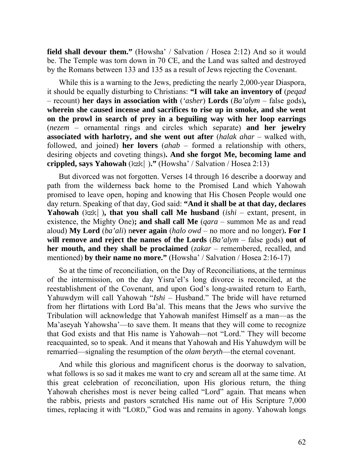**field shall devour them."** (Howsha' / Salvation / Hosea 2:12) And so it would be. The Temple was torn down in 70 CE, and the Land was salted and destroyed by the Romans between 133 and 135 as a result of Jews rejecting the Covenant.

While this is a warning to the Jews, predicting the nearly 2,000-year Diaspora, it should be equally disturbing to Christians: **"I will take an inventory of** (*peqad* – recount) **her days in association with** (*'asher*) **Lords** (*Ba'alym* – false gods)**, wherein she caused incense and sacrifices to rise up in smoke, and she went on the prowl in search of prey in a beguiling way with her loop earrings**  (*nezem* – ornamental rings and circles which separate) **and her jewelry associated with harlotry, and she went out after** (*halak ahar* – walked with, followed, and joined) **her lovers** (*ahab* – formed a relationship with others, desiring objects and coveting things)**. And she forgot Me, becoming lame and crippled, says Yahowah** (kzk  $\vert$  )." (Howsha' / Salvation / Hosea 2:13)

But divorced was not forgotten. Verses 14 through 16 describe a doorway and path from the wilderness back home to the Promised Land which Yahowah promised to leave open, hoping and knowing that His Chosen People would one day return. Speaking of that day, God said: **"And it shall be at that day, declares Yahowah** ( $kzk$ ), **that you shall call Me husband** (*ishi* – extant, present, in existence, the Mighty One)**; and shall call Me** (*qara* – summon Me as and read aloud) **My Lord** (*ba'ali*) n**ever again** (*halo owd* – no more and no longer)**. For I will remove and reject the names of the Lords** (*Ba'alym* – false gods) **out of her mouth, and they shall be proclaimed** (*zakar* – remembered, recalled, and mentioned) **by their name no more."** (Howsha' / Salvation / Hosea 2:16-17)

So at the time of reconciliation, on the Day of Reconciliations, at the terminus of the intermission, on the day Yisra'el's long divorce is reconciled, at the reestablishment of the Covenant, and upon God's long-awaited return to Earth, Yahuwdym will call Yahowah "*Ishi* – Husband." The bride will have returned from her flirtations with Lord Ba'al. This means that the Jews who survive the Tribulation will acknowledge that Yahowah manifest Himself as a man—as the Ma'aseyah Yahowsha'—to save them. It means that they will come to recognize that God exists and that His name is Yahowah—not "Lord." They will become reacquainted, so to speak. And it means that Yahowah and His Yahuwdym will be remarried—signaling the resumption of the *olam beryth*—the eternal covenant.

And while this glorious and magnificent chorus is the doorway to salvation, what follows is so sad it makes me want to cry and scream all at the same time. At this great celebration of reconciliation, upon His glorious return, the thing Yahowah cherishes most is never being called "Lord" again. That means when the rabbis, priests and pastors scratched His name out of His Scripture 7,000 times, replacing it with "LORD," God was and remains in agony. Yahowah longs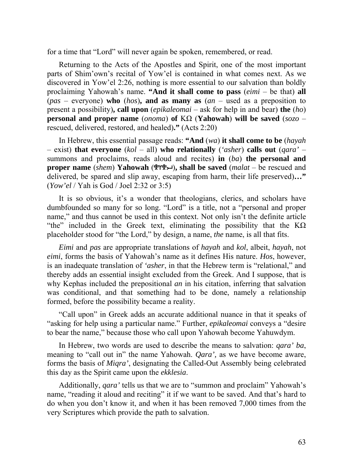for a time that "Lord" will never again be spoken, remembered, or read.

Returning to the Acts of the Apostles and Spirit, one of the most important parts of Shim'own's recital of Yow'el is contained in what comes next. As we discovered in Yow'el 2:26, nothing is more essential to our salvation than boldly proclaiming Yahowah's name. **"And it shall come to pass** (*eimi* – be that) **all** (*pas* – everyone) **who** (*hos*)**, and as many as** (*an* – used as a preposition to present a possibility)**, call upon** (*epikaleomai* – ask for help in and bear) **the** (*ho*) **personal and proper name** (*onoma*) **of** ΚΩ (**Yahowah**) **will be saved** (*sozo* – rescued, delivered, restored, and healed)**."** (Acts 2:20)

In Hebrew, this essential passage reads: **"And** (*wa*) **it shall come to be** (*hayah* – exist) **that everyone** (*kol* – all) **who relationally** (*'asher*) **calls out** (*qara'* – summons and proclaims, reads aloud and recites) **in** (*ba*) **the personal and proper name** (*shem*) **Yahowah** ( $\mathcal{P}(Y\mathcal{P}\rightarrow)$ , shall be saved (*malat* – be rescued and delivered, be spared and slip away, escaping from harm, their life preserved)**…"** (*Yow'el* / Yah is God / Joel 2:32 or 3:5)

It is so obvious, it's a wonder that theologians, clerics, and scholars have dumbfounded so many for so long. "Lord" is a title, not a "personal and proper name," and thus cannot be used in this context. Not only isn't the definite article "the" included in the Greek text, eliminating the possibility that the  $K\Omega$ placeholder stood for "the Lord," by design, a name, *the* name, is all that fits.

*Eimi* and *pas* are appropriate translations of *hayah* and *kol*, albeit, *hayah*, not *eimi*, forms the basis of Yahowah's name as it defines His nature. *Hos*, however, is an inadequate translation of *'asher*, in that the Hebrew term is "relational," and thereby adds an essential insight excluded from the Greek. And I suppose, that is why Kephas included the prepositional *an* in his citation, inferring that salvation was conditional, and that something had to be done, namely a relationship formed, before the possibility became a reality.

"Call upon" in Greek adds an accurate additional nuance in that it speaks of "asking for help using a particular name." Further, *epikaleomai* conveys a "desire to bear the name," because those who call upon Yahowah become Yahuwdym.

In Hebrew, two words are used to describe the means to salvation: *qara' ba*, meaning to "call out in" the name Yahowah. *Qara',* as we have become aware, forms the basis of *Miqra'*, designating the Called-Out Assembly being celebrated this day as the Spirit came upon the *ekklesia*.

Additionally, *qara'* tells us that we are to "summon and proclaim" Yahowah's name, "reading it aloud and reciting" it if we want to be saved. And that's hard to do when you don't know it, and when it has been removed 7,000 times from the very Scriptures which provide the path to salvation.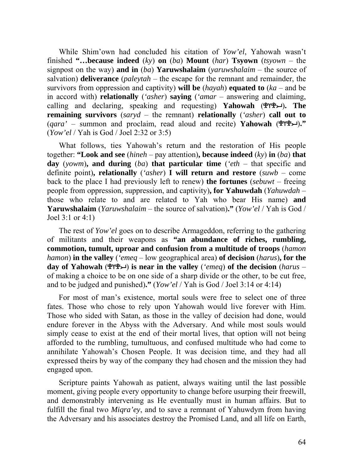While Shim'own had concluded his citation of *Yow'el*, Yahowah wasn't finished **"…because indeed** (*ky*) **on** (*ba*) **Mount** (*har*) **Tsyown** (*tsyown* – the signpost on the way) **and in** (*ba*) **Yaruwshalaim** (*yaruwshalaim* – the source of salvation) **deliverance** (*paleytah* – the escape for the remnant and remainder, the survivors from oppression and captivity) **will be** (*hayah*) **equated to** (*ka* – and be in accord with) **relationally** (*'asher*) **saying** (*'amar* – answering and claiming, calling and declaring, speaking and requesting) **Yahowah** ()**. The remaining survivors** (*saryd* – the remnant) **relationally** (*'asher*) **call out to**  $(qara' - \text{summ on and proclaim, read aloud and recite) **Yahowah** ( $\mathbf{r} \mathbf{r} \mathbf{r} \mathbf{r} \mathbf{r}$ ."$ (*Yow'el* / Yah is God / Joel 2:32 or 3:5)

What follows, ties Yahowah's return and the restoration of His people together: **"Look and see** (*hineh* – pay attention)**, because indeed** (*ky*) **in** (*ba*) **that day** (*yowm*)**, and during** (*ba*) **that particular time** (*'eth* – that specific and definite point)**, relationally** (*'asher*) **I will return and restore** (*suwb* – come back to the place I had previously left to renew) **the fortunes** (*sebuwt* – freeing people from oppression, suppression, and captivity)**, for Yahuwdah** (*Yahuwdah* – those who relate to and are related to Yah who bear His name) **and Yaruwshalaim** (*Yaruwshalaim* – the source of salvation)**."** (*Yow'el* / Yah is God / Joel 3:1 or 4:1)

The rest of *Yow'el* goes on to describe Armageddon, referring to the gathering of militants and their weapons as **"an abundance of riches, rumbling, commotion, tumult, uproar and confusion from a multitude of troops** (*hamon hamon*) **in the valley** (*'emeq* – low geographical area) **of decision** (*harus*)**, for the day of Yahowah** () **is near in the valley** (*'emeq*) **of the decision** (*harus* – of making a choice to be on one side of a sharp divide or the other, to be cut free, and to be judged and punished)**."** (*Yow'el* / Yah is God / Joel 3:14 or 4:14)

For most of man's existence, mortal souls were free to select one of three fates. Those who chose to rely upon Yahowah would live forever with Him. Those who sided with Satan, as those in the valley of decision had done, would endure forever in the Abyss with the Adversary. And while most souls would simply cease to exist at the end of their mortal lives, that option will not being afforded to the rumbling, tumultuous, and confused multitude who had come to annihilate Yahowah's Chosen People. It was decision time, and they had all expressed theirs by way of the company they had chosen and the mission they had engaged upon.

Scripture paints Yahowah as patient, always waiting until the last possible moment, giving people every opportunity to change before usurping their freewill, and demonstrably intervening as He eventually must in human affairs. But to fulfill the final two *Miqra'ey*, and to save a remnant of Yahuwdym from having the Adversary and his associates destroy the Promised Land, and all life on Earth,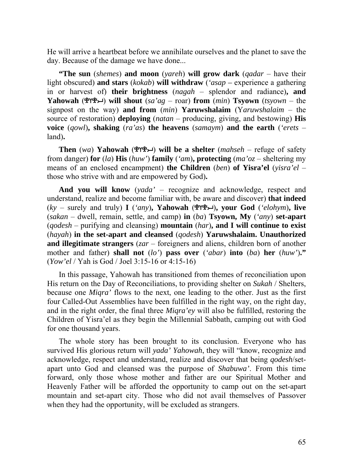He will arrive a heartbeat before we annihilate ourselves and the planet to save the day. Because of the damage we have done...

**"The sun** (*shemes*) **and moon** (*yareh*) **will grow dark** (*qadar* – have their light obscured) **and stars** (*kokab*) **will withdraw** (*'asap –* experience a gathering in or harvest of) **their brightness** (*nagah* – splendor and radiance)**, and Yahowah** ( $\mathcal{L}(\mathbf{X}) = \mathbf{X}(\mathbf{X})$  **will shout** (*sa'ag* – roar) **from** (*min*) **Tsyown** (*tsyown* – the signpost on the way) **and from** (*min*) **Yaruwshalaim** (Y*aruwshalaim* – the source of restoration) **deploying** (*natan* – producing, giving, and bestowing) **His voice** (*qowl*)**, shaking** (*ra'as*) **the heavens** (*samaym*) **and the earth** (*'erets* – land)**.** 

**Then** (*wa*) **Yahowah** ( $\mathcal{P}(\mathcal{P}\mathcal{P}\rightarrow\mathcal{P})$  will be a shelter (*mahseh* – refuge of safety from danger) **for** (*la*) **His** (*huw'*) **family** (*'am*)**, protecting** (*ma'oz* – sheltering my means of an enclosed encampment) **the Children** (*ben*) **of Yisra'el** (*yisra'el* – those who strive with and are empowered by God)**.** 

**And you will know** (*yada'* – recognize and acknowledge, respect and understand, realize and become familiar with, be aware and discover) **that indeed**  $(ky -$  surely and truly) **I** (*'any*), **Yahowah** ( $\mathcal{P}(\mathcal{P}\mathcal{L})$ ), your God (*'elohym*), live (*sakan* – dwell, remain, settle, and camp) **in** (*ba*) **Tsyown, My** (*'any*) **set-apart** (*qodesh* – purifying and cleansing) **mountain** (*har*)**, and I will continue to exist** (*hayah*) **in the set-apart and cleansed** (*qodesh*) **Yaruwshalaim. Unauthorized and illegitimate strangers** (*zar* – foreigners and aliens, children born of another mother and father) **shall not** (*lo'*) **pass over** (*'abar*) **into** (*ba*) **her** (*huw'*)**."** (*Yow'el* / Yah is God / Joel 3:15-16 or 4:15-16)

In this passage, Yahowah has transitioned from themes of reconciliation upon His return on the Day of Reconciliations, to providing shelter on *Sukah* / Shelters, because one *Miqra'* flows to the next, one leading to the other. Just as the first four Called-Out Assemblies have been fulfilled in the right way, on the right day, and in the right order, the final three *Miqra'ey* will also be fulfilled, restoring the Children of Yisra'el as they begin the Millennial Sabbath, camping out with God for one thousand years.

The whole story has been brought to its conclusion. Everyone who has survived His glorious return will *yada' Yahowah*, they will "know, recognize and acknowledge, respect and understand, realize and discover that being *qodesh*/setapart unto God and cleansed was the purpose of *Shabuwa'*. From this time forward, only those whose mother and father are our Spiritual Mother and Heavenly Father will be afforded the opportunity to camp out on the set-apart mountain and set-apart city. Those who did not avail themselves of Passover when they had the opportunity, will be excluded as strangers.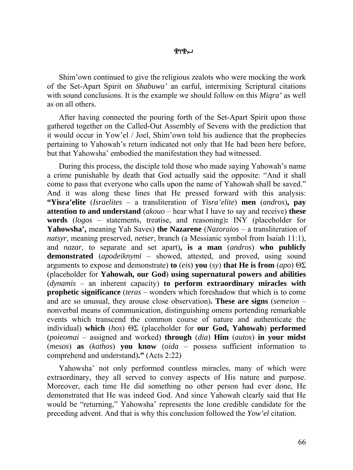Shim'own continued to give the religious zealots who were mocking the work of the Set-Apart Spirit on *Shabuwa'* an earful, intermixing Scriptural citations with sound conclusions. It is the example we should follow on this *Miqra'* as well as on all others.

After having connected the pouring forth of the Set-Apart Spirit upon those gathered together on the Called-Out Assembly of Sevens with the prediction that it would occur in Yow'el / Joel, Shim'own told his audience that the prophecies pertaining to Yahowah's return indicated not only that He had been here before, but that Yahowsha' embodied the manifestation they had witnessed.

During this process, the disciple told those who made saying Yahowah's name a crime punishable by death that God actually said the opposite: "And it shall come to pass that everyone who calls upon the name of Yahowah shall be saved." And it was along these lines that He pressed forward with this analysis: **"Yisra'elite** (*Israelites* – a transliteration of *Yisra'elite*) **men** (*andros*)**, pay attention to and understand** (*akouo* – hear what I have to say and receive) **these words** (*logos* – statements, treatise, and reasoning)**:** ΙΝΥ (placeholder for **Yahowsha',** meaning Yah Saves) **the Nazarene** (*Nazoraios* – a transliteration of *natsyr*, meaning preserved, *netser*, branch (a Messianic symbol from Isaiah 11:1), and *nazar*, to separate and set apart)**, is a man** (*andros*) **who publicly demonstrated** (*apodeiknymi* – showed, attested, and proved, using sound arguments to expose and demonstrate) **to** (*eis*) **you** (*sy*) **that He is from** (*apo*) ΘΣ (placeholder for **Yahowah, our God**) **using supernatural powers and abilities** (*dynamis* – an inherent capacity) **to perform extraordinary miracles with prophetic significance** (*teras* – wonders which foreshadow that which is to come and are so unusual, they arouse close observation)**. These are signs** (*semeion* – nonverbal means of communication, distinguishing omens portending remarkable events which transcend the common course of nature and authenticate the individual) **which** (*hos*) ΘΣ (placeholder for **our God, Yahowah**) **performed** (*poieomai* – assigned and worked) **through** (*dia*) **Him** (*autos*) **in your midst** (*mesos*) **as** (*kathos*) **you know** (*oida* – possess sufficient information to comprehend and understand)**."** (Acts 2:22)

Yahowsha' not only performed countless miracles, many of which were extraordinary, they all served to convey aspects of His nature and purpose. Moreover, each time He did something no other person had ever done, He demonstrated that He was indeed God. And since Yahowah clearly said that He would be "returning," Yahowsha' represents the lone credible candidate for the preceding advent. And that is why this conclusion followed the *Yow'el* citation.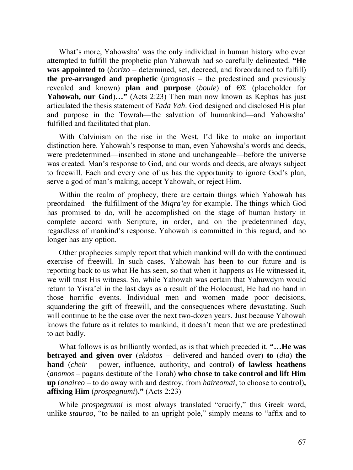What's more, Yahowsha' was the only individual in human history who even attempted to fulfill the prophetic plan Yahowah had so carefully delineated. **"He was appointed to** (*horizo* – determined, set, decreed, and foreordained to fulfill) **the pre-arranged and prophetic** (*prognosis* – the predestined and previously revealed and known) **plan and purpose** (*boule*) **of** ΘΣ (placeholder for **Yahowah, our God**)**…"** (Acts 2:23) Then man now known as Kephas has just articulated the thesis statement of *Yada Yah*. God designed and disclosed His plan and purpose in the Towrah—the salvation of humankind—and Yahowsha' fulfilled and facilitated that plan.

With Calvinism on the rise in the West, I'd like to make an important distinction here. Yahowah's response to man, even Yahowsha's words and deeds, were predetermined—inscribed in stone and unchangeable—before the universe was created. Man's response to God, and our words and deeds, are always subject to freewill. Each and every one of us has the opportunity to ignore God's plan, serve a god of man's making, accept Yahowah, or reject Him.

Within the realm of prophecy, there are certain things which Yahowah has preordained—the fulfillment of the *Miqra'ey* for example. The things which God has promised to do, will be accomplished on the stage of human history in complete accord with Scripture, in order, and on the predetermined day, regardless of mankind's response. Yahowah is committed in this regard, and no longer has any option.

Other prophecies simply report that which mankind will do with the continued exercise of freewill. In such cases, Yahowah has been to our future and is reporting back to us what He has seen, so that when it happens as He witnessed it, we will trust His witness. So, while Yahowah was certain that Yahuwdym would return to Yisra'el in the last days as a result of the Holocaust, He had no hand in those horrific events. Individual men and women made poor decisions, squandering the gift of freewill, and the consequences where devastating. Such will continue to be the case over the next two-dozen years. Just because Yahowah knows the future as it relates to mankind, it doesn't mean that we are predestined to act badly.

What follows is as brilliantly worded, as is that which preceded it. **"…He was betrayed and given over** (*ekdotos* – delivered and handed over) **to** (*dia*) **the hand** (*cheir* – power, influence, authority, and control) **of lawless heathens** (*anomos* – pagans destitute of the Torah) **who chose to take control and lift Him up** (*anaireo* – to do away with and destroy, from *haireomai*, to choose to control)**, affixing Him** (*prospegnumi*)**."** (Acts 2:23)

While *prospegnumi* is most always translated "crucify," this Greek word, unlike *stauroo*, "to be nailed to an upright pole," simply means to "affix and to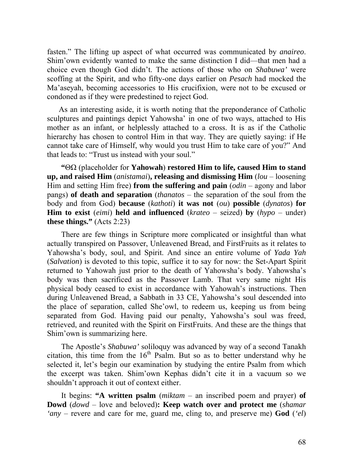fasten." The lifting up aspect of what occurred was communicated by *anaireo*. Shim'own evidently wanted to make the same distinction I did—that men had a choice even though God didn't. The actions of those who on *Shabuwa'* were scoffing at the Spirit, and who fifty-one days earlier on *Pesach* had mocked the Ma'aseyah, becoming accessories to His crucifixion, were not to be excused or condoned as if they were predestined to reject God.

As an interesting aside, it is worth noting that the preponderance of Catholic sculptures and paintings depict Yahowsha' in one of two ways, attached to His mother as an infant, or helplessly attached to a cross. It is as if the Catholic hierarchy has chosen to control Him in that way. They are quietly saying: if He cannot take care of Himself, why would you trust Him to take care of you?" And that leads to: "Trust us instead with your soul."

**"**ΘΩ (placeholder for **Yahowah**) **restored Him to life, caused Him to stand up, and raised Him** (*anistamai*)**, releasing and dismissing Him** (*lou* – loosening Him and setting Him free) **from the suffering and pain** (*odin* – agony and labor pangs) **of death and separation** (*thanatos* – the separation of the soul from the body and from God) **because** (*kathoti*) **it was not** (*ou*) **possible** (*dynatos*) **for Him to exist** (*eimi*) **held and influenced** (*krateo* – seized) **by** (*hypo* – under) **these things."** (Acts 2:23)

There are few things in Scripture more complicated or insightful than what actually transpired on Passover, Unleavened Bread, and FirstFruits as it relates to Yahowsha's body, soul, and Spirit. And since an entire volume of *Yada Yah* (*Salvation*) is devoted to this topic, suffice it to say for now: the Set-Apart Spirit returned to Yahowah just prior to the death of Yahowsha's body. Yahowsha's body was then sacrificed as the Passover Lamb. That very same night His physical body ceased to exist in accordance with Yahowah's instructions. Then during Unleavened Bread, a Sabbath in 33 CE, Yahowsha's soul descended into the place of separation, called She'owl, to redeem us, keeping us from being separated from God. Having paid our penalty, Yahowsha's soul was freed, retrieved, and reunited with the Spirit on FirstFruits. And these are the things that Shim'own is summarizing here.

The Apostle's *Shabuwa'* soliloquy was advanced by way of a second Tanakh citation, this time from the  $16<sup>th</sup>$  Psalm. But so as to better understand why he selected it, let's begin our examination by studying the entire Psalm from which the excerpt was taken. Shim'own Kephas didn't cite it in a vacuum so we shouldn't approach it out of context either.

It begins: **"A written psalm** (*miktam* – an inscribed poem and prayer) **of Dowd** (*dowd* – love and beloved)**: Keep watch over and protect me** (*shamar 'any* – revere and care for me, guard me, cling to, and preserve me) **God** (*'el*)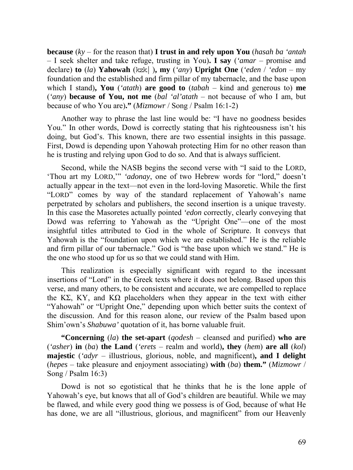**because** (*ky* – for the reason that) **I trust in and rely upon You** (*hasah ba 'antah* – I seek shelter and take refuge, trusting in You)**. I say** (*'amar* – promise and declare) **to** (*la*) **Yahowah** (kzk ), **my** (*'any*) **Upright One** (*'eden* / *'edon* – my foundation and the established and firm pillar of my tabernacle, and the base upon which I stand)**, You** (*'atath*) **are good to** (*tabah* – kind and generous to) **me** (*'any*) **because of You, not me** (*bal 'al'atath* – not because of who I am, but because of who You are)**."** (*Mizmowr* / Song / Psalm 16:1-2)

Another way to phrase the last line would be: "I have no goodness besides You." In other words, Dowd is correctly stating that his righteousness isn't his doing, but God's. This known, there are two essential insights in this passage. First, Dowd is depending upon Yahowah protecting Him for no other reason than he is trusting and relying upon God to do so. And that is always sufficient.

Second, while the NASB begins the second verse with "I said to the LORD, 'Thou art my LORD,'" *'adonay*, one of two Hebrew words for "lord," doesn't actually appear in the text—not even in the lord-loving Masoretic. While the first "LORD" comes by way of the standard replacement of Yahowah's name perpetrated by scholars and publishers, the second insertion is a unique travesty. In this case the Masoretes actually pointed *'edon* correctly, clearly conveying that Dowd was referring to Yahowah as the "Upright One"—one of the most insightful titles attributed to God in the whole of Scripture. It conveys that Yahowah is the "foundation upon which we are established." He is the reliable and firm pillar of our tabernacle." God is "the base upon which we stand." He is the one who stood up for us so that we could stand with Him.

This realization is especially significant with regard to the incessant insertions of "Lord" in the Greek texts where it does not belong. Based upon this verse, and many others, to be consistent and accurate, we are compelled to replace the KΣ, KY, and KΩ placeholders when they appear in the text with either "Yahowah" or "Upright One," depending upon which better suits the context of the discussion. And for this reason alone, our review of the Psalm based upon Shim'own's *Shabuwa'* quotation of it, has borne valuable fruit.

**"Concerning** (*la*) **the set-apart** (*qodesh* – cleansed and purified) **who are** (*'asher*) **in** (*ba*) **the Land** (*'erets* – realm and world)**, they** (*hem*) **are all** (*kol*) **majestic** (*'adyr* – illustrious, glorious, noble, and magnificent)**, and I delight** (*hepes* – take pleasure and enjoyment associating) **with** (*ba*) **them."** (*Mizmowr* / Song / Psalm 16:3)

Dowd is not so egotistical that he thinks that he is the lone apple of Yahowah's eye, but knows that all of God's children are beautiful. While we may be flawed, and while every good thing we possess is of God, because of what He has done, we are all "illustrious, glorious, and magnificent" from our Heavenly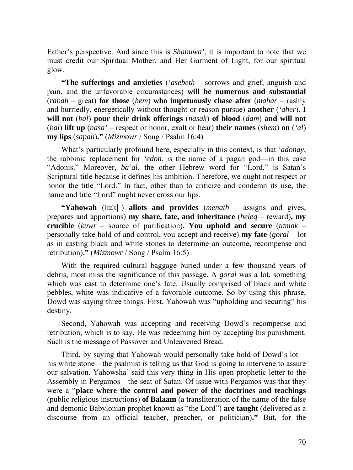Father's perspective. And since this is *Shabuwa'*, it is important to note that we must credit our Spiritual Mother, and Her Garment of Light, for our spiritual glow.

**"The sufferings and anxieties** (*'asebeth* – sorrows and grief, anguish and pain, and the unfavorable circumstances) **will be numerous and substantial** (*rabah* – great) **for those** (*hem*) **who impetuously chase after** (*mahar* – rashly and hurriedly, energetically without thought or reason pursue) **another** (*'aher*)**. I will not** (*bal*) **pour their drink offerings** (*nasak*) **of blood** (*dam*) **and will not** (*bal*) **lift up** (*nasa'* – respect or honor, exalt or bear) **their names** (*shem*) **on** (*'al*) **my lips** (*sapah*)**."** (*Mizmowr* / Song / Psalm 16:4)

What's particularly profound here, especially in this context, is that *'adonay*, the rabbinic replacement for *'edon*, is the name of a pagan god—in this case "Adonis." Moreover, *ba'al*, the other Hebrew word for "Lord," is Satan's Scriptural title because it defines his ambition. Therefore, we ought not respect or honor the title "Lord." In fact, other than to criticize and condemn its use, the name and title "Lord" ought never cross our lips.

**"Yahowah** (kzk) **allots and provides** (*menath* – assigns and gives, prepares and apportions) **my share, fate, and inheritance** (*heleq* – reward)**, my crucible** (*kuwr* – source of purification)**. You uphold and secure** (*tamak* – personally take hold of and control, you accept and receive) **my fate** (*goral* – lot as in casting black and white stones to determine an outcome, recompense and retribution)**."** (*Mizmowr* / Song / Psalm 16:5)

With the required cultural baggage buried under a few thousand years of debris, most miss the significance of this passage. A *goral* was a lot, something which was cast to determine one's fate. Usually comprised of black and white pebbles, white was indicative of a favorable outcome. So by using this phrase, Dowd was saying three things. First, Yahowah was "upholding and securing" his destiny.

Second, Yahowah was accepting and receiving Dowd's recompense and retribution, which is to say, He was redeeming him by accepting his punishment. Such is the message of Passover and Unleavened Bread.

Third, by saying that Yahowah would personally take hold of Dowd's lot his white stone—the psalmist is telling us that God is going to intervene to assure our salvation. Yahowsha' said this very thing in His open prophetic letter to the Assembly in Pergamos—the seat of Satan. Of issue with Pergamos was that they were a "**place where the control and power of the doctrines and teachings** (public religious instructions) **of Balaam** (a transliteration of the name of the false and demonic Babylonian prophet known as "the Lord") **are taught** (delivered as a discourse from an official teacher, preacher, or politician)**."** But, for the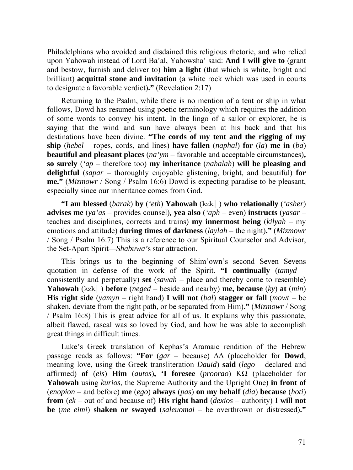Philadelphians who avoided and disdained this religious rhetoric, and who relied upon Yahowah instead of Lord Ba'al, Yahowsha' said: **And I will give to** (grant and bestow, furnish and deliver to) **him a light** (that which is white, bright and brilliant) **acquittal stone and invitation** (a white rock which was used in courts to designate a favorable verdict)**."** (Revelation 2:17)

Returning to the Psalm, while there is no mention of a tent or ship in what follows, Dowd has resumed using poetic terminology which requires the addition of some words to convey his intent. In the lingo of a sailor or explorer, he is saying that the wind and sun have always been at his back and that his destinations have been divine. **"The cords of my tent and the rigging of my ship** (*hebel* – ropes, cords, and lines) **have fallen** (*naphal*) **for** (*la*) **me in** (*ba*) **beautiful and pleasant places** (*na'ym* – favorable and acceptable circumstances)**, so surely** (*'ap* – therefore too) **my inheritance** (*nahalah*) **will be pleasing and delightful** (*sapar* – thoroughly enjoyable glistening, bright, and beautiful) **for me."** (*Mizmowr* / Song / Psalm 16:6) Dowd is expecting paradise to be pleasant, especially since our inheritance comes from God.

**"I am blessed** (*barak*) **by** (*'eth*) **Yahowah** (kzk|) **who relationally** (*'asher*) **advises me** (*ya'as* – provides counsel)**, yea also** (*'aph* – even) **instructs** (*yasar* – teaches and disciplines, corrects and trains) **my innermost being** (*kilyah* – my emotions and attitude) **during times of darkness** (*laylah* – the night)**."** (*Mizmowr* / Song / Psalm 16:7) This is a reference to our Spiritual Counselor and Advisor, the Set-Apart Spirit—*Shabuwa'*s star attraction.

This brings us to the beginning of Shim'own's second Seven Sevens quotation in defense of the work of the Spirit. **"I continually** (*tamyd* – consistently and perpetually) **set** (*sawah* – place and thereby come to resemble) **Yahowah** (kzk) **before** (*neged* – beside and nearby) **me, because** (*ky*) **at** (*min*) **His right side** (*yamyn* – right hand) **I will not** (*bal*) **stagger or fall** (*mowt* – be shaken, deviate from the right path, or be separated from Him)**."** (*Mizmowr* / Song / Psalm 16:8) This is great advice for all of us. It explains why this passionate, albeit flawed, rascal was so loved by God, and how he was able to accomplish great things in difficult times.

Luke's Greek translation of Kephas's Aramaic rendition of the Hebrew passage reads as follows: **"For** (*gar* – because) ΔΔ (placeholder for **Dowd**, meaning love, using the Greek transliteration *Dauid*) **said** (*lego* – declared and affirmed) **of** (*eis*) **Him** (*autos*)**, 'I foresee** (*proorao*) ΚΩ (placeholder for **Yahowah** using *kurios*, the Supreme Authority and the Upright One) **in front of**  (*enopion* – and before) **me** (*ego*) **always** (*pas*) **on my behalf** (*dia*) **because** (*hoti*) **from** (*ek* – out of and because of) **His right hand** (*dexios* – authority) **I will not be** (*me eimi*) **shaken or swayed** (*saleuomai* – be overthrown or distressed)**."**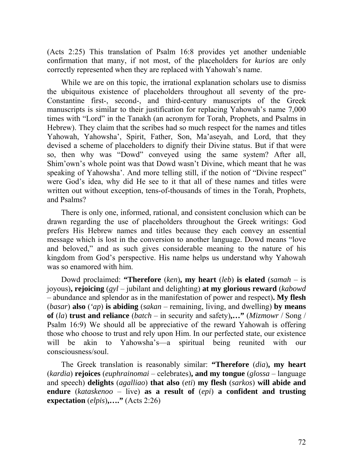(Acts 2:25) This translation of Psalm 16:8 provides yet another undeniable confirmation that many, if not most, of the placeholders for *kurios* are only correctly represented when they are replaced with Yahowah's name.

While we are on this topic, the irrational explanation scholars use to dismiss the ubiquitous existence of placeholders throughout all seventy of the pre-Constantine first-, second-, and third-century manuscripts of the Greek manuscripts is similar to their justification for replacing Yahowah's name 7,000 times with "Lord" in the Tanakh (an acronym for Torah, Prophets, and Psalms in Hebrew). They claim that the scribes had so much respect for the names and titles Yahowah, Yahowsha', Spirit, Father, Son, Ma'aseyah, and Lord, that they devised a scheme of placeholders to dignify their Divine status. But if that were so, then why was "Dowd" conveyed using the same system? After all, Shim'own's whole point was that Dowd wasn't Divine, which meant that he was speaking of Yahowsha'. And more telling still, if the notion of "Divine respect" were God's idea, why did He see to it that all of these names and titles were written out without exception, tens-of-thousands of times in the Torah, Prophets, and Psalms?

There is only one, informed, rational, and consistent conclusion which can be drawn regarding the use of placeholders throughout the Greek writings: God prefers His Hebrew names and titles because they each convey an essential message which is lost in the conversion to another language. Dowd means "love and beloved," and as such gives considerable meaning to the nature of his kingdom from God's perspective. His name helps us understand why Yahowah was so enamored with him.

Dowd proclaimed: **"Therefore** (*ken*)**, my heart** (*leb*) **is elated** (*samah* – is joyous)**, rejoicing** (*gyl* – jubilant and delighting) **at my glorious reward** (*kabowd* – abundance and splendor as in the manifestation of power and respect)**. My flesh** (*basar*) **also** (*'ap*) **is abiding** (*sakan* – remaining, living, and dwelling) **by means of** (*la*) **trust and reliance** (*batch* – in security and safety)**,…"** (*Mizmowr* / Song / Psalm 16:9) We should all be appreciative of the reward Yahowah is offering those who choose to trust and rely upon Him. In our perfected state, our existence will be akin to Yahowsha's—a spiritual being reunited with our consciousness/soul.

The Greek translation is reasonably similar: **"Therefore** (*dia*)**, my heart** (*kardia*) **rejoices** (*euphrainomai* – celebrates)**, and my tongue** (*glossa* – language and speech) **delights** (*agalliao*) **that also** (*eti*) **my flesh** (*sarkos*) **will abide and endure** (*kataskenoo* – live) **as a result of** (*epi*) **a confident and trusting expectation** (*elpis*)**,…."** (Acts 2:26)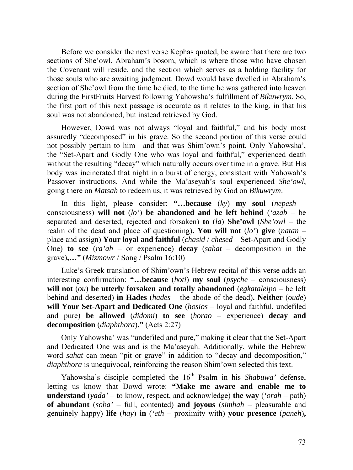Before we consider the next verse Kephas quoted, be aware that there are two sections of She'owl, Abraham's bosom, which is where those who have chosen the Covenant will reside, and the section which serves as a holding facility for those souls who are awaiting judgment. Dowd would have dwelled in Abraham's section of She'owl from the time he died, to the time he was gathered into heaven during the FirstFruits Harvest following Yahowsha's fulfillment of *Bikuwrym*. So, the first part of this next passage is accurate as it relates to the king, in that his soul was not abandoned, but instead retrieved by God.

However, Dowd was not always "loyal and faithful," and his body most assuredly "decomposed" in his grave. So the second portion of this verse could not possibly pertain to him—and that was Shim'own's point. Only Yahowsha', the "Set-Apart and Godly One who was loyal and faithful," experienced death without the resulting "decay" which naturally occurs over time in a grave. But His body was incinerated that night in a burst of energy, consistent with Yahowah's Passover instructions. And while the Ma'aseyah's soul experienced *She'owl*, going there on *Matsah* to redeem us, it was retrieved by God on *Bikuwrym*.

In this light, please consider: **"…because** (*ky*) **my soul** (*nepesh –*  consciousness) **will not** (*lo'*) **be abandoned and be left behind** (*'azab* – be separated and deserted, rejected and forsaken) **to** (*la*) **She'owl** (*She'owl* – the realm of the dead and place of questioning)**. You will not** (*lo'*) **give** (*natan* – place and assign) **Your loyal and faithful** (*chasid* / *chesed* – Set-Apart and Godly One) **to see** (*ra'ah* – or experience) **decay** (*sahat* – decomposition in the grave)**,…"** (*Mizmowr* / Song / Psalm 16:10)

Luke's Greek translation of Shim'own's Hebrew recital of this verse adds an interesting confirmation: **"…because** (*hoti*) **my soul** (*psyche* – consciousness) **will not** (*ou*) **be utterly forsaken and totally abandoned** (*egkataleipo* – be left behind and deserted) **in Hades** (*hades* – the abode of the dead)**. Neither** (*oude*) **will Your Set-Apart and Dedicated One** (*hosios* – loyal and faithful, undefiled and pure) **be allowed** (*didomi*) **to see** (*horao* – experience) **decay and decomposition** (*diaphthora*)**."** (Acts 2:27)

Only Yahowsha' was "undefiled and pure," making it clear that the Set-Apart and Dedicated One was and is the Ma'aseyah. Additionally, while the Hebrew word *sahat* can mean "pit or grave" in addition to "decay and decomposition," *diaphthora* is unequivocal, reinforcing the reason Shim'own selected this text.

Yahowsha's disciple completed the 16<sup>th</sup> Psalm in his *Shabuwa'* defense, letting us know that Dowd wrote: **"Make me aware and enable me to understand** (*yada'* – to know, respect, and acknowledge) **the way** (*'orah* – path) **of abundant** (*soba'* – full, contented) **and joyous** (*simhah* – pleasurable and genuinely happy) **life** (*hay*) **in** (*'eth* – proximity with) **your presence** (*paneh*)**,**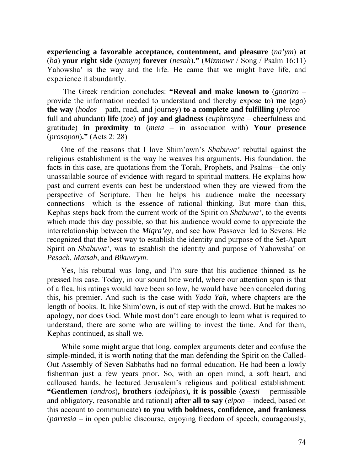**experiencing a favorable acceptance, contentment, and pleasure** (*na'ym*) **at** (*ba*) **your right side** (*yamyn*) **forever** (*nesah*)**."** (*Mizmowr* / Song / Psalm 16:11) Yahowsha' is the way and the life. He came that we might have life, and experience it abundantly.

 The Greek rendition concludes: **"Reveal and make known to** (*gnorizo* – provide the information needed to understand and thereby expose to) **me** (*ego*) **the way** (*hodos* – path, road, and journey) **to a complete and fulfilling** (*pleroo* – full and abundant) **life** (*zoe*) **of joy and gladness** (*euphrosyne* – cheerfulness and gratitude) **in proximity to** (*meta* – in association with) **Your presence** (*prosopon*)**."** (Acts 2: 28)

One of the reasons that I love Shim'own's *Shabuwa'* rebuttal against the religious establishment is the way he weaves his arguments. His foundation, the facts in this case, are quotations from the Torah, Prophets, and Psalms—the only unassailable source of evidence with regard to spiritual matters. He explains how past and current events can best be understood when they are viewed from the perspective of Scripture. Then he helps his audience make the necessary connections—which is the essence of rational thinking. But more than this, Kephas steps back from the current work of the Spirit on *Shabuwa'*, to the events which made this day possible, so that his audience would come to appreciate the interrelationship between the *Miqra'ey*, and see how Passover led to Sevens. He recognized that the best way to establish the identity and purpose of the Set-Apart Spirit on *Shabuwa'*, was to establish the identity and purpose of Yahowsha' on *Pesach*, *Matsah*, and *Bikuwrym*.

Yes, his rebuttal was long, and I'm sure that his audience thinned as he pressed his case. Today, in our sound bite world, where our attention span is that of a flea, his ratings would have been so low, he would have been canceled during this, his premier. And such is the case with *Yada Yah*, where chapters are the length of books. It, like Shim'own, is out of step with the crowd. But he makes no apology, nor does God. While most don't care enough to learn what is required to understand, there are some who are willing to invest the time. And for them, Kephas continued, as shall we.

While some might argue that long, complex arguments deter and confuse the simple-minded, it is worth noting that the man defending the Spirit on the Called-Out Assembly of Seven Sabbaths had no formal education. He had been a lowly fisherman just a few years prior. So, with an open mind, a soft heart, and calloused hands, he lectured Jerusalem's religious and political establishment: **"Gentlemen** (*andros*)**, brothers** (*adelphos*)**, it is possible** (*exesti* – permissible and obligatory, reasonable and rational) **after all to say** (*eipon* – indeed, based on this account to communicate) **to you with boldness, confidence, and frankness** (*parresia* – in open public discourse, enjoying freedom of speech, courageously,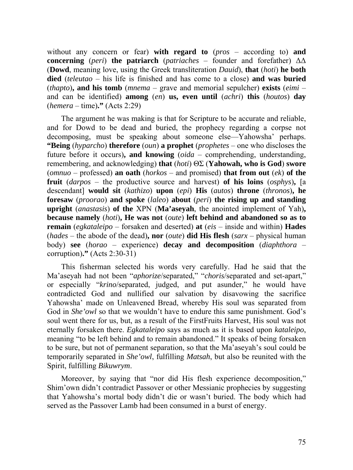without any concern or fear) **with regard to** (*pros* – according to) **and concerning** (*peri*) **the patriarch** (*patriaches* – founder and forefather) ΔΔ (**Dowd**, meaning love, using the Greek transliteration *Dauid*), **that** (*hoti*) **he both died** (*teleutao* – his life is finished and has come to a close) **and was buried** (*thapto*)**, and his tomb** (*mnema* – grave and memorial sepulcher) **exists** (*eimi* – and can be identified) **among** (*en*) **us, even until** (*achri*) **this** (*houtos*) **day** (*hemera* – time)**."** (Acts 2:29)

The argument he was making is that for Scripture to be accurate and reliable, and for Dowd to be dead and buried, the prophecy regarding a corpse not decomposing, must be speaking about someone else—Yahowsha' perhaps. **"Being** (*hyparcho*) **therefore** (*oun*) **a prophet** (*prophetes* – one who discloses the future before it occurs)**, and knowing** (*oida* – comprehending, understanding, remembering, and acknowledging) **that** (*hoti*) ΘΣ (**Yahowah, who is God**) **swore** (*omnuo* – professed) **an oath** (*horkos* – and promised) **that from out** (*ek*) **of the fruit** (*darpos* – the productive source and harvest) **of his loins** (*osphys*)**,** [a descendant] **would sit** (*kathizo*) **upon** (*epi*) **His** (*autos*) **throne** (*thronos*)**, he foresaw** (*proorao*) **and spoke** (*laleo*) **about** (*peri*) **the rising up and standing upright** (*anastasis*) **of the** ΧΡΝ (**Ma'aseyah**, the anointed implement of Yah)**, because namely** (*hoti*)**, He was not** (*oute*) **left behind and abandoned so as to remain** (*egkataleipo* – forsaken and deserted) **at** (*eis* – inside and within) **Hades** (*hades* – the abode of the dead)**, nor** (*oute*) **did His flesh** (*sarx* – physical human body) **see** (*horao* – experience) **decay and decomposition** (*diaphthora* – corruption)**."** (Acts 2:30-31)

This fisherman selected his words very carefully. Had he said that the Ma'aseyah had not been "*aphorize*/separated," "*choris*/separated and set-apart," or especially "*krino*/separated, judged, and put asunder," he would have contradicted God and nullified our salvation by disavowing the sacrifice Yahowsha' made on Unleavened Bread, whereby His soul was separated from God in *She'owl* so that we wouldn't have to endure this same punishment. God's soul went there for us, but, as a result of the FirstFruits Harvest, His soul was not eternally forsaken there. *Egkataleipo* says as much as it is based upon *kataleipo*, meaning "to be left behind and to remain abandoned." It speaks of being forsaken to be sure, but not of permanent separation, so that the Ma'aseyah's soul could be temporarily separated in *She'owl*, fulfilling *Matsah*, but also be reunited with the Spirit, fulfilling *Bikuwrym*.

Moreover, by saying that "nor did His flesh experience decomposition," Shim'own didn't contradict Passover or other Messianic prophecies by suggesting that Yahowsha's mortal body didn't die or wasn't buried. The body which had served as the Passover Lamb had been consumed in a burst of energy.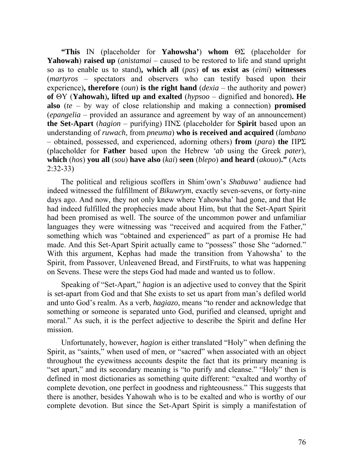**"This** ΙΝ (placeholder for **Yahowsha'**) **whom** ΘΣ (placeholder for **Yahowah**) **raised up** (*anistamai* – caused to be restored to life and stand upright so as to enable us to stand)**, which all** (*pas*) **of us exist as** (*eimi*) **witnesses** (*martyros* – spectators and observers who can testify based upon their experience)**, therefore** (*oun*) **is the right hand** (*dexia* – the authority and power) **of** ΘΥ (**Yahowah**)**, lifted up and exalted** (*hypsoo* – dignified and honored)**. He also** (*te* – by way of close relationship and making a connection) **promised** (*epangelia* – provided an assurance and agreement by way of an announcement) **the Set-Apart** (*hagion* – purifying) ΠΝΣ (placeholder for **Spirit** based upon an understanding of *ruwach*, from *pneuma*) **who is received and acquired** (*lambano* – obtained, possessed, and experienced, adorning others) **from** (*para*) **the** ΠΡΣ (placeholder for **Father** based upon the Hebrew *'ab* using the Greek *pater*), **which** (*hos*) **you all** (*sou*) **have also** (*kai*) **seen** (*blepo*) **and heard** (*akouo*)**."** (Acts 2:32-33)

The political and religious scoffers in Shim'own's *Shabuwa'* audience had indeed witnessed the fulfillment of *Bikuwrym*, exactly seven-sevens, or forty-nine days ago. And now, they not only knew where Yahowsha' had gone, and that He had indeed fulfilled the prophecies made about Him, but that the Set-Apart Spirit had been promised as well. The source of the uncommon power and unfamiliar languages they were witnessing was "received and acquired from the Father," something which was "obtained and experienced" as part of a promise He had made. And this Set-Apart Spirit actually came to "possess" those She "adorned." With this argument, Kephas had made the transition from Yahowsha' to the Spirit, from Passover, Unleavened Bread, and FirstFruits, to what was happening on Sevens. These were the steps God had made and wanted us to follow.

Speaking of "Set-Apart," *hagion* is an adjective used to convey that the Spirit is set-apart from God and that She exists to set us apart from man's defiled world and unto God's realm. As a verb, *hagiazo*, means "to render and acknowledge that something or someone is separated unto God, purified and cleansed, upright and moral." As such, it is the perfect adjective to describe the Spirit and define Her mission.

Unfortunately, however, *hagion* is either translated "Holy" when defining the Spirit, as "saints," when used of men, or "sacred" when associated with an object throughout the eyewitness accounts despite the fact that its primary meaning is "set apart," and its secondary meaning is "to purify and cleanse." "Holy" then is defined in most dictionaries as something quite different: "exalted and worthy of complete devotion, one perfect in goodness and righteousness." This suggests that there is another, besides Yahowah who is to be exalted and who is worthy of our complete devotion. But since the Set-Apart Spirit is simply a manifestation of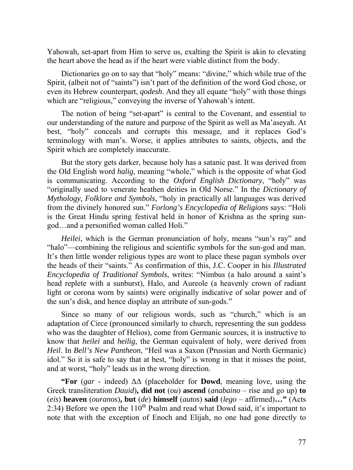Yahowah, set-apart from Him to serve us, exalting the Spirit is akin to elevating the heart above the head as if the heart were viable distinct from the body.

Dictionaries go on to say that "holy" means: "divine," which while true of the Spirit, (albeit not of "saints") isn't part of the definition of the word God chose, or even its Hebrew counterpart, *qodesh*. And they all equate "holy" with those things which are "religious," conveying the inverse of Yahowah's intent.

The notion of being "set-apart" is central to the Covenant, and essential to our understanding of the nature and purpose of the Spirit as well as Ma'aseyah. At best, "holy" conceals and corrupts this message, and it replaces God's terminology with man's. Worse, it applies attributes to saints, objects, and the Spirit which are completely inaccurate.

But the story gets darker, because holy has a satanic past. It was derived from the Old English word *halig*, meaning "whole," which is the opposite of what God is communicating. According to the *Oxford English Dictionary*, "holy" was "originally used to venerate heathen deities in Old Norse." In the *Dictionary of Mythology, Folklore and Symbols*, "holy in practically all languages was derived from the divinely honored sun." *Forlong's Encyclopedia of Religions* says: "Holi is the Great Hindu spring festival held in honor of Krishna as the spring sungod…and a personified woman called Holi."

*Heilei*, which is the German pronunciation of holy, means "sun's ray" and "halo"—combining the religious and scientific symbols for the sun-god and man. It's then little wonder religious types are wont to place these pagan symbols over the heads of their "saints." As confirmation of this, J.C. Cooper in his *Illustrated Encyclopedia of Traditional Symbols*, writes: "Nimbus (a halo around a saint's head replete with a sunburst), Halo, and Aureole (a heavenly crown of radiant light or corona worn by saints) were originally indicative of solar power and of the sun's disk, and hence display an attribute of sun-gods."

Since so many of our religious words, such as "church," which is an adaptation of Circe (pronounced similarly to church, representing the sun goddess who was the daughter of Helios), come from Germanic sources, it is instructive to know that *heilei* and *heilig*, the German equivalent of holy, were derived from *Heil*. In *Bell's New Pantheon*, "Heil was a Saxon (Prussian and North Germanic) idol." So it is safe to say that at best, "holy" is wrong in that it misses the point, and at worst, "holy" leads us in the wrong direction.

**"For** (*gar* - indeed) ΔΔ (placeholder for **Dowd**, meaning love, using the Greek transliteration *Dauid*)**, did not** (*ou*) **ascend** (*anabaino* – rise and go up) **to** (*eis*) **heaven** (*ouranos*)**, but** (*de*) **himself** (*autos*) **said** (*lego* – affirmed)**…"** (Acts 2:34) Before we open the  $110^{th}$  Psalm and read what Dowd said, it's important to note that with the exception of Enoch and Elijah, no one had gone directly to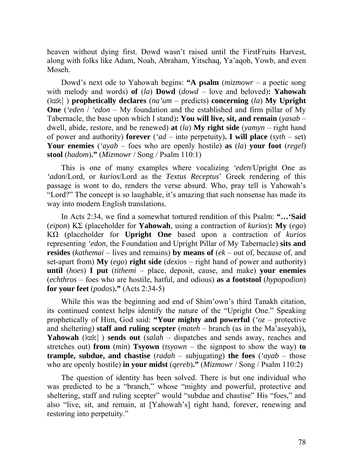heaven without dying first. Dowd wasn't raised until the FirstFruits Harvest, along with folks like Adam, Noah, Abraham, Yitschaq, Ya'aqob, Yowb, and even Moseh.

Dowd's next ode to Yahowah begins: **"A psalm** (*mizmowr* – a poetic song with melody and words) **of** (*la*) **Dowd** (*dowd* – love and beloved)**: Yahowah**   $(kzk)$  **prophetically declares** (*na'um* – predicts) **concerning** (*la*) **My** Upright **One** (*'eden* / *'edon* – My foundation and the established and firm pillar of My Tabernacle, the base upon which I stand)**: You will live, sit, and remain** (*yasab* – dwell, abide, restore, and be renewed) **at** (*la*) **My right side** (*yamyn* – right hand of power and authority) **forever** (*'ad* – into perpetuity)**. I will place** (*syth* – set) **Your enemies** (*'ayab* – foes who are openly hostile) **as** (*la*) **your foot** (*regel*) **stool** (*hadom*)**."** (*Mizmowr* / Song / Psalm 110:1)

This is one of many examples where vocalizing *'eden*/Upright One as *'adon*/Lord, or *kurios*/Lord as the *Textus Receptus*' Greek rendering of this passage is wont to do, renders the verse absurd. Who, pray tell is Yahowah's "Lord?" The concept is so laughable, it's amazing that such nonsense has made its way into modern English translations.

In Acts 2:34, we find a somewhat tortured rendition of this Psalm: **"…'Said** (*eipon*) ΚΣ (placeholder for **Yahowah**, using a contraction of *kurios*)**: My** (*ego*) ΚΩ (placeholder for **Upright One** based upon a contraction of *kurios* representing *'edon*, the Foundation and Upright Pillar of My Tabernacle) **sits and resides** (*kathemai* – lives and remains) **by means of** (*ek* – out of, because of, and set-apart from) **My** (*ego*) **right side** (*dexios* – right hand of power and authority) **until** (*hoes*) **I put** (*tithemi* – place, deposit, cause, and make) **your enemies** (*echthros* – foes who are hostile, hatful, and odious) **as a footstool** (*hypopodion*) **for your feet** (*podos*)**."** (Acts 2:34-5)

While this was the beginning and end of Shim'own's third Tanakh citation, its continued context helps identify the nature of the "Upright One." Speaking prophetically of Him, God said: **"Your mighty and powerful** (*'oz* – protective and sheltering) **staff and ruling scepter** (*mateh* – branch (as in the Ma'aseyah))**, Yahowah** ( $kzk$ ) **sends out** (*salah* – dispatches and sends away, reaches and stretches out) **from** (*min*) **Tsyown** (*tsyown* – the signpost to show the way) **to trample, subdue, and chastise** (*radah* – subjugating) **the foes** (*'ayab* – those who are openly hostile) **in your midst** (*qereb*)**."** (*Mizmowr* / Song / Psalm 110:2)

The question of identity has been solved. There is but one individual who was predicted to be a "branch," whose "mighty and powerful, protective and sheltering, staff and ruling scepter" would "subdue and chastise" His "foes," and also "live, sit, and remain, at [Yahowah's] right hand, forever, renewing and restoring into perpetuity."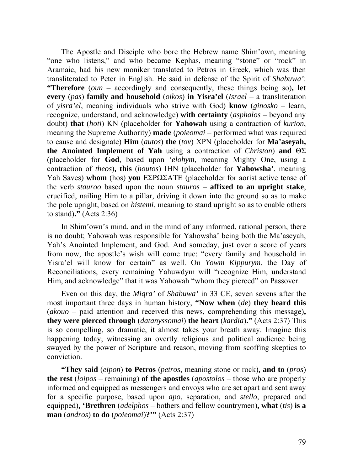The Apostle and Disciple who bore the Hebrew name Shim'own, meaning "one who listens," and who became Kephas, meaning "stone" or "rock" in Aramaic, had his new moniker translated to Petros in Greek, which was then transliterated to Peter in English. He said in defense of the Spirit of *Shabuwa'*: **"Therefore** (*oun* – accordingly and consequently, these things being so)**, let every** (*pas*) **family and household** (*oikos*) **in Yisra'el** (*Israel* – a transliteration of *yisra'el*, meaning individuals who strive with God) **know** (*ginosko* – learn, recognize, understand, and acknowledge) **with certainty** (*asphalos* – beyond any doubt) **that** (*hoti*) ΚΝ (placeholder for **Yahowah** using a contraction of *kurion*, meaning the Supreme Authority) **made** (*poieomai* – performed what was required to cause and designate) **Him** (*autos*) **the** (*tov*) ΧΡΝ (placeholder for **Ma'aseyah, the Anointed Implement of Yah** using a contraction of *Christon*) **and** ΘΣ (placeholder for **God**, based upon *'elohym*, meaning Mighty One, using a contraction of *theos*)**, this** (*houtos*) ΙHΝ (placeholder for **Yahowsha'**, meaning Yah Saves) **whom** (hos) **you** ΕΣΡΩΣΑΤΕ (placeholder for aorist active tense of the verb *stauroo* based upon the noun *stauros* – **affixed to an upright stake**, crucified, nailing Him to a pillar, driving it down into the ground so as to make the pole upright, based on *histemi*, meaning to stand upright so as to enable others to stand)**."** (Acts 2:36)

In Shim'own's mind, and in the mind of any informed, rational person, there is no doubt; Yahowah was responsible for Yahowsha' being both the Ma'aseyah, Yah's Anointed Implement, and God. And someday, just over a score of years from now, the apostle's wish will come true: "every family and household in Yisra'el will know for certain" as well. On *Yowm Kippurym*, the Day of Reconciliations, every remaining Yahuwdym will "recognize Him, understand Him, and acknowledge" that it was Yahowah "whom they pierced" on Passover.

Even on this day, the *Miqra'* of *Shabuwa'* in 33 CE, seven sevens after the most important three days in human history, **"Now when** (*de*) **they heard this** (*akouo* – paid attention and received this news, comprehending this message)**, they were pierced through** (*datanyssomai*) **the heart** (*kardia*)**."** (Acts 2:37) This is so compelling, so dramatic, it almost takes your breath away. Imagine this happening today; witnessing an overtly religious and political audience being swayed by the power of Scripture and reason, moving from scoffing skeptics to conviction.

**"They said** (*eipon*) **to Petros** (*petros*, meaning stone or rock)**, and to** (*pros*) **the rest** (*loipos* – remaining) **of the apostles** (*apostolos* – those who are properly informed and equipped as messengers and envoys who are set apart and sent away for a specific purpose, based upon *apo*, separation, and *stello*, prepared and equipped)**, 'Brethren** (*adelphos* – bothers and fellow countrymen)**, what** (*tis*) **is a man** (*andros*) **to do** (*poieomai*)**?'"** (Acts 2:37)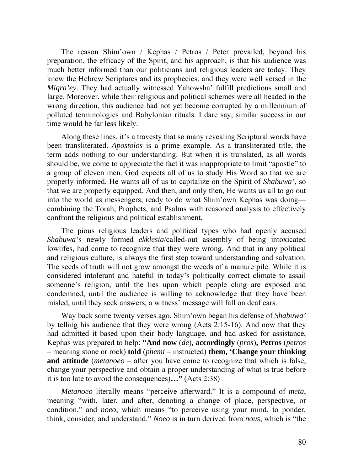The reason Shim'own / Kephas / Petros / Peter prevailed, beyond his preparation, the efficacy of the Spirit, and his approach, is that his audience was much better informed than our politicians and religious leaders are today. They knew the Hebrew Scriptures and its prophecies, and they were well versed in the *Miqra'ey*. They had actually witnessed Yahowsha' fulfill predictions small and large. Moreover, while their religious and political schemes were all headed in the wrong direction, this audience had not yet become corrupted by a millennium of polluted terminologies and Babylonian rituals. I dare say, similar success in our time would be far less likely.

Along these lines, it's a travesty that so many revealing Scriptural words have been transliterated. *Apostolos* is a prime example. As a transliterated title, the term adds nothing to our understanding. But when it is translated, as all words should be, we come to appreciate the fact it was inappropriate to limit "apostle" to a group of eleven men. God expects all of us to study His Word so that we are properly informed. He wants all of us to capitalize on the Spirit of *Shabuwa'*, so that we are properly equipped. And then, and only then, He wants us all to go out into the world as messengers, ready to do what Shim'own Kephas was doing combining the Torah, Prophets, and Psalms with reasoned analysis to effectively confront the religious and political establishment.

The pious religious leaders and political types who had openly accused *Shabuwa'*s newly formed *ekklesia*/called-out assembly of being intoxicated lowlifes, had come to recognize that they were wrong. And that in any political and religious culture, is always the first step toward understanding and salvation. The seeds of truth will not grow amongst the weeds of a manure pile. While it is considered intolerant and hateful in today's politically correct climate to assail someone's religion, until the lies upon which people cling are exposed and condemned, until the audience is willing to acknowledge that they have been misled, until they seek answers, a witness' message will fall on deaf ears.

Way back some twenty verses ago, Shim'own began his defense of *Shabuwa'* by telling his audience that they were wrong (Acts 2:15-16). And now that they had admitted it based upon their body language, and had asked for assistance, Kephas was prepared to help: **"And now** (*de*)**, accordingly** (*pros*)**, Petros** (*petros* – meaning stone or rock) **told** (*phemi* – instructed) **them, 'Change your thinking and attitude** (*metanoeo* – after you have come to recognize that which is false, change your perspective and obtain a proper understanding of what is true before it is too late to avoid the consequences)**…"** (Acts 2:38)

*Metanoeo* literally means "perceive afterward." It is a compound of *meta*, meaning "with, later, and after, denoting a change of place, perspective, or condition," and *noeo*, which means "to perceive using your mind, to ponder, think, consider, and understand." *Noeo* is in turn derived from *nous*, which is "the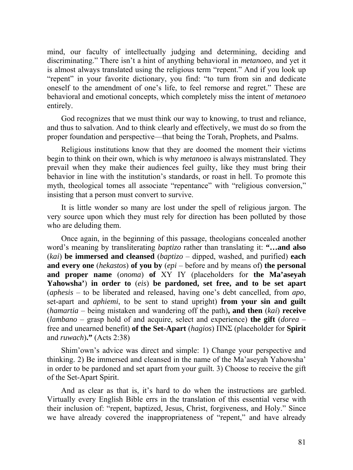mind, our faculty of intellectually judging and determining, deciding and discriminating." There isn't a hint of anything behavioral in *metanoeo*, and yet it is almost always translated using the religious term "repent." And if you look up "repent" in your favorite dictionary, you find: "to turn from sin and dedicate oneself to the amendment of one's life, to feel remorse and regret." These are behavioral and emotional concepts, which completely miss the intent of *metanoeo*  entirely.

God recognizes that we must think our way to knowing, to trust and reliance, and thus to salvation. And to think clearly and effectively, we must do so from the proper foundation and perspective—that being the Torah, Prophets, and Psalms.

Religious institutions know that they are doomed the moment their victims begin to think on their own, which is why *metanoeo* is always mistranslated. They prevail when they make their audiences feel guilty, like they must bring their behavior in line with the institution's standards, or roast in hell. To promote this myth, theological tomes all associate "repentance" with "religious conversion," insisting that a person must convert to survive.

It is little wonder so many are lost under the spell of religious jargon. The very source upon which they must rely for direction has been polluted by those who are deluding them.

Once again, in the beginning of this passage, theologians concealed another word's meaning by transliterating *baptizo* rather than translating it: **"…and also** (*kai*) **be immersed and cleansed** (*baptizo* – dipped, washed, and purified) **each and every one** (*hekastos*) **of you by** (*epi* – before and by means of) **the personal and proper name** (*onoma*) **of** ΧΥ ΙΥ (placeholders for **the Ma'aseyah Yahowsha'**) **in order to** (*eis*) **be pardoned, set free, and to be set apart**  (*aphesis* – to be liberated and released, having one's debt cancelled, from *apo*, set-apart and *aphiemi*, to be sent to stand upright) **from your sin and guilt** (*hamartia* – being mistaken and wandering off the path)**, and then** (*kai*) **receive** (*lambano* – grasp hold of and acquire, select and experience) **the gift** (*dorea* – free and unearned benefit) **of the Set-Apart** (*hagios*) ΠΝΣ (placeholder for **Spirit** and *ruwach*)**."** (Acts 2:38)

Shim'own's advice was direct and simple: 1) Change your perspective and thinking. 2) Be immersed and cleansed in the name of the Ma'aseyah Yahowsha' in order to be pardoned and set apart from your guilt. 3) Choose to receive the gift of the Set-Apart Spirit.

And as clear as that is, it's hard to do when the instructions are garbled. Virtually every English Bible errs in the translation of this essential verse with their inclusion of: "repent, baptized, Jesus, Christ, forgiveness, and Holy." Since we have already covered the inappropriateness of "repent," and have already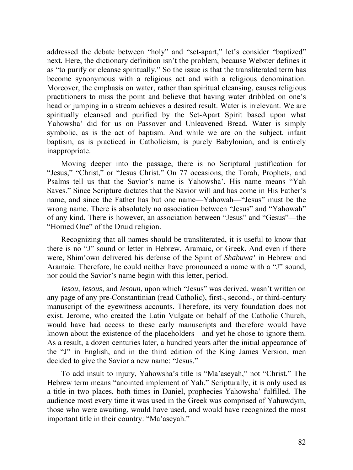addressed the debate between "holy" and "set-apart," let's consider "baptized" next. Here, the dictionary definition isn't the problem, because Webster defines it as "to purify or cleanse spiritually." So the issue is that the transliterated term has become synonymous with a religious act and with a religious denomination. Moreover, the emphasis on water, rather than spiritual cleansing, causes religious practitioners to miss the point and believe that having water dribbled on one's head or jumping in a stream achieves a desired result. Water is irrelevant. We are spiritually cleansed and purified by the Set-Apart Spirit based upon what Yahowsha' did for us on Passover and Unleavened Bread. Water is simply symbolic, as is the act of baptism. And while we are on the subject, infant baptism, as is practiced in Catholicism, is purely Babylonian, and is entirely inappropriate.

Moving deeper into the passage, there is no Scriptural justification for "Jesus," "Christ," or "Jesus Christ." On 77 occasions, the Torah, Prophets, and Psalms tell us that the Savior's name is Yahowsha'. His name means "Yah Saves." Since Scripture dictates that the Savior will and has come in His Father's name, and since the Father has but one name—Yahowah—"Jesus" must be the wrong name. There is absolutely no association between "Jesus" and "Yahowah" of any kind. There is however, an association between "Jesus" and "Gesus"—the "Horned One" of the Druid religion.

Recognizing that all names should be transliterated, it is useful to know that there is no "J" sound or letter in Hebrew, Aramaic, or Greek. And even if there were, Shim'own delivered his defense of the Spirit of *Shabuwa'* in Hebrew and Aramaic. Therefore, he could neither have pronounced a name with a "J" sound, nor could the Savior's name begin with this letter, period.

*Iesou, Iesous*, and *Iesoun*, upon which "Jesus" was derived, wasn't written on any page of any pre-Constantinian (read Catholic), first-, second-, or third-century manuscript of the eyewitness accounts. Therefore, its very foundation does not exist. Jerome, who created the Latin Vulgate on behalf of the Catholic Church, would have had access to these early manuscripts and therefore would have known about the existence of the placeholders—and yet he chose to ignore them. As a result, a dozen centuries later, a hundred years after the initial appearance of the "J" in English, and in the third edition of the King James Version, men decided to give the Savior a new name: "Jesus."

To add insult to injury, Yahowsha's title is "Ma'aseyah," not "Christ." The Hebrew term means "anointed implement of Yah." Scripturally, it is only used as a title in two places, both times in Daniel, prophecies Yahowsha' fulfilled. The audience most every time it was used in the Greek was comprised of Yahuwdym, those who were awaiting, would have used, and would have recognized the most important title in their country: "Ma'aseyah."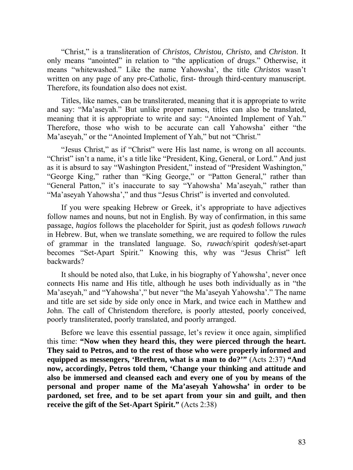"Christ," is a transliteration of *Christos, Christou, Christo*, and *Christon*. It only means "anointed" in relation to "the application of drugs." Otherwise, it means "whitewashed." Like the name Yahowsha', the title *Christos* wasn't written on any page of any pre-Catholic, first- through third-century manuscript. Therefore, its foundation also does not exist.

Titles, like names, can be transliterated, meaning that it is appropriate to write and say: "Ma'aseyah." But unlike proper names, titles can also be translated, meaning that it is appropriate to write and say: "Anointed Implement of Yah." Therefore, those who wish to be accurate can call Yahowsha' either "the Ma'aseyah," or the "Anointed Implement of Yah," but not "Christ."

"Jesus Christ," as if "Christ" were His last name, is wrong on all accounts. "Christ" isn't a name, it's a title like "President, King, General, or Lord." And just as it is absurd to say "Washington President," instead of "President Washington," "George King," rather than "King George," or "Patton General," rather than "General Patton," it's inaccurate to say "Yahowsha' Ma'aseyah," rather than "Ma'aseyah Yahowsha'," and thus "Jesus Christ" is inverted and convoluted.

If you were speaking Hebrew or Greek, it's appropriate to have adjectives follow names and nouns, but not in English. By way of confirmation, in this same passage, *hagios* follows the placeholder for Spirit, just as *qodesh* follows *ruwach* in Hebrew. But, when we translate something, we are required to follow the rules of grammar in the translated language. So, *ruwach*/spirit *qodesh*/set-apart becomes "Set-Apart Spirit." Knowing this, why was "Jesus Christ" left backwards?

It should be noted also, that Luke, in his biography of Yahowsha', never once connects His name and His title, although he uses both individually as in "the Ma'aseyah," and "Yahowsha'," but never "the Ma'aseyah Yahowsha'." The name and title are set side by side only once in Mark, and twice each in Matthew and John. The call of Christendom therefore, is poorly attested, poorly conceived, poorly transliterated, poorly translated, and poorly arranged.

Before we leave this essential passage, let's review it once again, simplified this time: **"Now when they heard this, they were pierced through the heart. They said to Petros, and to the rest of those who were properly informed and equipped as messengers, 'Brethren, what is a man to do?'"** (Acts 2:37) **"And now, accordingly, Petros told them, 'Change your thinking and attitude and also be immersed and cleansed each and every one of you by means of the personal and proper name of the Ma'aseyah Yahowsha' in order to be pardoned, set free, and to be set apart from your sin and guilt, and then receive the gift of the Set-Apart Spirit."** (Acts 2:38)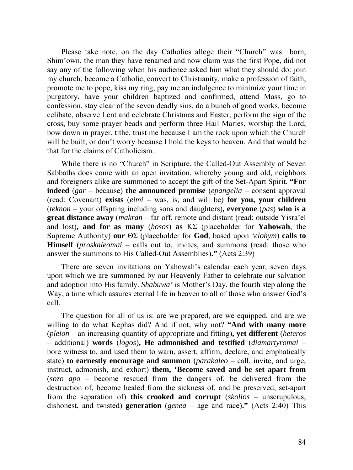Please take note, on the day Catholics allege their "Church" was born, Shim'own, the man they have renamed and now claim was the first Pope, did not say any of the following when his audience asked him what they should do: join my church, become a Catholic, convert to Christianity, make a profession of faith, promote me to pope, kiss my ring, pay me an indulgence to minimize your time in purgatory, have your children baptized and confirmed, attend Mass, go to confession, stay clear of the seven deadly sins, do a bunch of good works, become celibate, observe Lent and celebrate Christmas and Easter, perform the sign of the cross, buy some prayer beads and perform three Hail Maries, worship the Lord, bow down in prayer, tithe, trust me because I am the rock upon which the Church will be built, or don't worry because I hold the keys to heaven. And that would be that for the claims of Catholicism.

While there is no "Church" in Scripture, the Called-Out Assembly of Seven Sabbaths does come with an open invitation, whereby young and old, neighbors and foreigners alike are summoned to accept the gift of the Set-Apart Spirit. **"For indeed** (*gar* – because) **the announced promise** (*epangelia* – consent approval (read: Covenant) **exists** (*eimi* – was, is, and will be) **for you, your children** (*teknon* – your offspring including sons and daughters)**, everyone** (*pas*) **who is a great distance away** (*makran* – far off, remote and distant (read: outside Yisra'el and lost)**, and for as many** (*hosos*) **as** ΚΣ (placeholder for **Yahowah**, the Supreme Authority) **our** ΘΣ (placeholder for **God**, based upon *'elohym*) **calls to Himself** (*proskaleomai* – calls out to, invites, and summons (read: those who answer the summons to His Called-Out Assemblies)**."** (Acts 2:39)

There are seven invitations on Yahowah's calendar each year, seven days upon which we are summoned by our Heavenly Father to celebrate our salvation and adoption into His family. *Shabuwa'* is Mother's Day, the fourth step along the Way, a time which assures eternal life in heaven to all of those who answer God's call.

The question for all of us is: are we prepared, are we equipped, and are we willing to do what Kephas did? And if not, why not? **"And with many more** (*pleion* – an increasing quantity of appropriate and fitting)**, yet different** (*heteros* – additional) **words** (*logos*)**, He admonished and testified** (*diamartyromai* – bore witness to, and used them to warn, assert, affirm, declare, and emphatically state) **to earnestly encourage and summon** (*parakaleo* – call, invite, and urge, instruct, admonish, and exhort) **them, 'Become saved and be set apart from** (*sozo apo* – become rescued from the dangers of, be delivered from the destruction of, become healed from the sickness of, and be preserved, set-apart from the separation of) **this crooked and corrupt** (*skolios* – unscrupulous, dishonest, and twisted) **generation** (*genea* – age and race)**."** (Acts 2:40) This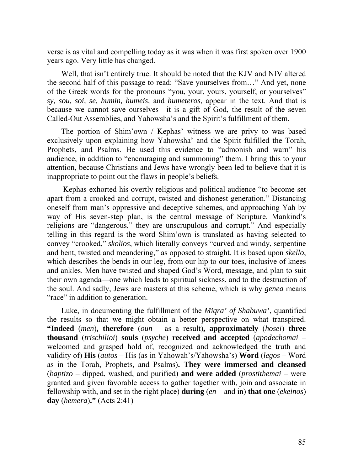verse is as vital and compelling today as it was when it was first spoken over 1900 years ago. Very little has changed.

Well, that isn't entirely true. It should be noted that the KJV and NIV altered the second half of this passage to read: "Save yourselves from…" And yet, none of the Greek words for the pronouns "you, your, yours, yourself, or yourselves" *sy, sou, soi, se, humin, humeis,* and *humeteros*, appear in the text. And that is because we cannot save ourselves—it is a gift of God, the result of the seven Called-Out Assemblies, and Yahowsha's and the Spirit's fulfillment of them.

The portion of Shim'own / Kephas' witness we are privy to was based exclusively upon explaining how Yahowsha' and the Spirit fulfilled the Torah, Prophets, and Psalms. He used this evidence to "admonish and warn" his audience, in addition to "encouraging and summoning" them. I bring this to your attention, because Christians and Jews have wrongly been led to believe that it is inappropriate to point out the flaws in people's beliefs.

 Kephas exhorted his overtly religious and political audience "to become set apart from a crooked and corrupt, twisted and dishonest generation." Distancing oneself from man's oppressive and deceptive schemes, and approaching Yah by way of His seven-step plan, is the central message of Scripture. Mankind's religions are "dangerous," they are unscrupulous and corrupt." And especially telling in this regard is the word Shim'own is translated as having selected to convey "crooked," *skolios*, which literally conveys "curved and windy, serpentine and bent, twisted and meandering," as opposed to straight. It is based upon *skello*, which describes the bends in our leg, from our hip to our toes, inclusive of knees and ankles. Men have twisted and shaped God's Word, message, and plan to suit their own agenda—one which leads to spiritual sickness, and to the destruction of the soul. And sadly, Jews are masters at this scheme, which is why *genea* means "race" in addition to generation.

Luke, in documenting the fulfillment of the *Miqra' of Shabuwa'*, quantified the results so that we might obtain a better perspective on what transpired. **"Indeed** (*men*)**, therefore** (*oun –* as a result)**, approximately** (*hosei*) **three thousand** (*trischilioi*) **souls** (*psyche*) **received and accepted** (*apodechomai* – welcomed and grasped hold of, recognized and acknowledged the truth and validity of) **His** (*autos* – His (as in Yahowah's/Yahowsha's) **Word** (*legos* – Word as in the Torah, Prophets, and Psalms)**. They were immersed and cleansed** (*baptizo* – dipped, washed, and purified) **and were added** (*prostithemai* – were granted and given favorable access to gather together with, join and associate in fellowship with, and set in the right place) **during** (*en* – and in) **that one** (*ekeinos*) **day** (*hemera*)**."** (Acts 2:41)